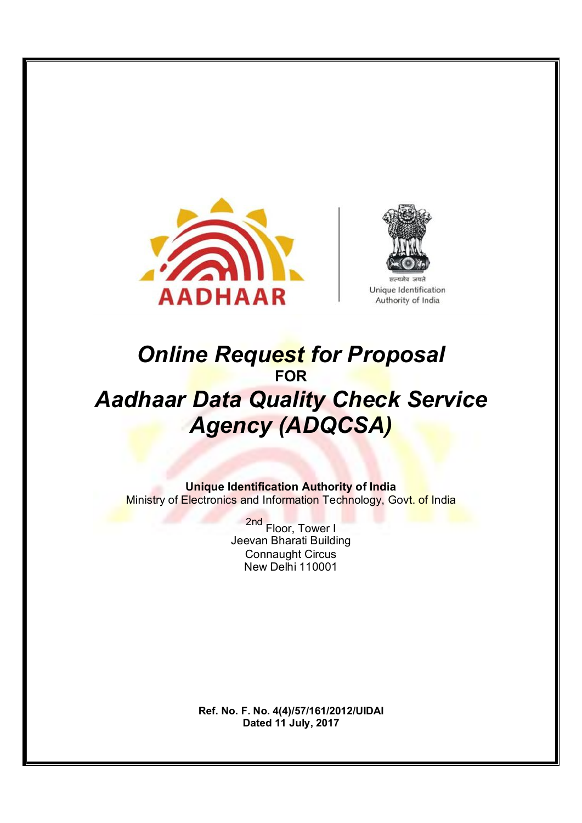



# *Online Request for Proposal*  **FOR** *Aadhaar Data Quality Check Service Agency (ADQCSA)*

**Unique Identification Authority of India** Ministry of Electronics and Information Technology, Govt. of India

> 2nd Floor, Tower I Jeevan Bharati Building Connaught Circus New Delhi 110001

**Ref. No. F. No. 4(4)/57/161/2012/UIDAI Dated 11 July, 2017**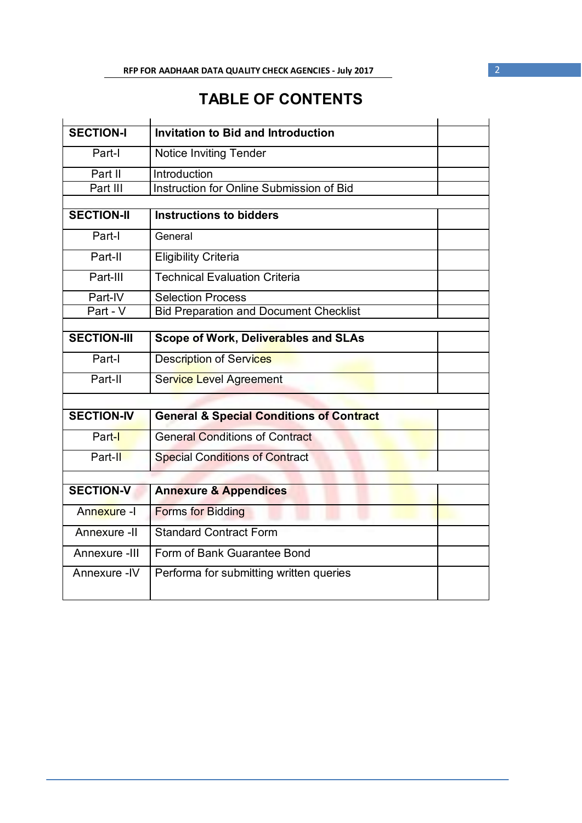# **TABLE OF CONTENTS**

| <b>SECTION-I</b>   | <b>Invitation to Bid and Introduction</b>           |  |
|--------------------|-----------------------------------------------------|--|
| Part-I             | <b>Notice Inviting Tender</b>                       |  |
| Part II            | Introduction                                        |  |
| Part III           | Instruction for Online Submission of Bid            |  |
|                    |                                                     |  |
| <b>SECTION-II</b>  | <b>Instructions to bidders</b>                      |  |
| Part-I             | General                                             |  |
| Part-II            | <b>Eligibility Criteria</b>                         |  |
| Part-III           | <b>Technical Evaluation Criteria</b>                |  |
| Part-IV            | <b>Selection Process</b>                            |  |
| Part - V           | <b>Bid Preparation and Document Checklist</b>       |  |
|                    |                                                     |  |
| <b>SECTION-III</b> | Scope of Work, Deliverables and SLAs                |  |
| Part-I             | Description of Services                             |  |
| Part-II            | <b>Service Level Agreement</b>                      |  |
|                    |                                                     |  |
| <b>SECTION-IV</b>  | <b>General &amp; Special Conditions of Contract</b> |  |
| Part-I             | <b>General Conditions of Contract</b>               |  |
| Part-II            | <b>Special Conditions of Contract</b>               |  |
|                    |                                                     |  |
| <b>SECTION-V</b>   | <b>Annexure &amp; Appendices</b>                    |  |
| Annexure -I        | <b>Forms for Bidding</b>                            |  |
| Annexure -II       | <b>Standard Contract Form</b>                       |  |
| Annexure -III      | Form of Bank Guarantee Bond                         |  |
| Annexure - IV      | Performa for submitting written queries             |  |
|                    |                                                     |  |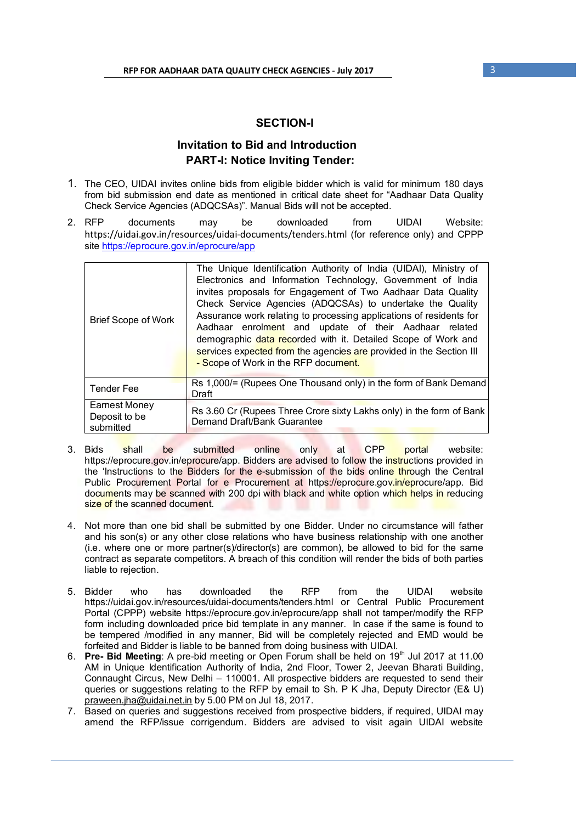### **SECTION-I**

### **Invitation to Bid and Introduction PART-I: Notice Inviting Tender:**

- 1. The CEO, UIDAI invites online bids from eligible bidder which is valid for minimum 180 days from bid submission end date as mentioned in critical date sheet for "Aadhaar Data Quality Check Service Agencies (ADQCSAs)". Manual Bids will not be accepted.
- 2. RFP documents may be downloaded from UIDAI Website: https://uidai.gov.in/resources/uidai-documents/tenders.html (for reference only) and CPPP site https://eprocure.gov.in/eprocure/app

| Brief Scope of Work                                | The Unique Identification Authority of India (UIDAI), Ministry of<br>Electronics and Information Technology, Government of India<br>invites proposals for Engagement of Two Aadhaar Data Quality<br>Check Service Agencies (ADQCSAs) to undertake the Quality<br>Assurance work relating to processing applications of residents for<br>Aadhaar enrolment and update of their Aadhaar related<br>demographic data recorded with it. Detailed Scope of Work and<br>services expected from the agencies are provided in the Section III<br>- Scope of Work in the RFP document. |
|----------------------------------------------------|-------------------------------------------------------------------------------------------------------------------------------------------------------------------------------------------------------------------------------------------------------------------------------------------------------------------------------------------------------------------------------------------------------------------------------------------------------------------------------------------------------------------------------------------------------------------------------|
| <b>Tender Fee</b>                                  | Rs 1,000/= (Rupees One Thousand only) in the form of Bank Demand<br>Draft                                                                                                                                                                                                                                                                                                                                                                                                                                                                                                     |
| <b>Earnest Money</b><br>Deposit to be<br>submitted | Rs 3.60 Cr (Rupees Three Crore sixty Lakhs only) in the form of Bank<br>Demand Draft/Bank Guarantee                                                                                                                                                                                                                                                                                                                                                                                                                                                                           |

- 3. Bids shall be submitted online only at CPP portal website: https://eprocure.gov.in/eprocure/app. Bidders are advised to follow the instructions provided in the 'Instructions to the Bidders for the e-submission of the bids online through the Central Public Procurement Portal for e Procurement at https://eprocure.gov.in/eprocure/app. Bid documents may be scanned with 200 dpi with black and white option which helps in reducing size of the scanned document.
- 4. Not more than one bid shall be submitted by one Bidder. Under no circumstance will father and his son(s) or any other close relations who have business relationship with one another (i.e. where one or more partner(s)/director(s) are common), be allowed to bid for the same contract as separate competitors. A breach of this condition will render the bids of both parties liable to rejection.
- 5. Bidder who has downloaded the RFP from the UIDAI website https://uidai.gov.in/resources/uidai-documents/tenders.html or Central Public Procurement Portal (CPPP) website https://eprocure.gov.in/eprocure/app shall not tamper/modify the RFP form including downloaded price bid template in any manner. In case if the same is found to be tempered /modified in any manner, Bid will be completely rejected and EMD would be forfeited and Bidder is liable to be banned from doing business with UIDAI.
- 6. **Pre- Bid Meeting**: A pre-bid meeting or Open Forum shall be held on 19<sup>th</sup> Jul 2017 at 11.00 AM in Unique Identification Authority of India, 2nd Floor, Tower 2, Jeevan Bharati Building, Connaught Circus, New Delhi – 110001. All prospective bidders are requested to send their queries or suggestions relating to the RFP by email to Sh. P K Jha, Deputy Director (E& U) praween.jha@uidai.net.in by 5.00 PM on Jul 18, 2017.
- 7. Based on queries and suggestions received from prospective bidders, if required, UIDAI may amend the RFP/issue corrigendum. Bidders are advised to visit again UIDAI website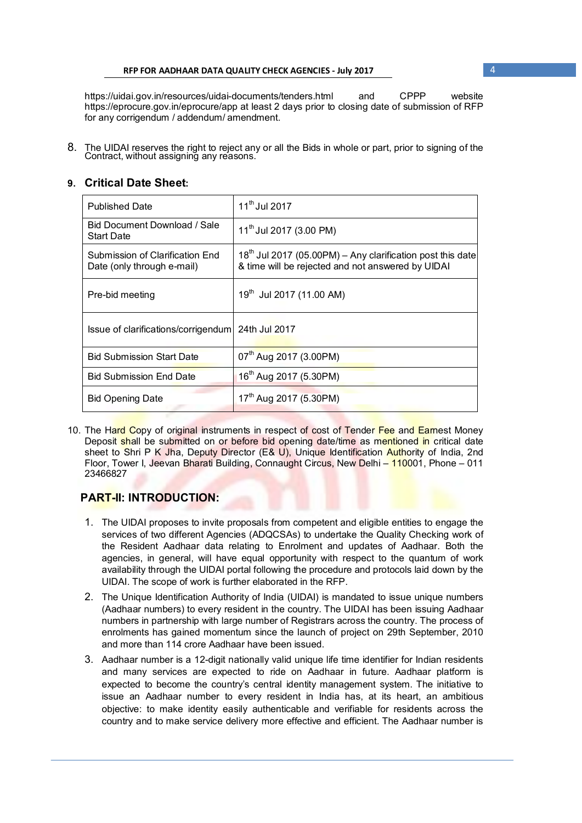https://uidai.gov.in/resources/uidai-documents/tenders.html and CPPP website https://eprocure.gov.in/eprocure/app at least 2 days prior to closing date of submission of RFP for any corrigendum / addendum/ amendment.

8. The UIDAI reserves the right to reject any or all the Bids in whole or part, prior to signing of the Contract, without assigning any reasons.

### **9. Critical Date Sheet:**

| <b>Published Date</b>                                         | 11 <sup>th</sup> Jul 2017                                                                                         |
|---------------------------------------------------------------|-------------------------------------------------------------------------------------------------------------------|
| Bid Document Download / Sale<br><b>Start Date</b>             | 11 <sup>th</sup> Jul 2017 (3.00 PM)                                                                               |
| Submission of Clarification End<br>Date (only through e-mail) | $18th$ Jul 2017 (05.00PM) – Any clarification post this date<br>& time will be rejected and not answered by UIDAI |
| Pre-bid meeting                                               | 19 <sup>th</sup> Jul 2017 (11.00 AM)                                                                              |
| Issue of clarifications/corrigendum 24th Jul 2017             |                                                                                                                   |
| <b>Bid Submission Start Date</b>                              | 07 <sup>th</sup> Aug 2017 (3.00PM)                                                                                |
| <b>Bid Submission End Date</b>                                | 16 <sup>th</sup> Aug 2017 (5.30PM)                                                                                |
| <b>Bid Opening Date</b>                                       | 17 <sup>th</sup> Aug 2017 (5.30PM)                                                                                |

10. The Hard Copy of original instruments in respect of cost of Tender Fee and Earnest Money Deposit shall be submitted on or before bid opening date/time as mentioned in critical date sheet to Shri P K Jha, Deputy Director (E& U), Unique Identification Authority of India, 2nd Floor, Tower I, Jeevan Bharati Building, Connaught Circus, New Delhi – 110001, Phone – 011 23466827

### **PART-II: INTRODUCTION:**

- 1. The UIDAI proposes to invite proposals from competent and eligible entities to engage the services of two different Agencies (ADQCSAs) to undertake the Quality Checking work of the Resident Aadhaar data relating to Enrolment and updates of Aadhaar. Both the agencies, in general, will have equal opportunity with respect to the quantum of work availability through the UIDAI portal following the procedure and protocols laid down by the UIDAI. The scope of work is further elaborated in the RFP.
- 2. The Unique Identification Authority of India (UIDAI) is mandated to issue unique numbers (Aadhaar numbers) to every resident in the country. The UIDAI has been issuing Aadhaar numbers in partnership with large number of Registrars across the country. The process of enrolments has gained momentum since the launch of project on 29th September, 2010 and more than 114 crore Aadhaar have been issued.
- 3. Aadhaar number is a 12-digit nationally valid unique life time identifier for Indian residents and many services are expected to ride on Aadhaar in future. Aadhaar platform is expected to become the country's central identity management system. The initiative to issue an Aadhaar number to every resident in India has, at its heart, an ambitious objective: to make identity easily authenticable and verifiable for residents across the country and to make service delivery more effective and efficient. The Aadhaar number is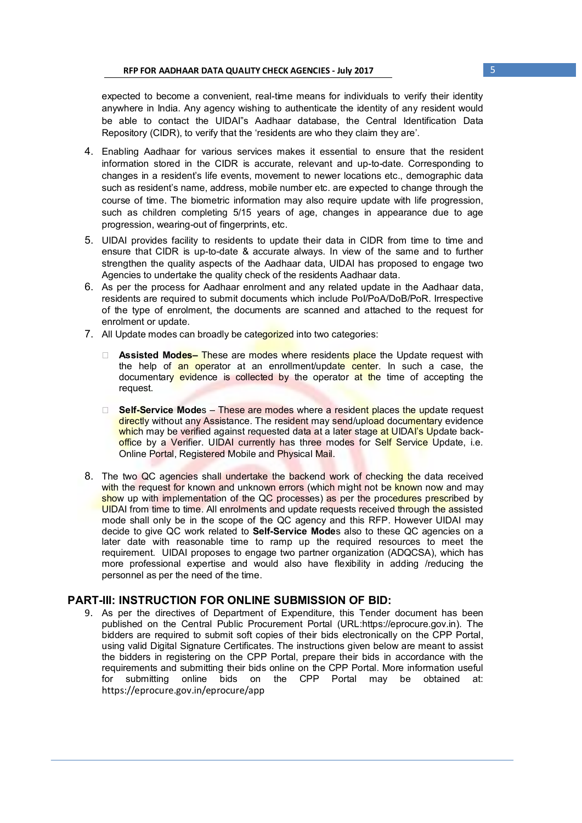expected to become a convenient, real-time means for individuals to verify their identity anywhere in India. Any agency wishing to authenticate the identity of any resident would be able to contact the UIDAI"s Aadhaar database, the Central Identification Data Repository (CIDR), to verify that the 'residents are who they claim they are'.

- 4. Enabling Aadhaar for various services makes it essential to ensure that the resident information stored in the CIDR is accurate, relevant and up-to-date. Corresponding to changes in a resident's life events, movement to newer locations etc., demographic data such as resident's name, address, mobile number etc. are expected to change through the course of time. The biometric information may also require update with life progression, such as children completing 5/15 years of age, changes in appearance due to age progression, wearing-out of fingerprints, etc.
- 5. UIDAI provides facility to residents to update their data in CIDR from time to time and ensure that CIDR is up-to-date & accurate always. In view of the same and to further strengthen the quality aspects of the Aadhaar data, UIDAI has proposed to engage two Agencies to undertake the quality check of the residents Aadhaar data.
- 6. As per the process for Aadhaar enrolment and any related update in the Aadhaar data, residents are required to submit documents which include PoI/PoA/DoB/PoR. Irrespective of the type of enrolment, the documents are scanned and attached to the request for enrolment or update.
- 7. All Update modes can broadly be categorized into two categories:
	- □ **Assisted Modes–** These are modes where residents place the Update request with the help of an operator at an enrollment/update center. In such a case, the documentary evidence is collected by the operator at the time of accepting the request.
	- □ **Self-Service Mode**s These are modes where a resident places the update request directly without any Assistance. The resident may send/upload documentary evidence which may be verified against requested data at a later stage at UIDAI's Update backoffice by a Verifier. UIDAI currently has three modes for Self Service Update, i.e. Online Portal, Registered Mobile and Physical Mail.
- 8. The two QC agencies shall undertake the backend work of checking the data received with the request for known and unknown errors (which might not be known now and may show up with implementation of the QC processes) as per the procedures prescribed by UIDAI from time to time. All enrolments and update requests received through the assisted mode shall only be in the scope of the QC agency and this RFP. However UIDAI may decide to give QC work related to **Self-Service Mode**s also to these QC agencies on a later date with reasonable time to ramp up the required resources to meet the requirement. UIDAI proposes to engage two partner organization (ADQCSA), which has more professional expertise and would also have flexibility in adding /reducing the personnel as per the need of the time.

### **PART-III: INSTRUCTION FOR ONLINE SUBMISSION OF BID:**

9. As per the directives of Department of Expenditure, this Tender document has been published on the Central Public Procurement Portal (URL:https://eprocure.gov.in). The bidders are required to submit soft copies of their bids electronically on the CPP Portal, using valid Digital Signature Certificates. The instructions given below are meant to assist the bidders in registering on the CPP Portal, prepare their bids in accordance with the requirements and submitting their bids online on the CPP Portal. More information useful for submitting online bids on the CPP Portal may be obtained at: https://eprocure.gov.in/eprocure/app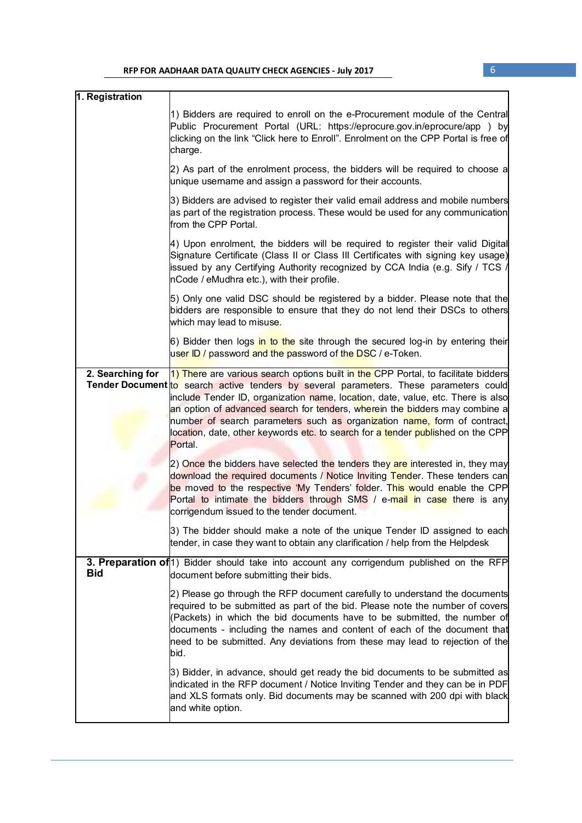| 1. Registration  |                                                                                                                                                                                                                                                                                                                                                                                                                                                                                                                          |
|------------------|--------------------------------------------------------------------------------------------------------------------------------------------------------------------------------------------------------------------------------------------------------------------------------------------------------------------------------------------------------------------------------------------------------------------------------------------------------------------------------------------------------------------------|
|                  | 1) Bidders are required to enroll on the e-Procurement module of the Central<br>Public Procurement Portal (URL: https://eprocure.gov.in/eprocure/app ) by<br>clicking on the link "Click here to Enroll". Enrolment on the CPP Portal is free of<br>charge.                                                                                                                                                                                                                                                              |
|                  | 2) As part of the enrolment process, the bidders will be required to choose a<br>unique usemame and assign a password for their accounts.                                                                                                                                                                                                                                                                                                                                                                                |
|                  | 3) Bidders are advised to register their valid email address and mobile numbers<br>as part of the registration process. These would be used for any communication<br>from the CPP Portal.                                                                                                                                                                                                                                                                                                                                |
|                  | 4) Upon enrolment, the bidders will be required to register their valid Digital<br>Signature Certificate (Class II or Class III Certificates with signing key usage)<br>issued by any Certifying Authority recognized by CCA India (e.g. Sify / TCS /<br>nCode / eMudhra etc.), with their profile.                                                                                                                                                                                                                      |
|                  | 5) Only one valid DSC should be registered by a bidder. Please note that the<br>bidders are responsible to ensure that they do not lend their DSCs to others<br>which may lead to misuse.                                                                                                                                                                                                                                                                                                                                |
|                  | 6) Bidder then logs in to the site through the secured log-in by entering their<br>user ID / password and the password of the DSC / e-Token.                                                                                                                                                                                                                                                                                                                                                                             |
| 2. Searching for | 1) There are various search options built in the CPP Portal, to facilitate bidders<br>Tender Document to search active tenders by several parameters. These parameters could<br>include Tender ID, organization name, location, date, value, etc. There is also<br>an option of advanced search for tenders, wherein the bidders may combine a<br>number of search parameters such as organization name, form of contract,<br>location, date, other keywords etc. to search for a tender published on the CPP<br>Portal. |
|                  | 2) Once the bidders have selected the tenders they are interested in, they may<br>download the required documents / Notice Inviting Tender. These tenders can<br>be moved to the respective 'My Tenders' folder. This would enable the CPP<br>Portal to intimate the bidders through SMS / e-mail in case there is any<br>corrigendum issued to the tender document.                                                                                                                                                     |
|                  | 3) The bidder should make a note of the unique Tender ID assigned to each<br>tender, in case they want to obtain any clarification / help from the Helpdesk                                                                                                                                                                                                                                                                                                                                                              |
| <b>Bid</b>       | 3. Preparation of 1) Bidder should take into account any corrigendum published on the RFP<br>document before submitting their bids.                                                                                                                                                                                                                                                                                                                                                                                      |
|                  | 2) Please go through the RFP document carefully to understand the documents<br>required to be submitted as part of the bid. Please note the number of covers<br>(Packets) in which the bid documents have to be submitted, the number of<br>documents - including the names and content of each of the document that<br>need to be submitted. Any deviations from these may lead to rejection of the<br>bid.                                                                                                             |
|                  | 3) Bidder, in advance, should get ready the bid documents to be submitted as<br>indicated in the RFP document / Notice Inviting Tender and they can be in PDF<br>and XLS formats only. Bid documents may be scanned with 200 dpi with black<br>and white option.                                                                                                                                                                                                                                                         |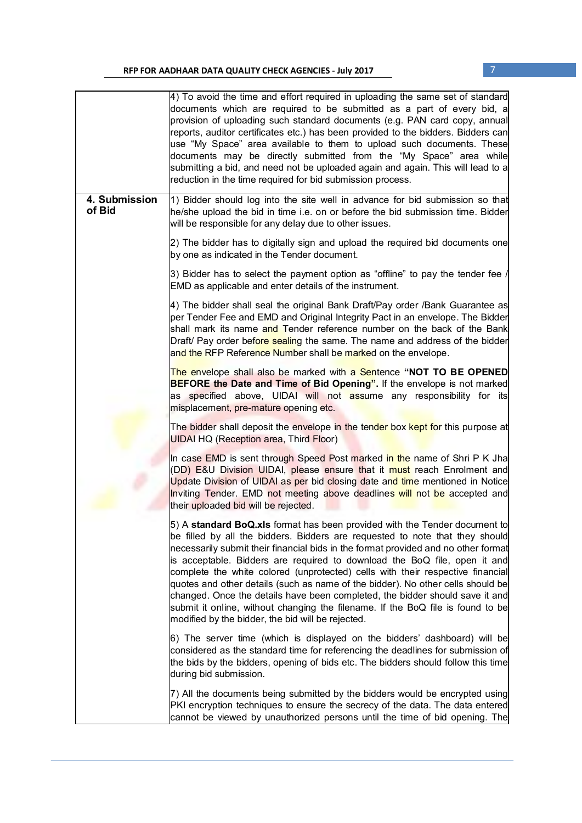|                         | 4) To avoid the time and effort required in uploading the same set of standard<br>documents which are required to be submitted as a part of every bid, a<br>provision of uploading such standard documents (e.g. PAN card copy, annual<br>reports, auditor certificates etc.) has been provided to the bidders. Bidders can<br>use "My Space" area available to them to upload such documents. These<br>documents may be directly submitted from the "My Space" area while<br>submitting a bid, and need not be uploaded again and again. This will lead to a<br>reduction in the time required for bid submission process.                                                                                                |
|-------------------------|----------------------------------------------------------------------------------------------------------------------------------------------------------------------------------------------------------------------------------------------------------------------------------------------------------------------------------------------------------------------------------------------------------------------------------------------------------------------------------------------------------------------------------------------------------------------------------------------------------------------------------------------------------------------------------------------------------------------------|
| 4. Submission<br>of Bid | 1) Bidder should log into the site well in advance for bid submission so that<br>he/she upload the bid in time i.e. on or before the bid submission time. Bidder<br>will be responsible for any delay due to other issues.                                                                                                                                                                                                                                                                                                                                                                                                                                                                                                 |
|                         | 2) The bidder has to digitally sign and upload the required bid documents one<br>by one as indicated in the Tender document.                                                                                                                                                                                                                                                                                                                                                                                                                                                                                                                                                                                               |
|                         | 3) Bidder has to select the payment option as "offline" to pay the tender fee /<br>EMD as applicable and enter details of the instrument.                                                                                                                                                                                                                                                                                                                                                                                                                                                                                                                                                                                  |
|                         | 4) The bidder shall seal the original Bank Draft/Pay order /Bank Guarantee as<br>per Tender Fee and EMD and Original Integrity Pact in an envelope. The Bidder<br>shall mark its name and Tender reference number on the back of the Bank<br>Draft/ Pay order before sealing the same. The name and address of the bidder<br>and the RFP Reference Number shall be marked on the envelope.                                                                                                                                                                                                                                                                                                                                 |
|                         | The envelope shall also be marked with a Sentence "NOT TO BE OPENED<br><b>BEFORE the Date and Time of Bid Opening".</b> If the envelope is not marked<br>as specified above, UIDAI will not assume any responsibility for its<br>misplacement, pre-mature opening etc.                                                                                                                                                                                                                                                                                                                                                                                                                                                     |
|                         | The bidder shall deposit the envelope in the tender box kept for this purpose at<br><b>UIDAI HQ (Reception area, Third Floor)</b>                                                                                                                                                                                                                                                                                                                                                                                                                                                                                                                                                                                          |
|                         | In case EMD is sent through Speed Post marked in the name of Shri P K Jha<br>(DD) E&U Division UIDAI, please ensure that it must reach Enrolment and<br>Update Division of UIDAI as per bid closing date and time mentioned in Notice<br>Inviting Tender. EMD not meeting above deadlines will not be accepted and<br>their uploaded bid will be rejected.                                                                                                                                                                                                                                                                                                                                                                 |
|                         | 5) A standard BoQ.xls format has been provided with the Tender document to<br>be filled by all the bidders. Bidders are requested to note that they should<br>necessarily submit their financial bids in the format provided and no other format<br>is acceptable. Bidders are required to download the BoQ file, open it and<br>complete the white colored (unprotected) cells with their respective financial<br>quotes and other details (such as name of the bidder). No other cells should be<br>changed. Once the details have been completed, the bidder should save it and<br>submit it online, without changing the filename. If the BoQ file is found to be<br>modified by the bidder, the bid will be rejected. |
|                         | 6) The server time (which is displayed on the bidders' dashboard) will be<br>considered as the standard time for referencing the deadlines for submission of<br>the bids by the bidders, opening of bids etc. The bidders should follow this time<br>during bid submission.                                                                                                                                                                                                                                                                                                                                                                                                                                                |
|                         | 7) All the documents being submitted by the bidders would be encrypted using<br>PKI encryption techniques to ensure the secrecy of the data. The data entered<br>cannot be viewed by unauthorized persons until the time of bid opening. The                                                                                                                                                                                                                                                                                                                                                                                                                                                                               |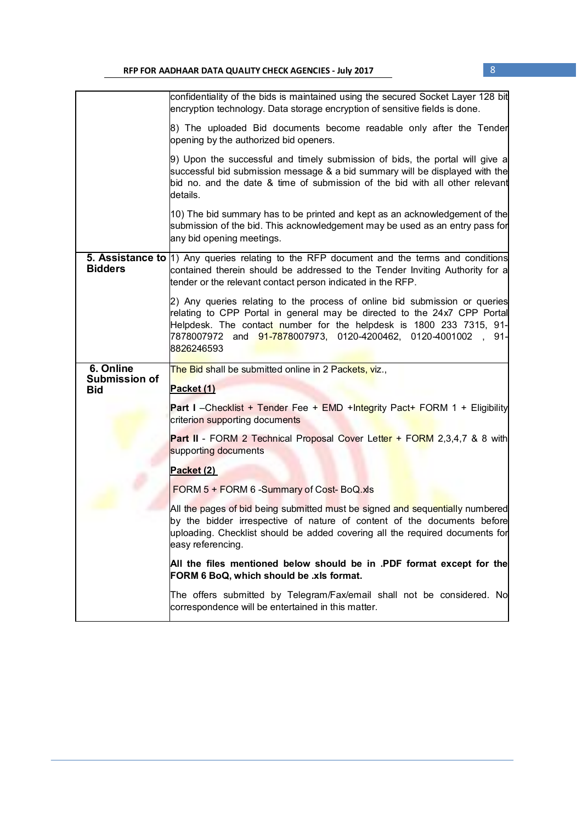|                                    | confidentiality of the bids is maintained using the secured Socket Layer 128 bit<br>encryption technology. Data storage encryption of sensitive fields is done.                                                                                                                                                                                                                                                                                                                                                                |
|------------------------------------|--------------------------------------------------------------------------------------------------------------------------------------------------------------------------------------------------------------------------------------------------------------------------------------------------------------------------------------------------------------------------------------------------------------------------------------------------------------------------------------------------------------------------------|
|                                    | 8) The uploaded Bid documents become readable only after the Tender<br>opening by the authorized bid openers.                                                                                                                                                                                                                                                                                                                                                                                                                  |
|                                    | 9) Upon the successful and timely submission of bids, the portal will give a<br>successful bid submission message & a bid summary will be displayed with the<br>bid no. and the date & time of submission of the bid with all other relevant<br>details.                                                                                                                                                                                                                                                                       |
|                                    | 10) The bid summary has to be printed and kept as an acknowledgement of the<br>submission of the bid. This acknowledgement may be used as an entry pass for<br>any bid opening meetings.                                                                                                                                                                                                                                                                                                                                       |
| <b>Bidders</b>                     | <b>5. Assistance to </b> [1] Any queries relating to the RFP document and the terms and conditions<br>contained therein should be addressed to the Tender Inviting Authority for a<br>tender or the relevant contact person indicated in the RFP.                                                                                                                                                                                                                                                                              |
|                                    | 2) Any queries relating to the process of online bid submission or queries<br>relating to CPP Portal in general may be directed to the 24x7 CPP Portal<br>Helpdesk. The contact number for the helpdesk is 1800 233 7315, 91-<br>7878007972 and 9 <mark>1-787</mark> 8007973, 0120-4200462, 0120-4001002 , 91-<br>8826246593                                                                                                                                                                                                   |
|                                    |                                                                                                                                                                                                                                                                                                                                                                                                                                                                                                                                |
| 6. Online                          | The Bid shall be submitted online in 2 Packets, viz.,                                                                                                                                                                                                                                                                                                                                                                                                                                                                          |
| <b>Submission of</b><br><b>Bid</b> | Packet (1)                                                                                                                                                                                                                                                                                                                                                                                                                                                                                                                     |
|                                    | criterion supporting documents                                                                                                                                                                                                                                                                                                                                                                                                                                                                                                 |
|                                    | supporting documents                                                                                                                                                                                                                                                                                                                                                                                                                                                                                                           |
|                                    | Packet (2)                                                                                                                                                                                                                                                                                                                                                                                                                                                                                                                     |
|                                    | FORM 5 + FORM 6 -Summary of Cost-BoQ.xls                                                                                                                                                                                                                                                                                                                                                                                                                                                                                       |
|                                    | easy referencing.                                                                                                                                                                                                                                                                                                                                                                                                                                                                                                              |
|                                    | Part I -Checklist + Tender Fee + EMD +Integrity Pact+ FORM 1 + Eligibility<br><b>Part II</b> - FORM 2 Technical Proposal Cover Letter + FORM 2,3,4,7 & 8 with<br>All the pages of bid being submitted must be signed and sequentially numbered<br>by the bidder irrespective of nature of content of the documents before<br>uploading. Checklist should be added covering all the required documents for<br>All the files mentioned below should be in .PDF format except for the<br>FORM 6 BoQ, which should be .xls format. |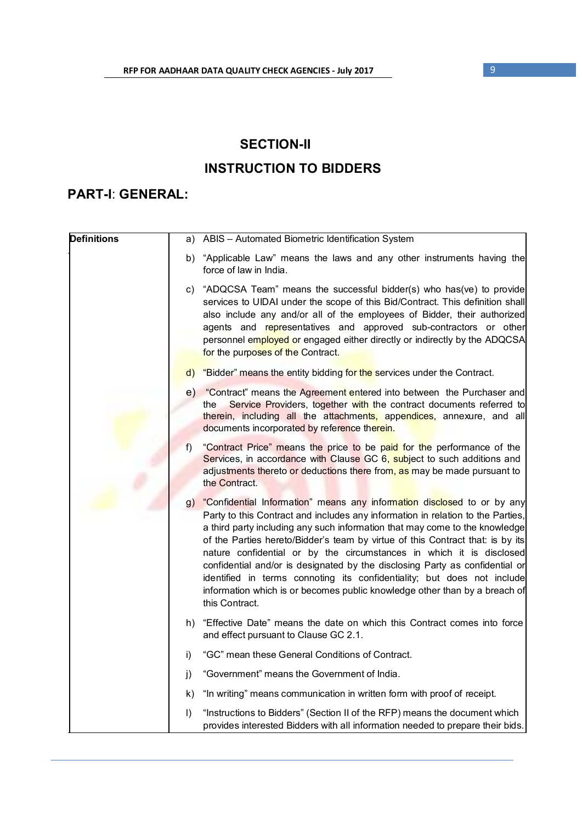### **SECTION-II**

## **INSTRUCTION TO BIDDERS**

### **PART-I**: **GENERAL:**

| <b>Definitions</b> |         | a) ABIS - Automated Biometric Identification System                                                                                                                                                                                                                                                                                                                                                                                                                                                                                                                                                                                                               |
|--------------------|---------|-------------------------------------------------------------------------------------------------------------------------------------------------------------------------------------------------------------------------------------------------------------------------------------------------------------------------------------------------------------------------------------------------------------------------------------------------------------------------------------------------------------------------------------------------------------------------------------------------------------------------------------------------------------------|
|                    |         | b) "Applicable Law" means the laws and any other instruments having the<br>force of law in India.                                                                                                                                                                                                                                                                                                                                                                                                                                                                                                                                                                 |
|                    |         | c) "ADQCSA Team" means the successful bidder(s) who has(ve) to provide<br>services to UIDAI under the scope of this Bid/Contract. This definition shall<br>also include any and/or all of the employees of Bidder, their authorized<br>agents and representatives and approved sub-contractors or other<br>personnel employed or engaged either directly or indirectly by the ADQCSA<br>for the purposes of the Contract.                                                                                                                                                                                                                                         |
|                    |         | d) "Bidder" means the entity bidding for the services under the Contract.                                                                                                                                                                                                                                                                                                                                                                                                                                                                                                                                                                                         |
|                    |         | e) "Contract" means the Agreement entered into between the Purchaser and<br>Service Providers, together with the contract documents referred to<br>the.<br>therein, including all the attachments, appendices, annexure, and all<br>documents incorporated by reference therein.                                                                                                                                                                                                                                                                                                                                                                                  |
|                    | f)      | "Contract Price" means the price to be paid for the performance of the<br>Services, in accordance with Clause GC 6, subject to such additions and<br>adjustments thereto or deductions there from, as may be made pursuant to<br>the Contract.                                                                                                                                                                                                                                                                                                                                                                                                                    |
|                    |         | g) "Confidential Information" means any information disclosed to or by any<br>Party to this Contract and includes any information in relation to the Parties,<br>a third party including any such information that may come to the knowledge<br>of the Parties hereto/Bidder's team by virtue of this Contract that: is by its<br>nature confidential or by the circumstances in which it is disclosed<br>confidential and/or is designated by the disclosing Party as confidential or<br>identified in terms connoting its confidentiality; but does not include<br>information which is or becomes public knowledge other than by a breach of<br>this Contract. |
|                    | h)      | "Effective Date" means the date on which this Contract comes into force<br>and effect pursuant to Clause GC 2.1.                                                                                                                                                                                                                                                                                                                                                                                                                                                                                                                                                  |
|                    | i)      | "GC" mean these General Conditions of Contract.                                                                                                                                                                                                                                                                                                                                                                                                                                                                                                                                                                                                                   |
|                    | j)      | "Government" means the Government of India.                                                                                                                                                                                                                                                                                                                                                                                                                                                                                                                                                                                                                       |
|                    | k).     | "In writing" means communication in written form with proof of receipt.                                                                                                                                                                                                                                                                                                                                                                                                                                                                                                                                                                                           |
|                    | $\vert$ | "Instructions to Bidders" (Section II of the RFP) means the document which<br>provides interested Bidders with all information needed to prepare their bids.                                                                                                                                                                                                                                                                                                                                                                                                                                                                                                      |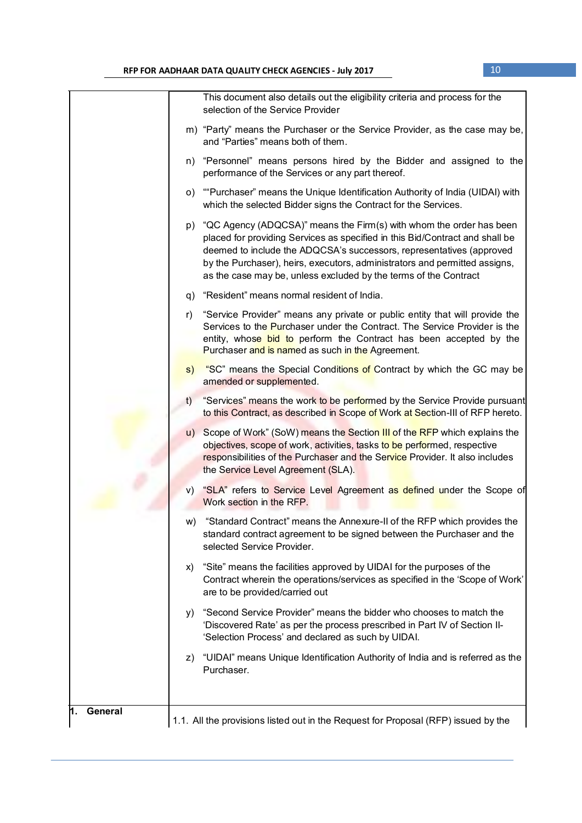|    | This document also details out the eligibility criteria and process for the<br>selection of the Service Provider                                                                                                                                                                                                                                                                 |
|----|----------------------------------------------------------------------------------------------------------------------------------------------------------------------------------------------------------------------------------------------------------------------------------------------------------------------------------------------------------------------------------|
|    | m) "Party" means the Purchaser or the Service Provider, as the case may be,<br>and "Parties" means both of them.                                                                                                                                                                                                                                                                 |
|    | n) "Personnel" means persons hired by the Bidder and assigned to the<br>performance of the Services or any part thereof.                                                                                                                                                                                                                                                         |
|    | o) ""Purchaser" means the Unique Identification Authority of India (UIDAI) with<br>which the selected Bidder signs the Contract for the Services.                                                                                                                                                                                                                                |
|    | p) "QC Agency (ADQCSA)" means the Firm(s) with whom the order has been<br>placed for providing Services as specified in this Bid/Contract and shall be<br>deemed to include the ADQCSA's successors, representatives (approved<br>by the Purchaser), heirs, executors, administrators and permitted assigns,<br>as the case may be, unless excluded by the terms of the Contract |
|    | q) "Resident" means normal resident of India.                                                                                                                                                                                                                                                                                                                                    |
| r) | "Service Provider" means any private or public entity that will provide the<br>Services to the <b>Purchaser under the Contract</b> . The Service Provider is the<br>entity, whose bid to perform the Contract has been accepted by the<br>Purchaser and is named as such in the Agreement.                                                                                       |
|    | s) "SC" means the Special Conditions of Contract by which the GC may be<br>amended or supplemented.                                                                                                                                                                                                                                                                              |
| t) | "Services" means the work to be performed by the Service Provide pursuant<br>to this Contract, as described in Scope of Work at Section-III of RFP hereto.                                                                                                                                                                                                                       |
|    | u) Scope of Work" (SoW) means the Section III of the RFP which explains the<br>objectives, scope of work, activities, tasks to be performed, respective<br>responsibilities of the Purchaser and the Service Provider. It also includes<br>the Service Level Agreement (SLA).                                                                                                    |
|    | v) "SLA" refers to Service Level Agreement as defined under the Scope of<br>Work section in the RFP.                                                                                                                                                                                                                                                                             |
| w) | "Standard Contract" means the Annexure-II of the RFP which provides the<br>standard contract agreement to be signed between the Purchaser and the<br>selected Service Provider.                                                                                                                                                                                                  |
| X) | "Site" means the facilities approved by UIDAI for the purposes of the<br>Contract wherein the operations/services as specified in the 'Scope of Work'<br>are to be provided/carried out                                                                                                                                                                                          |
| y) | "Second Service Provider" means the bidder who chooses to match the<br>'Discovered Rate' as per the process prescribed in Part IV of Section II-<br>'Selection Process' and declared as such by UIDAI.                                                                                                                                                                           |
| Z) | "UIDAI" means Unique Identification Authority of India and is referred as the<br>Purchaser.                                                                                                                                                                                                                                                                                      |
|    |                                                                                                                                                                                                                                                                                                                                                                                  |

1.1. All the provisions listed out in the Request for Proposal (RFP) issued by the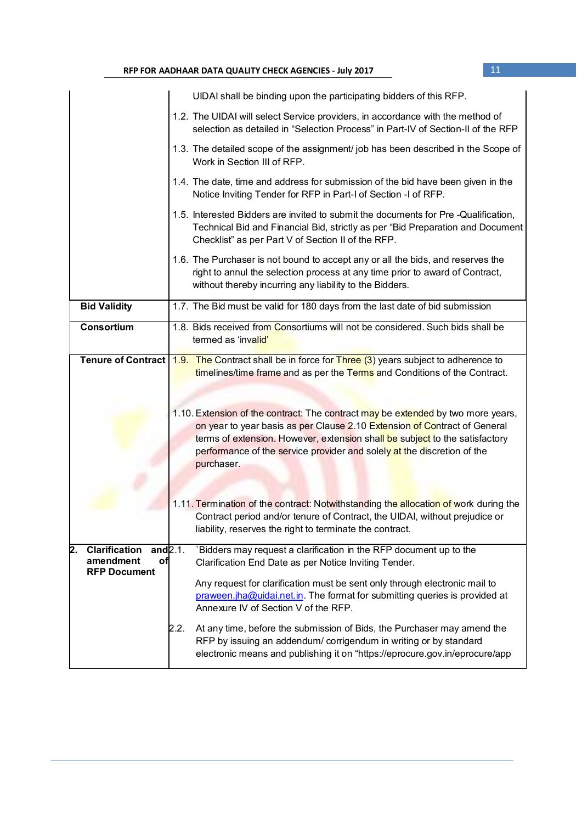|                                                              | UIDAI shall be binding upon the participating bidders of this RFP.                                                                                                                                                                                |
|--------------------------------------------------------------|---------------------------------------------------------------------------------------------------------------------------------------------------------------------------------------------------------------------------------------------------|
|                                                              | 1.2. The UIDAI will select Service providers, in accordance with the method of<br>selection as detailed in "Selection Process" in Part-IV of Section-II of the RFP                                                                                |
|                                                              | 1.3. The detailed scope of the assignment/ job has been described in the Scope of<br>Work in Section III of RFP.                                                                                                                                  |
|                                                              | 1.4. The date, time and address for submission of the bid have been given in the<br>Notice Inviting Tender for RFP in Part-I of Section -I of RFP.                                                                                                |
|                                                              | 1.5. Interested Bidders are invited to submit the documents for Pre-Qualification,<br>Technical Bid and Financial Bid, strictly as per "Bid Preparation and Document<br>Checklist" as per Part V of Section II of the RFP.                        |
|                                                              | 1.6. The Purchaser is not bound to accept any or all the bids, and reserves the<br>right to annul the selection process at any time prior to award of Contract,<br>without thereby incurring any liability to the Bidders.                        |
| <b>Bid Validity</b>                                          | 1.7. The Bid must be valid for 180 days from the last date of bid submission                                                                                                                                                                      |
| <b>Consortium</b>                                            | 1.8. Bids received from Consortiums will not be considered. Such bids shall be<br>termed as 'invalid'                                                                                                                                             |
| <b>Tenure of Contract</b>                                    | 1.9. The Contract shall be in force for Three (3) years subject to adherence to<br>timelines/time frame and as per the Terms and Conditions of the Contract.<br>1.10. Extension of the contract: The contract may be extended by two more years,  |
|                                                              | on year to year basis as per Clause 2.10 Extension of Contract of General<br>terms of extension. However, extension shall be subject to the satisfactory<br>performance of the service provider and solely at the discretion of the<br>purchaser. |
|                                                              | 1.11. Termination of the contract: Notwithstanding the allocation of work during the<br>Contract period and/or tenure of Contract, the UIDAI, without prejudice or<br>liability, reserves the right to terminate the contract.                    |
| 2.<br>and $2.1$ .<br><b>Clarification</b><br>amendment<br>оf | Bidders may request a clarification in the RFP document up to the<br>Clarification End Date as per Notice Inviting Tender.                                                                                                                        |
| <b>RFP Document</b>                                          | Any request for clarification must be sent only through electronic mail to<br>praween.jha@uidai.net.in. The format for submitting queries is provided at<br>Annexure IV of Section V of the RFP.                                                  |
|                                                              | 2.2.<br>At any time, before the submission of Bids, the Purchaser may amend the<br>RFP by issuing an addendum/ corrigendum in writing or by standard<br>electronic means and publishing it on "https://eprocure.gov.in/eprocure/app               |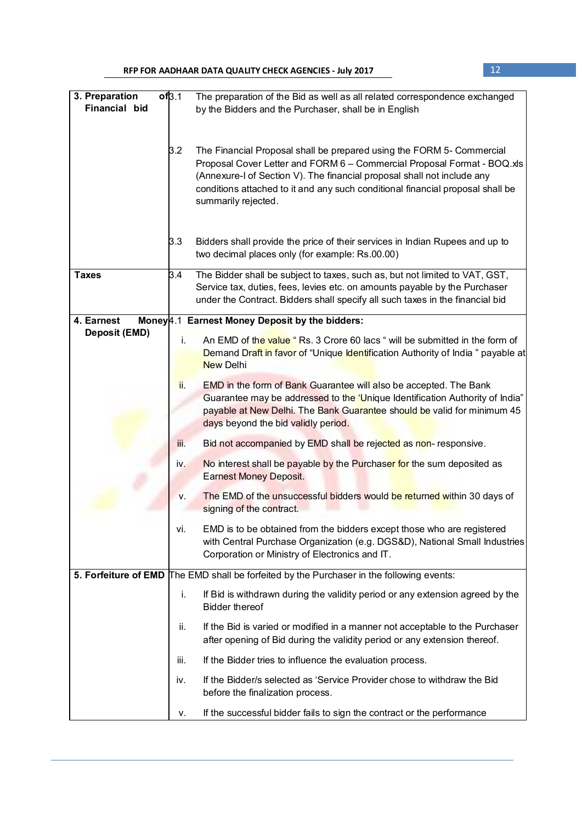| 3. Preparation<br><b>Financial bid</b> | of 3.1 | The preparation of the Bid as well as all related correspondence exchanged<br>by the Bidders and the Purchaser, shall be in English                                                                                                                                                                                                  |
|----------------------------------------|--------|--------------------------------------------------------------------------------------------------------------------------------------------------------------------------------------------------------------------------------------------------------------------------------------------------------------------------------------|
|                                        |        |                                                                                                                                                                                                                                                                                                                                      |
|                                        | 3.2    | The Financial Proposal shall be prepared using the FORM 5- Commercial<br>Proposal Cover Letter and FORM 6 - Commercial Proposal Format - BOQ.xls<br>(Annexure-I of Section V). The financial proposal shall not include any<br>conditions attached to it and any such conditional financial proposal shall be<br>summarily rejected. |
|                                        | 3.3    | Bidders shall provide the price of their services in Indian Rupees and up to<br>two decimal places only (for example: Rs.00.00)                                                                                                                                                                                                      |
| <b>Taxes</b>                           | 3.4    | The Bidder shall be subject to taxes, such as, but not limited to VAT, GST,<br>Service tax, duties, fees, levies etc. on amounts payable by the Purchaser<br>under the Contract. Bidders shall specify all such taxes in the financial bid                                                                                           |
| 4. Earnest                             |        | Money <sup>4.1</sup> Earnest Money Deposit by the bidders:                                                                                                                                                                                                                                                                           |
| Deposit (EMD)                          | i.     | An EMD of the value "Rs. 3 Crore 60 lacs " will be submitted in the form of<br>Demand Draft in favor of "Unique Identification Authority of India" payable at<br><b>New Delhi</b>                                                                                                                                                    |
|                                        | ii.    | EMD in the form of Bank Guarantee will also be accepted. The Bank<br>Guarantee may be addressed to the 'Unique Identification Authority of India"<br>payable at New Delhi. The Bank Guarantee should be valid for minimum 45<br>days beyond the bid validly period.                                                                  |
|                                        | iii.   | Bid not accompanied by EMD shall be rejected as non-responsive.                                                                                                                                                                                                                                                                      |
|                                        | iv.    | No interest shall be payable by the Purchaser for the sum deposited as<br><b>Earnest Money Deposit.</b>                                                                                                                                                                                                                              |
|                                        | v.     | The EMD of the unsuccessful bidders would be returned within 30 days of<br>signing of the contract.                                                                                                                                                                                                                                  |
|                                        | VI.    | EMD is to be obtained from the bidders except those who are registered<br>with Central Purchase Organization (e.g. DGS&D), National Small Industries<br>Corporation or Ministry of Electronics and IT.                                                                                                                               |
|                                        |        | 5. Forfeiture of EMD The EMD shall be forfeited by the Purchaser in the following events:                                                                                                                                                                                                                                            |
|                                        | i.     | If Bid is withdrawn during the validity period or any extension agreed by the<br><b>Bidder thereof</b>                                                                                                                                                                                                                               |
|                                        | ii.    | If the Bid is varied or modified in a manner not acceptable to the Purchaser<br>after opening of Bid during the validity period or any extension thereof.                                                                                                                                                                            |
|                                        | iii.   | If the Bidder tries to influence the evaluation process.                                                                                                                                                                                                                                                                             |
|                                        | İV.    | If the Bidder/s selected as 'Service Provider chose to withdraw the Bid<br>before the finalization process.                                                                                                                                                                                                                          |
|                                        | ۷.     | If the successful bidder fails to sign the contract or the performance                                                                                                                                                                                                                                                               |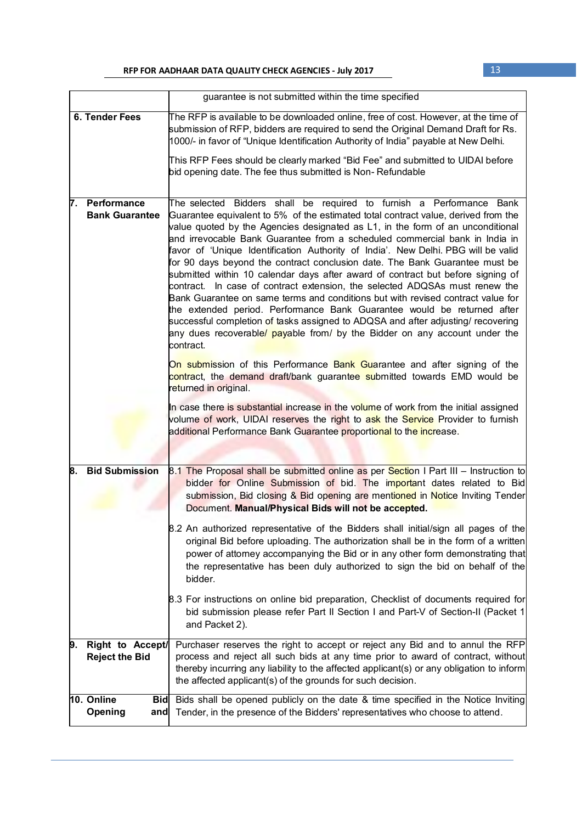|                |                                            | guarantee is not submitted within the time specified                                                                                                                                                                                                                                                                                                                                                                                                                                                                                                                                                                                                                                                                                                                                                                                                                                                                                                                                                           |
|----------------|--------------------------------------------|----------------------------------------------------------------------------------------------------------------------------------------------------------------------------------------------------------------------------------------------------------------------------------------------------------------------------------------------------------------------------------------------------------------------------------------------------------------------------------------------------------------------------------------------------------------------------------------------------------------------------------------------------------------------------------------------------------------------------------------------------------------------------------------------------------------------------------------------------------------------------------------------------------------------------------------------------------------------------------------------------------------|
| 6. Tender Fees |                                            | The RFP is available to be downloaded online, free of cost. However, at the time of<br>submission of RFP, bidders are required to send the Original Demand Draft for Rs.<br>1000/- in favor of "Unique Identification Authority of India" payable at New Delhi.                                                                                                                                                                                                                                                                                                                                                                                                                                                                                                                                                                                                                                                                                                                                                |
|                |                                            | This RFP Fees should be clearly marked "Bid Fee" and submitted to UIDAI before<br>bid opening date. The fee thus submitted is Non-Refundable                                                                                                                                                                                                                                                                                                                                                                                                                                                                                                                                                                                                                                                                                                                                                                                                                                                                   |
| 7.             | Performance<br><b>Bank Guarantee</b>       | The selected Bidders shall be required to furnish a Performance Bank<br>Guarantee equivalent to 5% of the estimated total contract value, derived from the<br>value quoted by the Agencies designated as L1, in the form of an unconditional<br>and irrevocable Bank Guarantee from a scheduled commercial bank in India in<br>favor of 'Unique Identification Authority of India'. New Delhi. PBG will be valid<br>for 90 days beyond the contract conclusion date. The Bank Guarantee must be<br>submitted within 10 calendar days after award of contract but before signing of<br>contract. In case of contract extension, the selected ADQSAs must renew the<br>Bank Guarantee on same terms and conditions but with revised contract value for<br>the extended period. Performance Bank Guarantee would be returned after<br>successful completion of tasks assigned to ADQSA and after adjusting/ recovering<br>any dues recoverable/ payable from/ by the Bidder on any account under the<br>contract. |
|                |                                            | On submission of this Performance Bank Guarantee and after signing of the<br>contract, the demand draft/bank guarantee submitted towards EMD would be<br>returned in original.                                                                                                                                                                                                                                                                                                                                                                                                                                                                                                                                                                                                                                                                                                                                                                                                                                 |
|                |                                            | In case there is substantial increase in the volume of work from the initial assigned<br>volume of work, UIDAI reserves the right to ask the Service Provider to furnish<br>additional Performance Bank Guarantee proportional to the increase.                                                                                                                                                                                                                                                                                                                                                                                                                                                                                                                                                                                                                                                                                                                                                                |
| 8.             | <b>Bid Submission</b>                      | 8.1 The Proposal shall be submitted online as per Section I Part III - Instruction to<br>bidder for Online Submission of bid. The important dates related to Bid<br>submission, Bid closing & Bid opening are mentioned in Notice Inviting Tender<br>Document. Manual/Physical Bids will not be accepted.                                                                                                                                                                                                                                                                                                                                                                                                                                                                                                                                                                                                                                                                                                      |
|                |                                            | 8.2 An authorized representative of the Bidders shall initial/sign all pages of the<br>original Bid before uploading. The authorization shall be in the form of a written<br>power of attorney accompanying the Bid or in any other form demonstrating that<br>the representative has been duly authorized to sign the bid on behalf of the<br>bidder.                                                                                                                                                                                                                                                                                                                                                                                                                                                                                                                                                                                                                                                         |
|                |                                            | 8.3 For instructions on online bid preparation, Checklist of documents required for<br>bid submission please refer Part II Section I and Part-V of Section-II (Packet 1<br>and Packet 2).                                                                                                                                                                                                                                                                                                                                                                                                                                                                                                                                                                                                                                                                                                                                                                                                                      |
| 9.             | Right to Accept/<br><b>Reject the Bid</b>  | Purchaser reserves the right to accept or reject any Bid and to annul the RFP<br>process and reject all such bids at any time prior to award of contract, without<br>thereby incurring any liability to the affected applicant(s) or any obligation to inform<br>the affected applicant(s) of the grounds for such decision.                                                                                                                                                                                                                                                                                                                                                                                                                                                                                                                                                                                                                                                                                   |
|                | 10. Online<br><b>Bid</b><br>Opening<br>and | Bids shall be opened publicly on the date & time specified in the Notice Inviting<br>Tender, in the presence of the Bidders' representatives who choose to attend.                                                                                                                                                                                                                                                                                                                                                                                                                                                                                                                                                                                                                                                                                                                                                                                                                                             |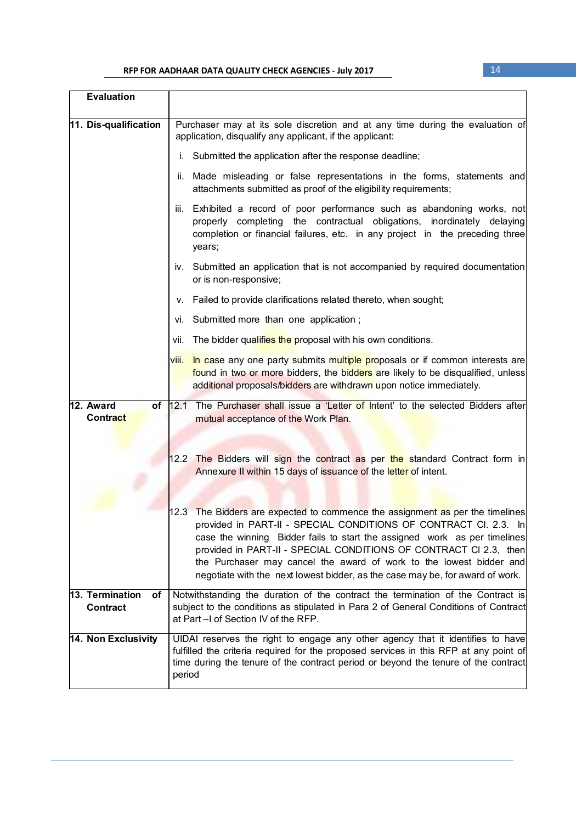| <b>Evaluation</b>                               |                                                                                                                                                                                                                                                                                                                                                                                                                                                             |  |  |
|-------------------------------------------------|-------------------------------------------------------------------------------------------------------------------------------------------------------------------------------------------------------------------------------------------------------------------------------------------------------------------------------------------------------------------------------------------------------------------------------------------------------------|--|--|
| 11. Dis-qualification                           | Purchaser may at its sole discretion and at any time during the evaluation of<br>application, disqualify any applicant, if the applicant:                                                                                                                                                                                                                                                                                                                   |  |  |
|                                                 | i. Submitted the application after the response deadline;                                                                                                                                                                                                                                                                                                                                                                                                   |  |  |
|                                                 | Made misleading or false representations in the forms, statements and<br>Ш.<br>attachments submitted as proof of the eligibility requirements;                                                                                                                                                                                                                                                                                                              |  |  |
|                                                 | iii. Exhibited a record of poor performance such as abandoning works, not<br>properly completing the contractual obligations, inordinately delaying<br>completion or financial failures, etc. in any project in the preceding three<br>years;                                                                                                                                                                                                               |  |  |
|                                                 | iv. Submitted an application that is not accompanied by required documentation<br>or is non-responsive;                                                                                                                                                                                                                                                                                                                                                     |  |  |
|                                                 | Failed to provide clarifications related thereto, when sought;<br>v.                                                                                                                                                                                                                                                                                                                                                                                        |  |  |
|                                                 | Submitted more than one application;<br>Vİ.                                                                                                                                                                                                                                                                                                                                                                                                                 |  |  |
|                                                 | The bidder qualifies the proposal with his own conditions.<br>VII.                                                                                                                                                                                                                                                                                                                                                                                          |  |  |
|                                                 | In case any one party submits multiple proposals or if common interests are<br>VIII.<br>found in two or more bidders, the bidders are likely to be disqualified, unless<br>additional proposals/bidders are withdrawn upon notice immediately.                                                                                                                                                                                                              |  |  |
| 12. Award<br><b>Contract</b>                    | of 12.1 The Purchaser shall issue a 'Letter of Intent' to the selected Bidders after<br>mutual acceptance of the Work Plan.                                                                                                                                                                                                                                                                                                                                 |  |  |
|                                                 | 12.2 The Bidders will sign the contract as per the standard Contract form in<br>Annexure II within 15 days of issuance of the letter of intent.                                                                                                                                                                                                                                                                                                             |  |  |
|                                                 | 12.3 The Bidders are expected to commence the assignment as per the timelines<br>provided in PART-II - SPECIAL CONDITIONS OF CONTRACT CI. 2.3. In<br>case the winning Bidder fails to start the assigned work as per timelines<br>provided in PART-II - SPECIAL CONDITIONS OF CONTRACT CI 2.3, then<br>the Purchaser may cancel the award of work to the lowest bidder and<br>negotiate with the next lowest bidder, as the case may be, for award of work. |  |  |
| <b>13. Termination</b><br>of<br><b>Contract</b> | Notwithstanding the duration of the contract the termination of the Contract is<br>subject to the conditions as stipulated in Para 2 of General Conditions of Contract<br>at Part -I of Section IV of the RFP.                                                                                                                                                                                                                                              |  |  |
| 14. Non Exclusivity                             | UIDAI reserves the right to engage any other agency that it identifies to have<br>fulfilled the criteria required for the proposed services in this RFP at any point of<br>time during the tenure of the contract period or beyond the tenure of the contract<br>period                                                                                                                                                                                     |  |  |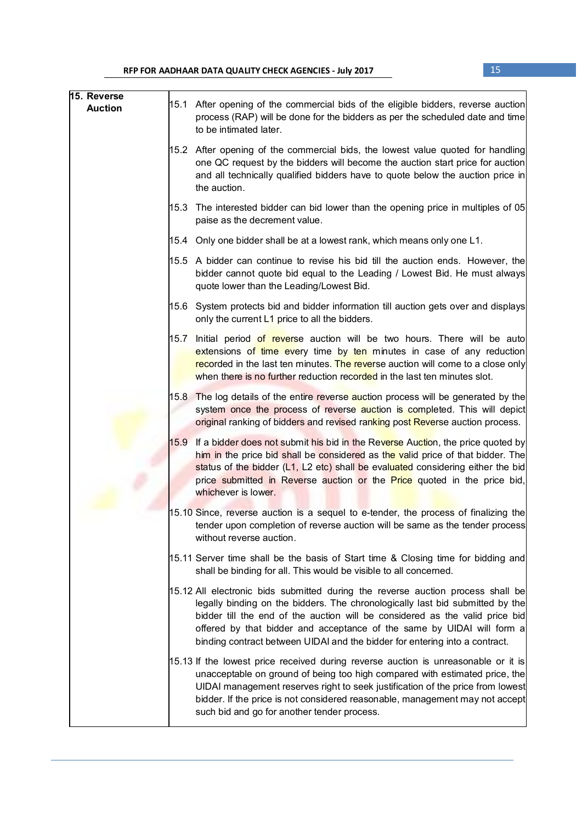| 15. Reverse    |      |                                                                                                                                                                                                                                                                                                                                                                                                           |
|----------------|------|-----------------------------------------------------------------------------------------------------------------------------------------------------------------------------------------------------------------------------------------------------------------------------------------------------------------------------------------------------------------------------------------------------------|
| <b>Auction</b> |      | 15.1 After opening of the commercial bids of the eligible bidders, reverse auction<br>process (RAP) will be done for the bidders as per the scheduled date and time<br>to be intimated later.                                                                                                                                                                                                             |
|                |      | 15.2 After opening of the commercial bids, the lowest value quoted for handling<br>one QC request by the bidders will become the auction start price for auction<br>and all technically qualified bidders have to quote below the auction price in<br>the auction.                                                                                                                                        |
|                |      | 15.3 The interested bidder can bid lower than the opening price in multiples of 05<br>paise as the decrement value.                                                                                                                                                                                                                                                                                       |
|                |      | 15.4 Only one bidder shall be at a lowest rank, which means only one L1.                                                                                                                                                                                                                                                                                                                                  |
|                |      | 15.5 A bidder can continue to revise his bid till the auction ends. However, the<br>bidder cannot quote bid equal to the Leading / Lowest Bid. He must always<br>quote lower than the Leading/Lowest Bid.                                                                                                                                                                                                 |
|                |      | 15.6 System protects bid and bidder information till auction gets over and displays<br>only the current L1 price to all the bidders.                                                                                                                                                                                                                                                                      |
|                | 15.7 | Initial period of reverse auction will be two hours. There will be auto<br>extensions of time every time by ten minutes in case of any reduction<br>recorded in the last ten minutes. The reverse auction will come to a close only<br>when there is no further reduction recorded in the last ten minutes slot.                                                                                          |
|                |      | 15.8 The log details of the entire reverse auction process will be generated by the<br>system once the process of reverse auction is completed. This will depict<br>original ranking of bidders and revised ranking post Reverse auction process.                                                                                                                                                         |
|                | 15.9 | If a bidder does not submit his bid in the Reverse Auction, the price quoted by<br>him in the price bid shall be considered as the valid price of that bidder. The<br>status of the bidder (L1, L2 etc) shall be evaluated considering either the bid<br>price submitted in Reverse auction or the Price quoted in the price bid,<br>whichever is lower.                                                  |
|                |      | 15.10 Since, reverse auction is a sequel to e-tender, the process of finalizing the<br>tender upon completion of reverse auction will be same as the tender process<br>without reverse auction.                                                                                                                                                                                                           |
|                |      | [15.11 Server time shall be the basis of Start time & Closing time for bidding and<br>shall be binding for all. This would be visible to all concerned.                                                                                                                                                                                                                                                   |
|                |      | 15.12 All electronic bids submitted during the reverse auction process shall be<br>legally binding on the bidders. The chronologically last bid submitted by the<br>bidder till the end of the auction will be considered as the valid price bid<br>offered by that bidder and acceptance of the same by UIDAI will form a<br>binding contract between UIDAI and the bidder for entering into a contract. |
|                |      | 15.13 If the lowest price received during reverse auction is unreasonable or it is<br>unacceptable on ground of being too high compared with estimated price, the<br>UIDAI management reserves right to seek justification of the price from lowest<br>bidder. If the price is not considered reasonable, management may not accept<br>such bid and go for another tender process.                        |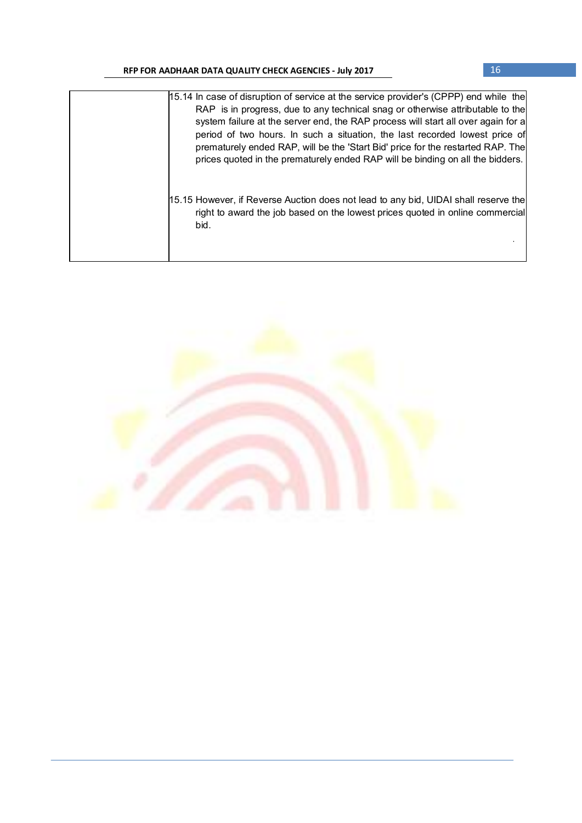| 15.14 In case of disruption of service at the service provider's (CPPP) end while the<br>RAP is in progress, due to any technical snag or otherwise attributable to the<br>system failure at the server end, the RAP process will start all over again for a<br>period of two hours. In such a situation, the last recorded lowest price of<br>prematurely ended RAP, will be the 'Start Bid' price for the restarted RAP. The<br>prices quoted in the prematurely ended RAP will be binding on all the bidders. |
|------------------------------------------------------------------------------------------------------------------------------------------------------------------------------------------------------------------------------------------------------------------------------------------------------------------------------------------------------------------------------------------------------------------------------------------------------------------------------------------------------------------|
| 15.15 However, if Reverse Auction does not lead to any bid, UIDAI shall reserve the<br>right to award the job based on the lowest prices quoted in online commercial<br>bid.                                                                                                                                                                                                                                                                                                                                     |

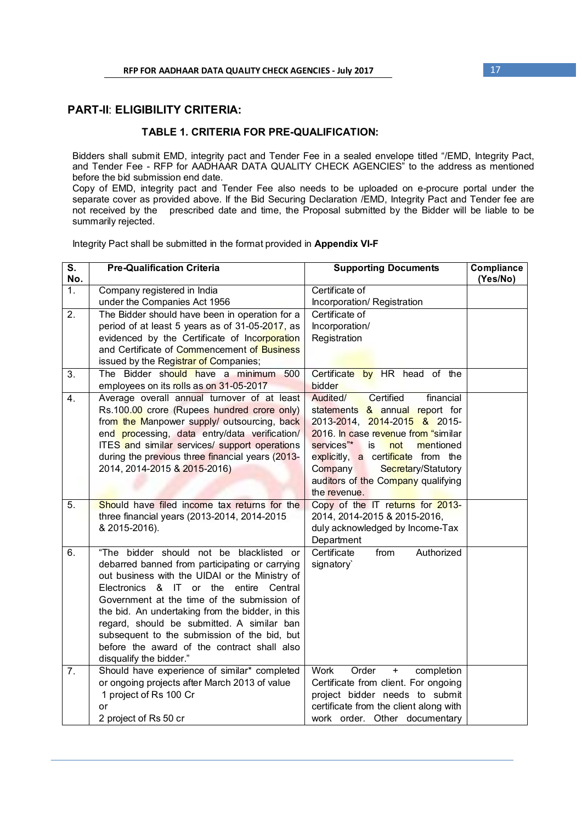### **PART-II**: **ELIGIBILITY CRITERIA:**

### **TABLE 1. CRITERIA FOR PRE-QUALIFICATION:**

Bidders shall submit EMD, integrity pact and Tender Fee in a sealed envelope titled "/EMD, Integrity Pact, and Tender Fee - RFP for AADHAAR DATA QUALITY CHECK AGENCIES" to the address as mentioned before the bid submission end date.

Copy of EMD, integrity pact and Tender Fee also needs to be uploaded on e-procure portal under the separate cover as provided above. If the Bid Securing Declaration /EMD, Integrity Pact and Tender fee are not received by the prescribed date and time, the Proposal submitted by the Bidder will be liable to be summarily rejected.

Integrity Pact shall be submitted in the format provided in **Appendix VI-F**

| $\overline{\mathsf{s}}$ .<br>No. | <b>Pre-Qualification Criteria</b>                            | <b>Supporting Documents</b>                                     | <b>Compliance</b><br>(Yes/No) |
|----------------------------------|--------------------------------------------------------------|-----------------------------------------------------------------|-------------------------------|
| 1 <sub>1</sub>                   | Company registered in India                                  | Certificate of                                                  |                               |
|                                  | under the Companies Act 1956                                 | Incorporation/ Registration                                     |                               |
| $\overline{2}$ .                 | The Bidder should have been in operation for a               | Certificate of                                                  |                               |
|                                  | period of at least 5 years as of 31-05-2017, as              | Incorporation/                                                  |                               |
|                                  | evidenced by the Certificate of Incorporation                | Registration                                                    |                               |
|                                  | and Certificate of Commencement of Business                  |                                                                 |                               |
|                                  | issued by the Registrar of Companies;                        |                                                                 |                               |
| 3.                               | The Bidder should have a minimum 500                         | Certificate by HR head of the                                   |                               |
|                                  | employees on its rolls as on 31-05-2017                      | bidder                                                          |                               |
| $\overline{4}$ .                 | Average overall annual turnover of at least                  | Certified<br>Audited/<br>financial                              |                               |
|                                  | Rs.100.00 crore (Rupees hundred crore only)                  | statements & annual report for                                  |                               |
|                                  | from the Manpower supply/ outsourcing, back                  | 2013-2014, 2014-2015 & 2015-                                    |                               |
|                                  | end processing, data entry/data verification/                | 2016. In case revenue from "similar                             |                               |
|                                  | ITES and similar services/ support operations                | services"*<br>is<br>not<br>mentioned                            |                               |
|                                  | during the previous three financial years (2013-             | explicitly, a certificate from the                              |                               |
|                                  | 2014, 2014-2015 & 2015-2016)                                 | Secretary/Statutory<br>Company                                  |                               |
|                                  |                                                              | auditors of the Company qualifying                              |                               |
|                                  |                                                              | the revenue.                                                    |                               |
| $\overline{5}$ .                 | Should have filed income tax returns for the                 | Copy of the IT returns for 2013-                                |                               |
|                                  | three financial years (2013-2014, 2014-2015<br>& 2015-2016). | 2014, 2014-2015 & 2015-2016,<br>duly acknowledged by Income-Tax |                               |
|                                  |                                                              | Department                                                      |                               |
| 6.                               | "The bidder should not be blacklisted or                     | $\overline{from}$<br>Authorized<br>Certificate                  |                               |
|                                  | debarred banned from participating or carrying               | signatory`                                                      |                               |
|                                  | out business with the UIDAI or the Ministry of               |                                                                 |                               |
|                                  | Electronics & IT or the entire Central                       |                                                                 |                               |
|                                  | Government at the time of the submission of                  |                                                                 |                               |
|                                  | the bid. An undertaking from the bidder, in this             |                                                                 |                               |
|                                  | regard, should be submitted. A similar ban                   |                                                                 |                               |
|                                  | subsequent to the submission of the bid, but                 |                                                                 |                               |
|                                  | before the award of the contract shall also                  |                                                                 |                               |
|                                  | disqualify the bidder."                                      |                                                                 |                               |
| 7 <sub>1</sub>                   | Should have experience of similar* completed                 | <b>Work</b><br>Order<br>completion<br>$\ddot{}$                 |                               |
|                                  | or ongoing projects after March 2013 of value                | Certificate from client. For ongoing                            |                               |
|                                  | 1 project of Rs 100 Cr                                       | project bidder needs to submit                                  |                               |
|                                  | or                                                           | certificate from the client along with                          |                               |
|                                  | 2 project of Rs 50 cr                                        | work order. Other documentary                                   |                               |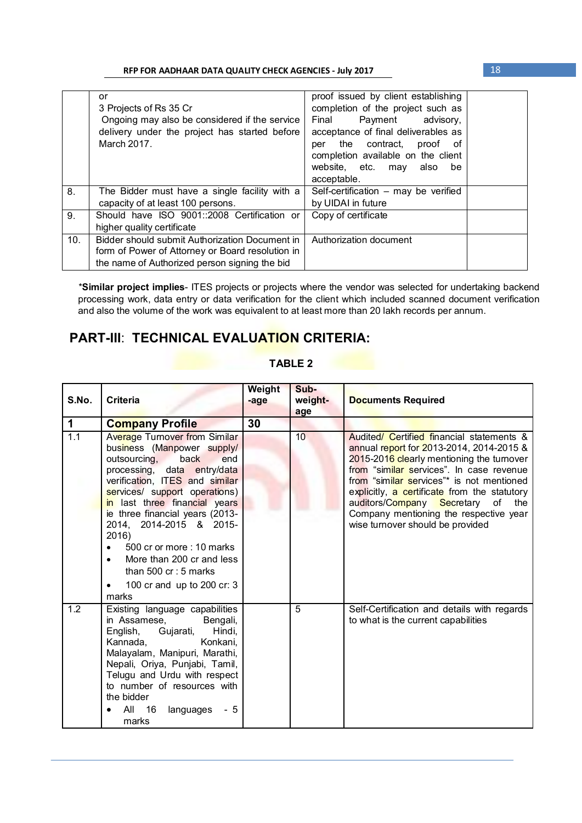|                 | or                                               | proof issued by client establishing  |  |
|-----------------|--------------------------------------------------|--------------------------------------|--|
|                 | 3 Projects of Rs 35 Cr                           | completion of the project such as    |  |
|                 | Ongoing may also be considered if the service    | Final<br>Payment advisory,           |  |
|                 | delivery under the project has started before    | acceptance of final deliverables as  |  |
|                 | March 2017.                                      | the contract,<br>proof<br>0f<br>per  |  |
|                 |                                                  | completion available on the client   |  |
|                 |                                                  | website, etc. may<br>also<br>be      |  |
|                 |                                                  | acceptable.                          |  |
| 8.              | The Bidder must have a single facility with a    | Self-certification - may be verified |  |
|                 | capacity of at least 100 persons.                | by UIDAI in future                   |  |
| 9.              | Should have ISO 9001::2008 Certification or      | Copy of certificate                  |  |
|                 | higher quality certificate                       |                                      |  |
| 10 <sub>1</sub> | Bidder should submit Authorization Document in   | Authorization document               |  |
|                 | form of Power of Attorney or Board resolution in |                                      |  |
|                 | the name of Authorized person signing the bid    |                                      |  |
|                 |                                                  |                                      |  |

\***Similar project implies**- ITES projects or projects where the vendor was selected for undertaking backend processing work, data entry or data verification for the client which included scanned document verification and also the volume of the work was equivalent to at least more than 20 lakh records per annum.

### **PART-III**: **TECHNICAL EVALUATION CRITERIA:**

| S.No.       | <b>Criteria</b>                                                                                                                                                                                                                                                                                                                                                                                                                                                       | Weight<br>-age | Sub-<br>weight-<br>age | <b>Documents Required</b>                                                                                                                                                                                                                                                                                                                                                                      |
|-------------|-----------------------------------------------------------------------------------------------------------------------------------------------------------------------------------------------------------------------------------------------------------------------------------------------------------------------------------------------------------------------------------------------------------------------------------------------------------------------|----------------|------------------------|------------------------------------------------------------------------------------------------------------------------------------------------------------------------------------------------------------------------------------------------------------------------------------------------------------------------------------------------------------------------------------------------|
| $\mathbf 1$ | <b>Company Profile</b>                                                                                                                                                                                                                                                                                                                                                                                                                                                | 30             |                        |                                                                                                                                                                                                                                                                                                                                                                                                |
| 1.1         | Average Turnover from Similar<br>business (Manpower supply/<br>back<br>outsourcing,<br>end<br>processing, data entry/data<br>verification, ITES and similar<br>services/ support operations)<br>in last three financial years<br>ie three financial years (2013-<br>2014, 2014-2015 & 2015-<br>2016)<br>500 cr or more: 10 marks<br>$\bullet$<br>More than 200 cr and less<br>$\bullet$<br>than $500$ cr: 5 marks<br>100 cr and up to 200 cr: 3<br>$\bullet$<br>marks |                | 10 <sup>1</sup>        | Audited/ Certified financial statements &<br>annual report for 2013-2014, 2014-2015 &<br>2015-2016 clearly mentioning the turnover<br>from "similar services". In case revenue<br>from "similar services"* is not mentioned<br>explicitly, a certificate from the statutory<br>auditors/Company Secretary of the<br>Company mentioning the respective year<br>wise turnover should be provided |
| 1.2         | Existing language capabilities<br>in Assamese, Bengali,<br>English, Gujarati,<br>Hindi,<br>Kannada,<br>Konkani,<br>Malayalam, Manipuri, Marathi,<br>Nepali, Oriya, Punjabi, Tamil,<br>Telugu and Urdu with respect<br>to number of resources with<br>the bidder<br>All 16<br>languages<br>- 5<br>marks                                                                                                                                                                |                | 5                      | Self-Certification and details with regards<br>to what is the current capabilities                                                                                                                                                                                                                                                                                                             |

### **TABLE 2**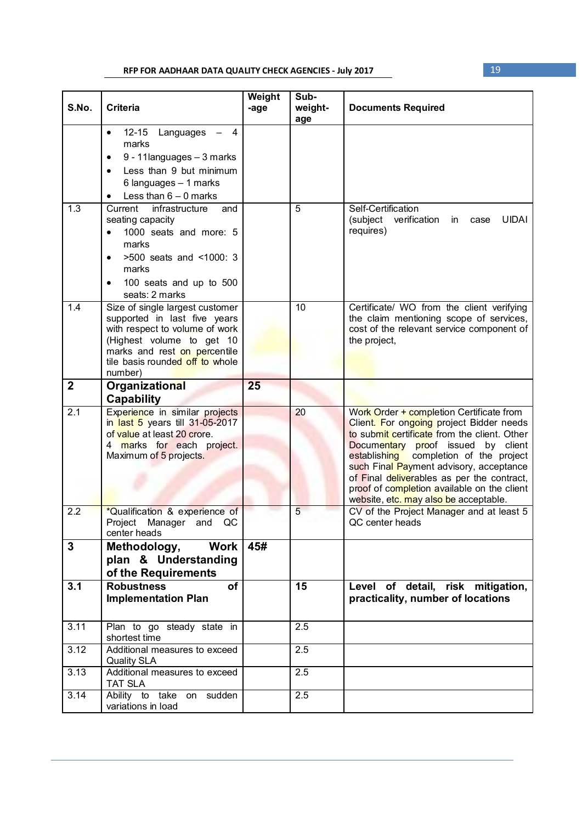| S.No.        | <b>Criteria</b>                                                                                                                                                                                              | Weight<br>-age | Sub-<br>weight-<br>age | <b>Documents Required</b>                                                                                                                                                                                                                                                                                                                                                                             |
|--------------|--------------------------------------------------------------------------------------------------------------------------------------------------------------------------------------------------------------|----------------|------------------------|-------------------------------------------------------------------------------------------------------------------------------------------------------------------------------------------------------------------------------------------------------------------------------------------------------------------------------------------------------------------------------------------------------|
|              | $12 - 15$<br>Languages<br>4<br>$\bullet$<br>marks<br>9 - 11 languages - 3 marks<br>$\bullet$<br>Less than 9 but minimum<br>$\bullet$<br>6 languages - 1 marks<br>Less than $6 - 0$ marks<br>٠                |                |                        |                                                                                                                                                                                                                                                                                                                                                                                                       |
| 1.3          | infrastructure<br>Current<br>and<br>seating capacity<br>1000 seats and more: 5<br>$\bullet$<br>marks<br>>500 seats and <1000: 3<br>$\bullet$<br>marks<br>100 seats and up to 500<br>seats: 2 marks           |                | 5                      | Self-Certification<br>(subject<br>verification<br><b>UIDAI</b><br>in<br>case<br>requires)                                                                                                                                                                                                                                                                                                             |
| 1.4          | Size of single largest customer<br>supported in last five years<br>with respect to volume of work<br>(Highest volume to get 10<br>marks and rest on percentile<br>tile basis rounded off to whole<br>number) |                | 10                     | Certificate/ WO from the client verifying<br>the claim mentioning scope of services,<br>cost of the relevant service component of<br>the project,                                                                                                                                                                                                                                                     |
| $\mathbf{2}$ | Organizational<br><b>Capability</b>                                                                                                                                                                          | 25             |                        |                                                                                                                                                                                                                                                                                                                                                                                                       |
| 2.1          | Experience in similar projects<br>in last 5 years till 31-05-2017<br>of value at least 20 crore.<br>4 marks for each project.<br>Maximum of 5 projects.                                                      |                | 20                     | Work Order + completion Certificate from<br>Client. For ongoing project Bidder needs<br>to submit certificate from the client. Other<br>Documentary proof issued by client<br>establishing completion of the project<br>such Final Payment advisory, acceptance<br>of Final deliverables as per the contract,<br>proof of completion available on the client<br>website, etc. may also be acceptable. |
| 2.2          | *Qualification & experience of<br>QC<br>Project<br>Manager<br>and<br>center heads                                                                                                                            |                | 5                      | CV of the Project Manager and at least 5<br>QC center heads                                                                                                                                                                                                                                                                                                                                           |
| $\mathbf{3}$ | <b>Work</b><br>Methodology,<br>plan & Understanding<br>of the Requirements                                                                                                                                   | 45#            |                        |                                                                                                                                                                                                                                                                                                                                                                                                       |
| 3.1          | <b>Robustness</b><br>of<br><b>Implementation Plan</b>                                                                                                                                                        |                | 15                     | Level of detail, risk mitigation,<br>practicality, number of locations                                                                                                                                                                                                                                                                                                                                |
| 3.11         | Plan to go steady state in<br>shortest time                                                                                                                                                                  |                | 2.5                    |                                                                                                                                                                                                                                                                                                                                                                                                       |
| 3.12         | Additional measures to exceed<br><b>Quality SLA</b>                                                                                                                                                          |                | 2.5                    |                                                                                                                                                                                                                                                                                                                                                                                                       |
| 3.13         | Additional measures to exceed<br><b>TAT SLA</b>                                                                                                                                                              |                | 2.5                    |                                                                                                                                                                                                                                                                                                                                                                                                       |
| 3.14         | Ability to take on sudden<br>variations in load                                                                                                                                                              |                | 2.5                    |                                                                                                                                                                                                                                                                                                                                                                                                       |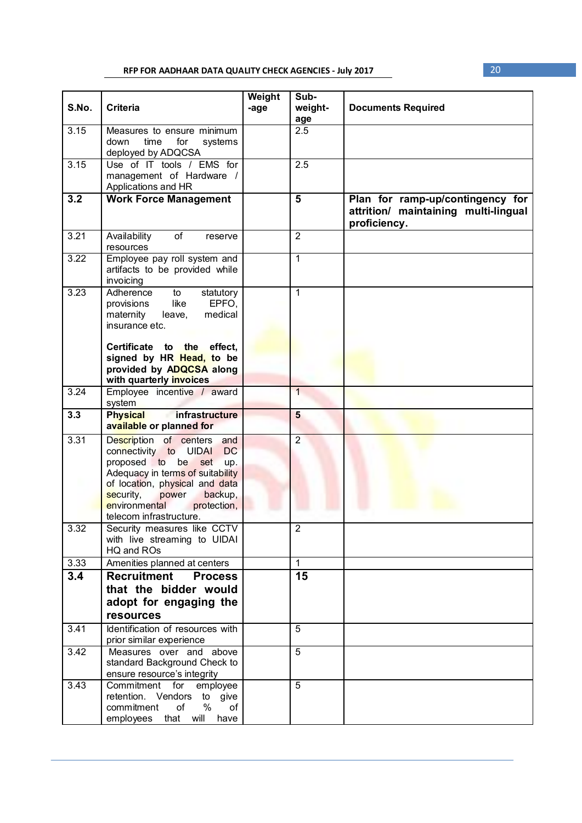| S.No. | <b>Criteria</b>                                                                                                                                                                                                                      | Weight<br>-age | Sub-<br>weight-<br>age | <b>Documents Required</b>                                                                |
|-------|--------------------------------------------------------------------------------------------------------------------------------------------------------------------------------------------------------------------------------------|----------------|------------------------|------------------------------------------------------------------------------------------|
| 3.15  | Measures to ensure minimum<br>down<br>time<br>for<br>systems<br>deployed by ADQCSA                                                                                                                                                   |                | 2.5                    |                                                                                          |
| 3.15  | Use of IT tools / EMS for<br>management of Hardware /<br>Applications and HR                                                                                                                                                         |                | $\overline{2.5}$       |                                                                                          |
| 3.2   | <b>Work Force Management</b>                                                                                                                                                                                                         |                | 5                      | Plan for ramp-up/contingency for<br>attrition/ maintaining multi-lingual<br>proficiency. |
| 3.21  | of<br>Availability<br>reserve<br>resources                                                                                                                                                                                           |                | $\overline{2}$         |                                                                                          |
| 3.22  | Employee pay roll system and<br>artifacts to be provided while<br>invoicing                                                                                                                                                          |                | 1                      |                                                                                          |
| 3.23  | Adherence<br>to<br>statutory<br>EPFO.<br>like<br>provisions<br>maternity<br>medical<br>leave,<br>insurance etc.                                                                                                                      |                | 1                      |                                                                                          |
|       | Certificate to the<br>effect,<br>signed by HR Head, to be<br>provided by ADQCSA along<br>with quarterly invoices                                                                                                                     |                |                        |                                                                                          |
| 3.24  | Employee incentive / award<br>system                                                                                                                                                                                                 |                | $\overline{1}$         |                                                                                          |
| 3.3   | <b>Physical</b><br>infrastructure<br>available or planned for                                                                                                                                                                        |                | 5                      |                                                                                          |
| 3.31  | Description of centers and<br>connectivity to UIDAI<br><b>DC</b><br>proposed to be set<br>up.<br>Adequacy in terms of suitability<br>of location, physical and data<br>security,<br>power<br>backup,<br>environmental<br>protection, |                | $\overline{2}$         |                                                                                          |
| 3.32  | telecom infrastructure.<br>Security measures like CCTV                                                                                                                                                                               |                | 2                      |                                                                                          |
|       | with live streaming to UIDAI<br>HQ and ROs                                                                                                                                                                                           |                |                        |                                                                                          |
| 3.33  | Amenities planned at centers                                                                                                                                                                                                         |                | $\mathbf{1}$           |                                                                                          |
| 3.4   | <b>Recruitment</b><br><b>Process</b><br>that the bidder would<br>adopt for engaging the<br>resources                                                                                                                                 |                | 15                     |                                                                                          |
| 3.41  | Identification of resources with<br>prior similar experience                                                                                                                                                                         |                | 5                      |                                                                                          |
| 3.42  | Measures over and above<br>standard Background Check to<br>ensure resource's integrity                                                                                                                                               |                | $\overline{5}$         |                                                                                          |
| 3.43  | Commitment for<br>employee<br>retention. Vendors to give<br>commitment<br>of<br>%<br>of<br>employees<br>that<br>will<br>have                                                                                                         |                | 5                      |                                                                                          |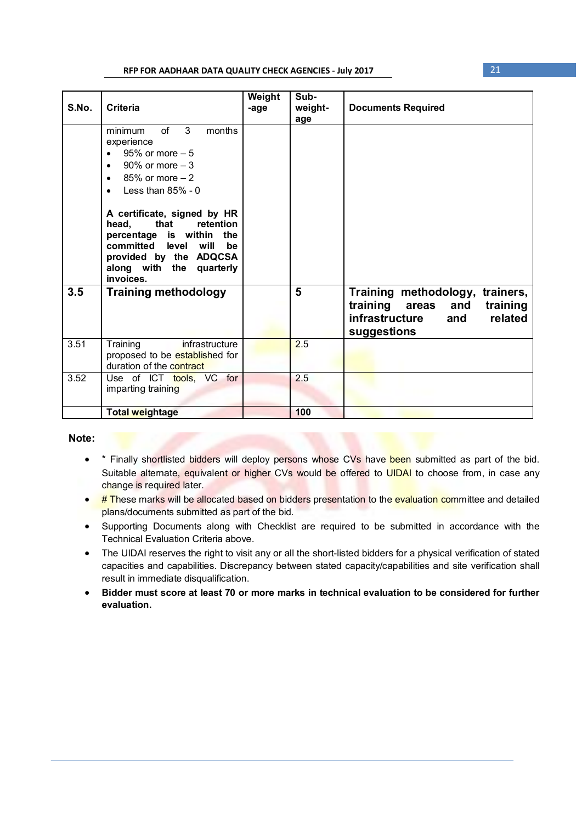### **RFP FOR AADHAAR DATA QUALITY CHECK AGENCIES - July 2017** 21

| S.No. | Criteria                                                                                                                                                                                                                                                                                                                                                                               | Weight<br>-age | Sub-<br>weight-<br>age | <b>Documents Required</b>                                                                                            |
|-------|----------------------------------------------------------------------------------------------------------------------------------------------------------------------------------------------------------------------------------------------------------------------------------------------------------------------------------------------------------------------------------------|----------------|------------------------|----------------------------------------------------------------------------------------------------------------------|
|       | of<br>$\mathbf{3}$<br>months<br>minimum<br>experience<br>$95\%$ or more $-5$<br>$\bullet$<br>$90\%$ or more $-3$<br>$\bullet$<br>$85\%$ or more $-2$<br>$\bullet$<br>Less than $85\%$ - 0<br>A certificate, signed by HR<br>retention<br>that<br>head.<br>percentage is within the<br>committed level<br>will<br>be<br>provided by the ADQCSA<br>along with the quarterly<br>invoices. |                |                        |                                                                                                                      |
| 3.5   | <b>Training methodology</b>                                                                                                                                                                                                                                                                                                                                                            |                | 5                      | Training methodology, trainers,<br>training areas and<br>training<br>infrastructure<br>related<br>and<br>suggestions |
| 3.51  | infrastructure<br>Training<br>proposed to be established for<br>duration of the contract                                                                                                                                                                                                                                                                                               |                | 2.5                    |                                                                                                                      |
| 3.52  | Use of ICT tools, VC for<br>imparting training                                                                                                                                                                                                                                                                                                                                         |                | 2.5                    |                                                                                                                      |
|       | <b>Total weightage</b>                                                                                                                                                                                                                                                                                                                                                                 |                | 100                    |                                                                                                                      |

### **Note:**

- \* Finally shortlisted bidders will deploy persons whose CVs have been submitted as part of the bid. Suitable alternate, equivalent or higher CVs would be offered to UIDAI to choose from, in case any change is required later.
- # These marks will be allocated based on bidders presentation to the evaluation committee and detailed plans/documents submitted as part of the bid.
- Supporting Documents along with Checklist are required to be submitted in accordance with the Technical Evaluation Criteria above.
- The UIDAI reserves the right to visit any or all the short-listed bidders for a physical verification of stated capacities and capabilities. Discrepancy between stated capacity/capabilities and site verification shall result in immediate disqualification.
- **Bidder must score at least 70 or more marks in technical evaluation to be considered for further evaluation.**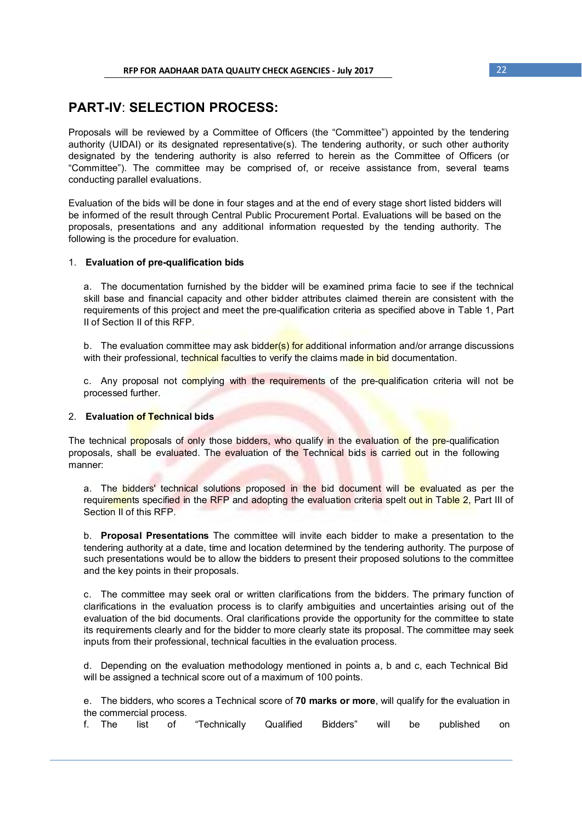### **PART-IV**: **SELECTION PROCESS:**

Proposals will be reviewed by a Committee of Officers (the "Committee") appointed by the tendering authority (UIDAI) or its designated representative(s). The tendering authority, or such other authority designated by the tendering authority is also referred to herein as the Committee of Officers (or "Committee"). The committee may be comprised of, or receive assistance from, several teams conducting parallel evaluations.

Evaluation of the bids will be done in four stages and at the end of every stage short listed bidders will be informed of the result through Central Public Procurement Portal. Evaluations will be based on the proposals, presentations and any additional information requested by the tending authority. The following is the procedure for evaluation.

#### 1. **Evaluation of pre-qualification bids**

a. The documentation furnished by the bidder will be examined prima facie to see if the technical skill base and financial capacity and other bidder attributes claimed therein are consistent with the requirements of this project and meet the pre-qualification criteria as specified above in Table 1, Part II of Section II of this RFP.

b. The evaluation committee may ask bidder(s) for additional information and/or arrange discussions with their professional, technical faculties to verify the claims made in bid documentation.

c. Any proposal not complying with the requirements of the pre-qualification criteria will not be processed further.

#### 2. **Evaluation of Technical bids**

The technical proposals of only those bidders, who qualify in the evaluation of the pre-qualification proposals, shall be evaluated. The evaluation of the Technical bids is carried out in the following manner:

a. The bidders' technical solutions proposed in the bid document will be evaluated as per the requirements specified in the RFP and adopting the evaluation criteria spelt out in Table 2, Part III of Section II of this RFP.

b. **Proposal Presentations** The committee will invite each bidder to make a presentation to the tendering authority at a date, time and location determined by the tendering authority. The purpose of such presentations would be to allow the bidders to present their proposed solutions to the committee and the key points in their proposals.

c. The committee may seek oral or written clarifications from the bidders. The primary function of clarifications in the evaluation process is to clarify ambiguities and uncertainties arising out of the evaluation of the bid documents. Oral clarifications provide the opportunity for the committee to state its requirements clearly and for the bidder to more clearly state its proposal. The committee may seek inputs from their professional, technical faculties in the evaluation process.

d. Depending on the evaluation methodology mentioned in points a, b and c, each Technical Bid will be assigned a technical score out of a maximum of 100 points.

e. The bidders, who scores a Technical score of **70 marks or more**, will qualify for the evaluation in the commercial process.

f. The list of "Technically Qualified Bidders" will be published on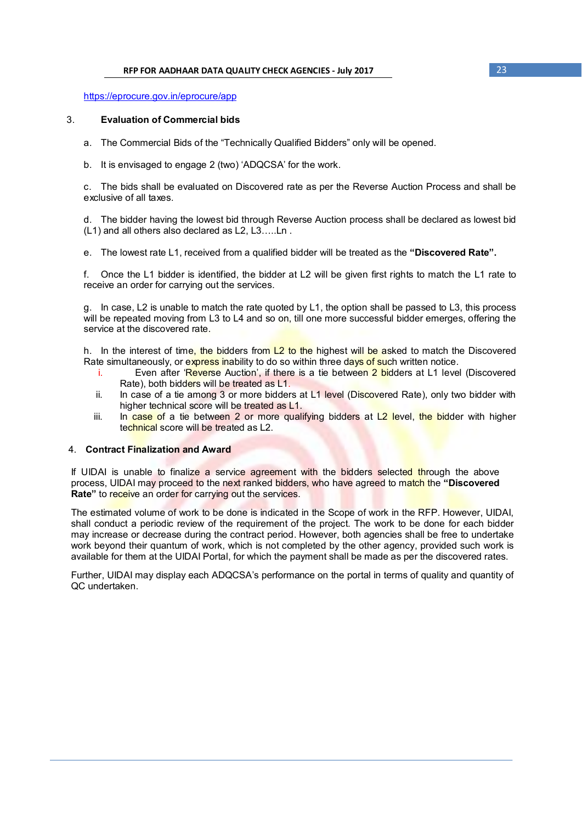https://eprocure.gov.in/eprocure/app

### 3. **Evaluation of Commercial bids**

- a. The Commercial Bids of the "Technically Qualified Bidders" only will be opened.
- b. It is envisaged to engage 2 (two) 'ADQCSA' for the work.

c. The bids shall be evaluated on Discovered rate as per the Reverse Auction Process and shall be exclusive of all taxes.

d. The bidder having the lowest bid through Reverse Auction process shall be declared as lowest bid (L1) and all others also declared as L2, L3…..Ln .

e. The lowest rate L1, received from a qualified bidder will be treated as the **"Discovered Rate".**

f. Once the L1 bidder is identified, the bidder at L2 will be given first rights to match the L1 rate to receive an order for carrying out the services.

g. In case, L2 is unable to match the rate quoted by L1, the option shall be passed to L3, this process will be repeated moving from L3 to L4 and so on, till one more successful bidder emerges, offering the service at the discovered rate.

h. In the interest of time, the bidders from  $L<sup>2</sup>$  to the highest will be asked to match the Discovered Rate simultaneously, or express inability to do so within three days of such written notice.

- i. Even after 'Reverse Auction', if there is a tie between 2 bidders at L1 level (Discovered Rate), both bidders will be treated as L1.
- ii. In case of a tie among 3 or more bidders at L1 level (Discovered Rate), only two bidder with higher technical score will be treated as L1.
- iii. In case of a tie between 2 or more qualifying bidders at  $L<sup>2</sup>$  level, the bidder with higher technical score will be treated as L2.

### 4. **Contract Finalization and Award**

If UIDAI is unable to finalize a service agreement with the bidders selected through the above process, UIDAI may proceed to the next ranked bidders, who have agreed to match the **"Discovered Rate"** to receive an order for carrying out the services.

The estimated volume of work to be done is indicated in the Scope of work in the RFP. However, UIDAI, shall conduct a periodic review of the requirement of the project. The work to be done for each bidder may increase or decrease during the contract period. However, both agencies shall be free to undertake work beyond their quantum of work, which is not completed by the other agency, provided such work is available for them at the UIDAI Portal, for which the payment shall be made as per the discovered rates.

Further, UIDAI may display each ADQCSA's performance on the portal in terms of quality and quantity of QC undertaken.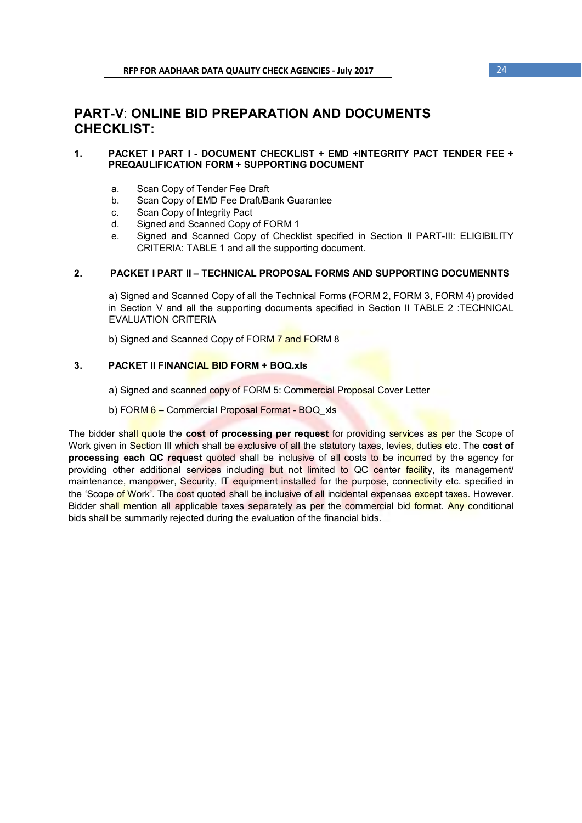### **PART-V**: **ONLINE BID PREPARATION AND DOCUMENTS CHECKLIST:**

### **1. PACKET I PART I - DOCUMENT CHECKLIST + EMD +INTEGRITY PACT TENDER FEE + PREQAULIFICATION FORM + SUPPORTING DOCUMENT**

- a. Scan Copy of Tender Fee Draft
- b. Scan Copy of EMD Fee Draft/Bank Guarantee
- c. Scan Copy of Integrity Pact
- d. Signed and Scanned Copy of FORM 1
- e. Signed and Scanned Copy of Checklist specified in Section II PART-III: ELIGIBILITY CRITERIA: TABLE 1 and all the supporting document.

### **2. PACKET I PART II – TECHNICAL PROPOSAL FORMS AND SUPPORTING DOCUMENNTS**

a) Signed and Scanned Copy of all the Technical Forms (FORM 2, FORM 3, FORM 4) provided in Section V and all the supporting documents specified in Section II TABLE 2 :TECHNICAL EVALUATION CRITERIA

b) Signed and Scanned Copy of FORM 7 and FORM 8

### **3. PACKET II FINANCIAL BID FORM + BOQ.xls**

- a) Signed and scanned copy of FORM 5: Commercial Proposal Cover Letter
- b) FORM 6 Commercial Proposal Format BOQ xls

The bidder shall quote the **cost of processing per request** for providing services as per the Scope of Work given in Section III which shall be exclusive of all the statutory taxes, levies, duties etc. The **cost of processing each QC request** quoted shall be inclusive of all costs to be incurred by the agency for providing other additional services including but not limited to QC center facility, its management/ maintenance, manpower, Security, IT equipment installed for the purpose, connectivity etc. specified in the 'Scope of Work'. The cost quoted shall be inclusive of all incidental expenses except taxes. However. Bidder shall mention all applicable taxes separately as per the commercial bid format. Any conditional bids shall be summarily rejected during the evaluation of the financial bids.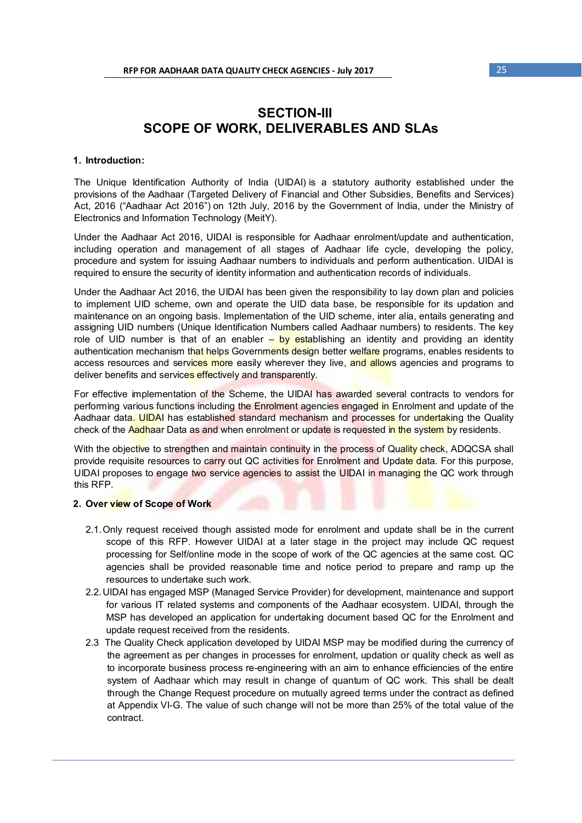### **SECTION-III SCOPE OF WORK, DELIVERABLES AND SLAs**

### **1. Introduction:**

The Unique Identification Authority of India (UIDAI) is a statutory authority established under the provisions of the Aadhaar (Targeted Delivery of Financial and Other Subsidies, Benefits and Services) Act, 2016 ("Aadhaar Act 2016") on 12th July, 2016 by the Government of India, under the Ministry of Electronics and Information Technology (MeitY).

Under the Aadhaar Act 2016, UIDAI is responsible for Aadhaar enrolment/update and authentication, including operation and management of all stages of Aadhaar life cycle, developing the policy, procedure and system for issuing Aadhaar numbers to individuals and perform authentication. UIDAI is required to ensure the security of identity information and authentication records of individuals.

Under the Aadhaar Act 2016, the UIDAI has been given the responsibility to lay down plan and policies to implement UID scheme, own and operate the UID data base, be responsible for its updation and maintenance on an ongoing basis. Implementation of the UID scheme, inter alia, entails generating and assigning UID numbers (Unique Identification Numbers called Aadhaar numbers) to residents. The key role of UID number is that of an enabler  $-$  by establishing an identity and providing an identity authentication mechanism that helps Governments design better welfare programs, enables residents to access resources and services more easily wherever they live, and allows agencies and programs to deliver benefits and services effectively and transparently.

For effective implementation of the Scheme, the UIDAI has awarded several contracts to vendors for performing various functions including the Enrolment agencies engaged in Enrolment and update of the Aadhaar data. UIDAI has established standard mechanism and processes for undertaking the Quality check of the Aadhaar Data as and when enrolment or update is requested in the system by residents.

With the objective to strengthen and maintain continuity in the process of Quality check, ADQCSA shall provide requisite resources to carry out QC activities for Enrolment and Update data. For this purpose, UIDAI proposes to engage two service agencies to assist the UIDAI in managing the QC work through this RFP.

### **2. Over view of Scope of Work**

- 2.1.Only request received though assisted mode for enrolment and update shall be in the current scope of this RFP. However UIDAI at a later stage in the project may include QC request processing for Self/online mode in the scope of work of the QC agencies at the same cost. QC agencies shall be provided reasonable time and notice period to prepare and ramp up the resources to undertake such work.
- 2.2.UIDAI has engaged MSP (Managed Service Provider) for development, maintenance and support for various IT related systems and components of the Aadhaar ecosystem. UIDAI, through the MSP has developed an application for undertaking document based QC for the Enrolment and update request received from the residents.
- 2.3 The Quality Check application developed by UIDAI MSP may be modified during the currency of the agreement as per changes in processes for enrolment, updation or quality check as well as to incorporate business process re-engineering with an aim to enhance efficiencies of the entire system of Aadhaar which may result in change of quantum of QC work. This shall be dealt through the Change Request procedure on mutually agreed terms under the contract as defined at Appendix VI-G. The value of such change will not be more than 25% of the total value of the contract.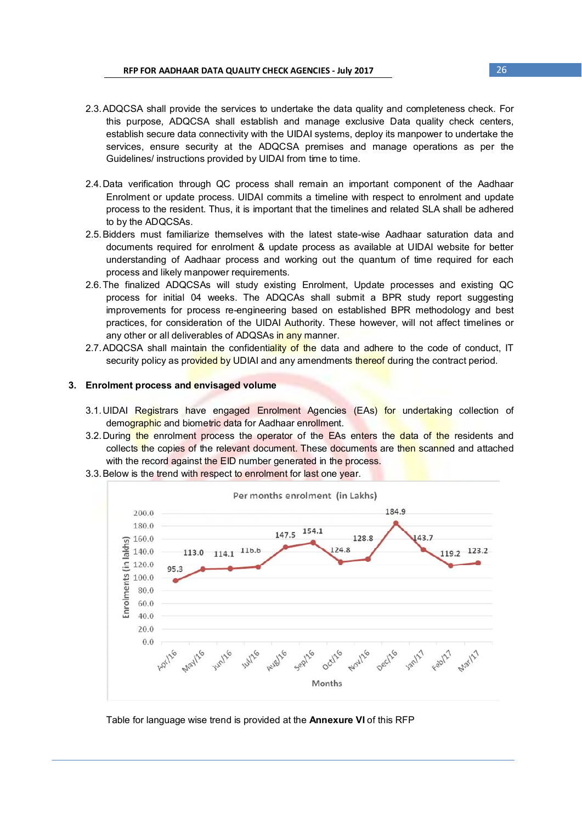- 2.3.ADQCSA shall provide the services to undertake the data quality and completeness check. For this purpose, ADQCSA shall establish and manage exclusive Data quality check centers, establish secure data connectivity with the UIDAI systems, deploy its manpower to undertake the services, ensure security at the ADQCSA premises and manage operations as per the Guidelines/ instructions provided by UIDAI from time to time.
- 2.4.Data verification through QC process shall remain an important component of the Aadhaar Enrolment or update process. UIDAI commits a timeline with respect to enrolment and update process to the resident. Thus, it is important that the timelines and related SLA shall be adhered to by the ADQCSAs.
- 2.5.Bidders must familiarize themselves with the latest state-wise Aadhaar saturation data and documents required for enrolment & update process as available at UIDAI website for better understanding of Aadhaar process and working out the quantum of time required for each process and likely manpower requirements.
- 2.6.The finalized ADQCSAs will study existing Enrolment, Update processes and existing QC process for initial 04 weeks. The ADQCAs shall submit a BPR study report suggesting improvements for process re-engineering based on established BPR methodology and best practices, for consideration of the UIDAI Authority. These however, will not affect timelines or any other or all deliverables of ADQSAs in any manner.
- 2.7. ADQCSA shall maintain the confidentiality of the data and adhere to the code of conduct, IT security policy as provided by UDIAI and any amendments thereof during the contract period.

#### **3. Enrolment process and envisaged volume**

- 3.1.UIDAI Registrars have engaged Enrolment Agencies (EAs) for undertaking collection of demographic and biometric data for Aadhaar enrollment.
- 3.2. During the enrolment process the operator of the EAs enters the data of the residents and collects the copies of the relevant document. These documents are then scanned and attached with the record against the EID number generated in the process.
- 3.3. Below is the trend with respect to enrolment for last one year.



Table for language wise trend is provided at the **Annexure VI** of this RFP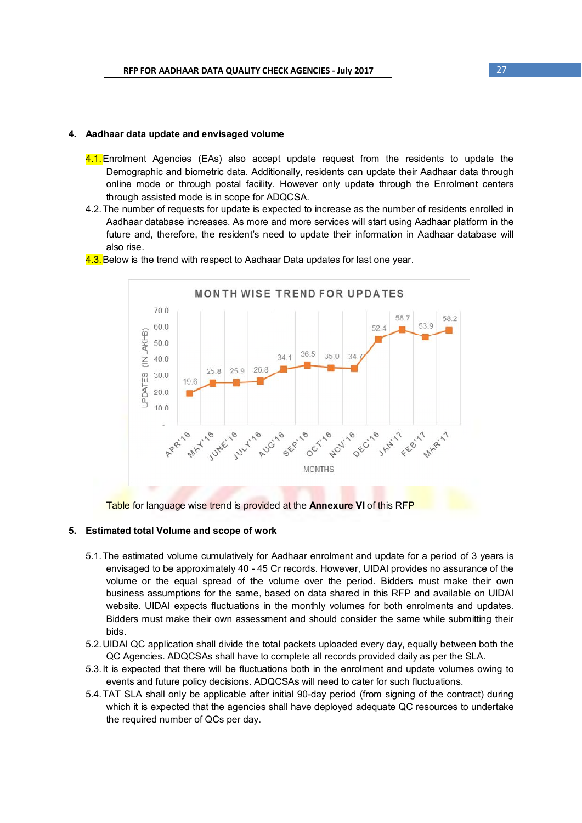#### **4. Aadhaar data update and envisaged volume**

- 4.1. Enrolment Agencies (EAs) also accept update request from the residents to update the Demographic and biometric data. Additionally, residents can update their Aadhaar data through online mode or through postal facility. However only update through the Enrolment centers through assisted mode is in scope for ADQCSA.
- 4.2.The number of requests for update is expected to increase as the number of residents enrolled in Aadhaar database increases. As more and more services will start using Aadhaar platform in the future and, therefore, the resident's need to update their information in Aadhaar database will also rise.



4.3. Below is the trend with respect to Aadhaar Data updates for last one year.

Table for language wise trend is provided at the **Annexure VI** of this RFP

### **5. Estimated total Volume and scope of work**

- 5.1.The estimated volume cumulatively for Aadhaar enrolment and update for a period of 3 years is envisaged to be approximately 40 - 45 Cr records. However, UIDAI provides no assurance of the volume or the equal spread of the volume over the period. Bidders must make their own business assumptions for the same, based on data shared in this RFP and available on UIDAI website. UIDAI expects fluctuations in the monthly volumes for both enrolments and updates. Bidders must make their own assessment and should consider the same while submitting their bids.
- 5.2.UIDAI QC application shall divide the total packets uploaded every day, equally between both the QC Agencies. ADQCSAs shall have to complete all records provided daily as per the SLA.
- 5.3.It is expected that there will be fluctuations both in the enrolment and update volumes owing to events and future policy decisions. ADQCSAs will need to cater for such fluctuations.
- 5.4.TAT SLA shall only be applicable after initial 90-day period (from signing of the contract) during which it is expected that the agencies shall have deployed adequate QC resources to undertake the required number of QCs per day.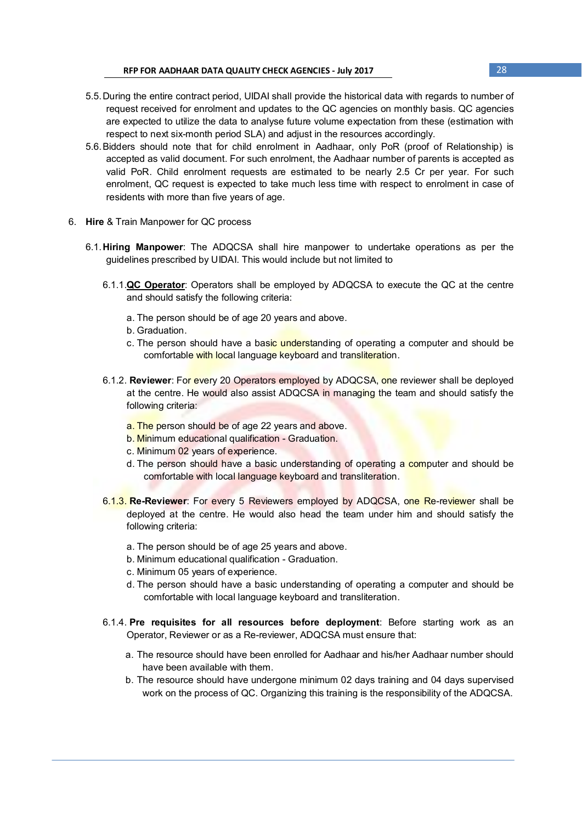- 5.5.During the entire contract period, UIDAI shall provide the historical data with regards to number of request received for enrolment and updates to the QC agencies on monthly basis. QC agencies are expected to utilize the data to analyse future volume expectation from these (estimation with respect to next six-month period SLA) and adjust in the resources accordingly.
- 5.6.Bidders should note that for child enrolment in Aadhaar, only PoR (proof of Relationship) is accepted as valid document. For such enrolment, the Aadhaar number of parents is accepted as valid PoR. Child enrolment requests are estimated to be nearly 2.5 Cr per year. For such enrolment, QC request is expected to take much less time with respect to enrolment in case of residents with more than five years of age.
- 6. **Hire** & Train Manpower for QC process
	- 6.1.**Hiring Manpower**: The ADQCSA shall hire manpower to undertake operations as per the guidelines prescribed by UIDAI. This would include but not limited to
		- 6.1.1.**QC Operator**: Operators shall be employed by ADQCSA to execute the QC at the centre and should satisfy the following criteria:
			- a. The person should be of age 20 years and above.
			- b. Graduation.
			- c. The person should have a basic understanding of operating a computer and should be comfortable with local language keyboard and transliteration.
		- 6.1.2. **Reviewer**: For every 20 Operators employed by ADQCSA, one reviewer shall be deployed at the centre. He would also assist ADQCSA in managing the team and should satisfy the following criteria:
			- a. The person should be of age 22 years and above.
			- b. Minimum educational qualification Graduation.
			- c. Minimum 02 years of experience.
			- d. The person should have a basic understanding of operating a computer and should be comfortable with local language keyboard and transliteration.
		- 6.1.3. **Re-Reviewer**: For every 5 Reviewers employed by ADQCSA, one Re-reviewer shall be deployed at the centre. He would also head the team under him and should satisfy the following criteria:
			- a. The person should be of age 25 years and above.
			- b. Minimum educational qualification Graduation.
			- c. Minimum 05 years of experience.
			- d. The person should have a basic understanding of operating a computer and should be comfortable with local language keyboard and transliteration.
		- 6.1.4. **Pre requisites for all resources before deployment**: Before starting work as an Operator, Reviewer or as a Re-reviewer, ADQCSA must ensure that:
			- a. The resource should have been enrolled for Aadhaar and his/her Aadhaar number should have been available with them.
			- b. The resource should have undergone minimum 02 days training and 04 days supervised work on the process of QC. Organizing this training is the responsibility of the ADQCSA.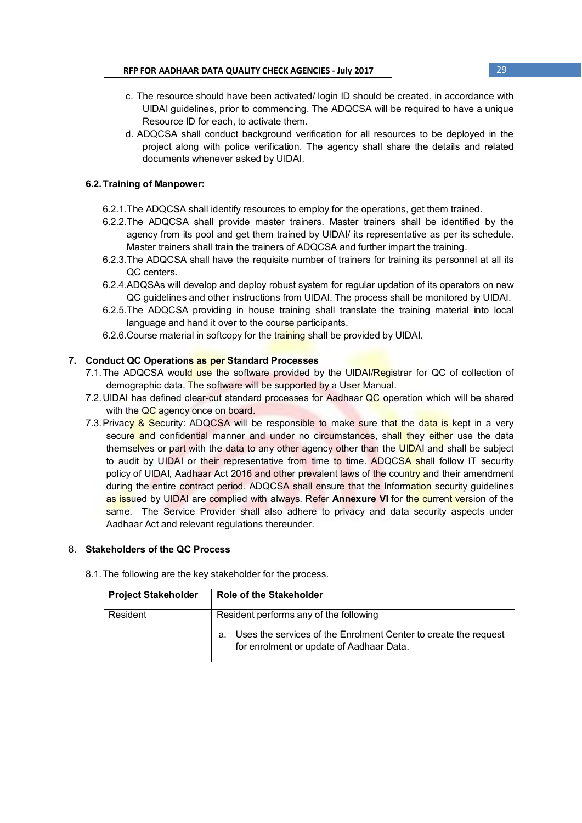- c. The resource should have been activated/ login ID should be created, in accordance with UIDAI guidelines, prior to commencing. The ADQCSA will be required to have a unique Resource ID for each, to activate them.
- d. ADQCSA shall conduct background verification for all resources to be deployed in the project along with police verification. The agency shall share the details and related documents whenever asked by UIDAI.

### **6.2.Training of Manpower:**

- 6.2.1.The ADQCSA shall identify resources to employ for the operations, get them trained.
- 6.2.2.The ADQCSA shall provide master trainers. Master trainers shall be identified by the agency from its pool and get them trained by UIDAI/ its representative as per its schedule. Master trainers shall train the trainers of ADQCSA and further impart the training.
- 6.2.3.The ADQCSA shall have the requisite number of trainers for training its personnel at all its QC centers.
- 6.2.4.ADQSAs will develop and deploy robust system for regular updation of its operators on new QC guidelines and other instructions from UIDAI. The process shall be monitored by UIDAI.
- 6.2.5.The ADQCSA providing in house training shall translate the training material into local language and hand it over to the course participants.
- 6.2.6.Course material in softcopy for the training shall be provided by UIDAI.

### **7. Conduct QC Operations as per Standard Processes**

- 7.1. The ADQCSA would use the software provided by the UIDAI/Registrar for QC of collection of demographic data. The software will be supported by a User Manual.
- 7.2. UIDAI has defined clear-cut standard processes for Aadhaar QC operation which will be shared with the QC agency once on board.
- 7.3. Privacy & Security: ADQCSA will be responsible to make sure that the data is kept in a very secure and confidential manner and under no circumstances, shall they either use the data themselves or part with the data to any other agency other than the UIDAI and shall be subject to audit by UIDAI or their representative from time to time. ADQCSA shall follow IT security policy of UIDAI, Aadhaar Act 2016 and other prevalent laws of the country and their amendment during the entire contract period. ADQCSA shall ensure that the Information security guidelines as issued by UIDAI are complied with always. Refer **Annexure VI** for the current version of the same. The Service Provider shall also adhere to privacy and data security aspects under Aadhaar Act and relevant regulations thereunder.

### 8. **Stakeholders of the QC Process**

8.1.The following are the key stakeholder for the process.

| <b>Project Stakeholder</b> | <b>Role of the Stakeholder</b>                                                                                                                              |
|----------------------------|-------------------------------------------------------------------------------------------------------------------------------------------------------------|
| Resident                   | Resident performs any of the following<br>Uses the services of the Enrolment Center to create the request<br>a.<br>for enrolment or update of Aadhaar Data. |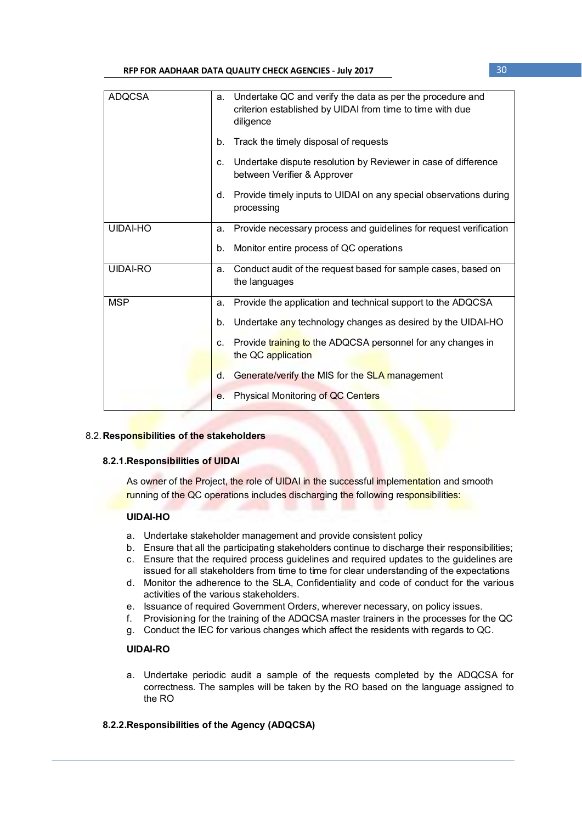| <b>ADQCSA</b>   | a. | Undertake QC and verify the data as per the procedure and<br>criterion established by UIDAI from time to time with due<br>diligence |
|-----------------|----|-------------------------------------------------------------------------------------------------------------------------------------|
|                 | b. | Track the timely disposal of requests                                                                                               |
|                 | C. | Undertake dispute resolution by Reviewer in case of difference<br>between Verifier & Approver                                       |
|                 | d. | Provide timely inputs to UIDAI on any special observations during<br>processing                                                     |
| <b>UIDAI-HO</b> | a. | Provide necessary process and guidelines for request verification                                                                   |
|                 | b. | Monitor entire process of QC operations                                                                                             |
| <b>UIDAI-RO</b> | a. | Conduct audit of the request based for sample cases, based on<br>the languages                                                      |
| <b>MSP</b>      | a. | Provide the application and technical support to the ADQCSA                                                                         |
|                 | b. | Undertake any technology changes as desired by the UIDAI-HO                                                                         |
|                 | c. | Provide training to the ADQCSA personnel for any changes in<br>the QC application                                                   |
|                 | d. | Generate/verify the MIS for the SLA management                                                                                      |
|                 | е. | <b>Physical Monitoring of QC Centers</b>                                                                                            |

#### 8.2.**Responsibilities of the stakeholders**

#### **8.2.1.Responsibilities of UIDAI**

As owner of the Project, the role of UIDAI in the successful implementation and smooth running of the QC operations includes discharging the following responsibilities:

### **UIDAI-HO**

- a. Undertake stakeholder management and provide consistent policy
- b. Ensure that all the participating stakeholders continue to discharge their responsibilities;
- c. Ensure that the required process guidelines and required updates to the guidelines are issued for all stakeholders from time to time for clear understanding of the expectations
- d. Monitor the adherence to the SLA, Confidentiality and code of conduct for the various activities of the various stakeholders.
- e. Issuance of required Government Order*s*, wherever necessary, on policy issues.
- f. Provisioning for the training of the ADQCSA master trainers in the processes for the QC
- g. Conduct the IEC for various changes which affect the residents with regards to QC.

### **UIDAI-RO**

a. Undertake periodic audit a sample of the requests completed by the ADQCSA for correctness. The samples will be taken by the RO based on the language assigned to the RO

### **8.2.2.Responsibilities of the Agency (ADQCSA)**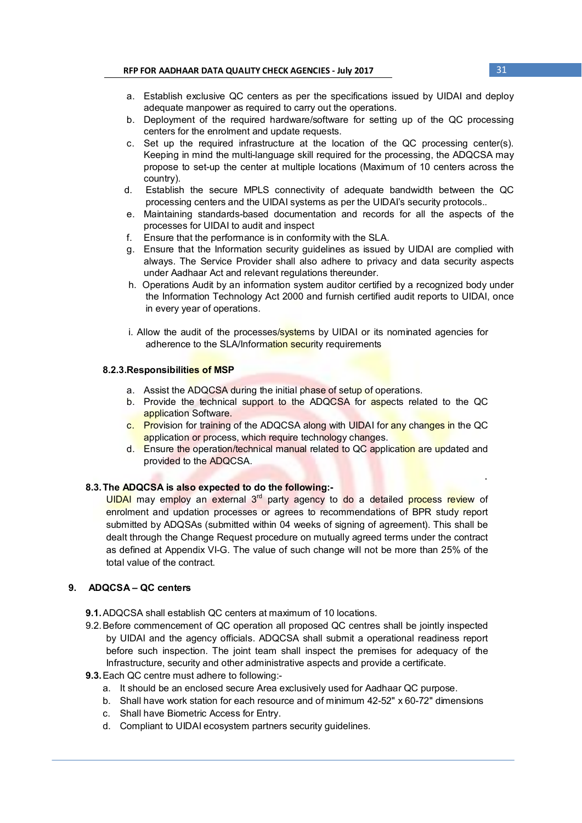- a. Establish exclusive QC centers as per the specifications issued by UIDAI and deploy adequate manpower as required to carry out the operations.
- b. Deployment of the required hardware/software for setting up of the QC processing centers for the enrolment and update requests.
- c. Set up the required infrastructure at the location of the QC processing center(s). Keeping in mind the multi-language skill required for the processing, the ADQCSA may propose to set-up the center at multiple locations (Maximum of 10 centers across the country).
- d. Establish the secure MPLS connectivity of adequate bandwidth between the QC processing centers and the UIDAI systems as per the UIDAI's security protocols..
- e. Maintaining standards-based documentation and records for all the aspects of the processes for UIDAI to audit and inspect
- f. Ensure that the performance is in conformity with the SLA.
- g. Ensure that the Information security guidelines as issued by UIDAI are complied with always. The Service Provider shall also adhere to privacy and data security aspects under Aadhaar Act and relevant regulations thereunder.
- h. Operations Audit by an information system auditor certified by a recognized body under the Information Technology Act 2000 and furnish certified audit reports to UIDAI, once in every year of operations.
- i. Allow the audit of the processes/systems by UIDAI or its nominated agencies for adherence to the SLA/Information security requirements

#### **8.2.3.Responsibilities of MSP**

- a. Assist the ADQCSA during the initial phase of setup of operations.
- b. Provide the technical support to the ADQCSA for aspects related to the QC application Software.
- c. Provision for training of the ADQCSA along with UIDAI for any changes in the QC application or process, which require technology changes.
- d. Ensure the operation/technical manual related to QC application are updated and provided to the ADQCSA.

### **8.3.The ADQCSA is also expected to do the following:-**

UIDAI may employ an external 3<sup>rd</sup> party agency to do a detailed process review of enrolment and updation processes or agrees to recommendations of BPR study report submitted by ADQSAs (submitted within 04 weeks of signing of agreement). This shall be dealt through the Change Request procedure on mutually agreed terms under the contract as defined at Appendix VI-G. The value of such change will not be more than 25% of the total value of the contract.

### **9. ADQCSA – QC centers**

- **9.1.**ADQCSA shall establish QC centers at maximum of 10 locations.
- 9.2.Before commencement of QC operation all proposed QC centres shall be jointly inspected by UIDAI and the agency officials. ADQCSA shall submit a operational readiness report before such inspection. The joint team shall inspect the premises for adequacy of the Infrastructure, security and other administrative aspects and provide a certificate.
- **9.3.**Each QC centre must adhere to following:
	- a. It should be an enclosed secure Area exclusively used for Aadhaar QC purpose.
	- b. Shall have work station for each resource and of minimum 42-52" x 60-72" dimensions
	- c. Shall have Biometric Access for Entry.
	- d. Compliant to UIDAI ecosystem partners security guidelines.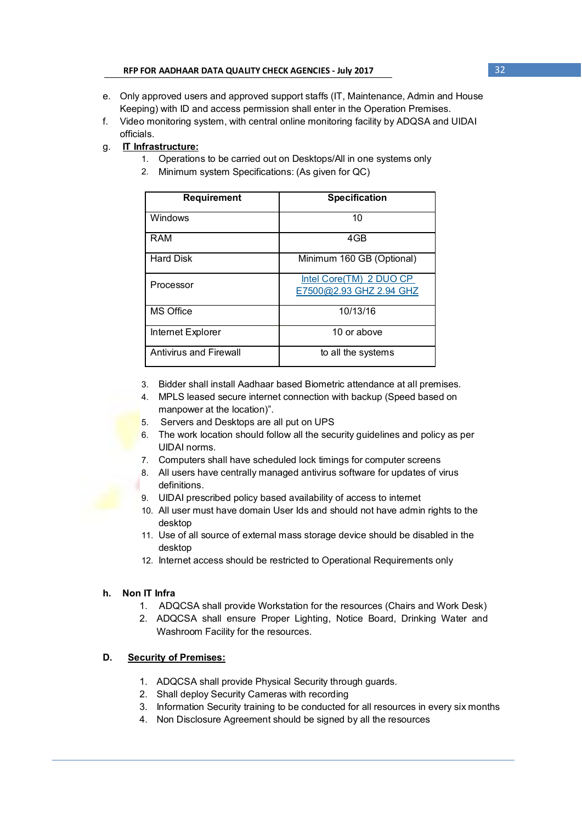- e. Only approved users and approved support staffs (IT, Maintenance, Admin and House Keeping) with ID and access permission shall enter in the Operation Premises.
- f. Video monitoring system, with central online monitoring facility by ADQSA and UIDAI officials.

### g. **IT Infrastructure:**

- 1. Operations to be carried out on Desktops/All in one systems only
- 2. Minimum system Specifications: (As given for QC)

| Requirement                   | <b>Specification</b>                               |
|-------------------------------|----------------------------------------------------|
| Windows                       | 10                                                 |
| <b>RAM</b>                    | 4GB                                                |
| <b>Hard Disk</b>              | Minimum 160 GB (Optional)                          |
| Processor                     | Intel Core(TM) 2 DUO CP<br>E7500@2.93 GHZ 2.94 GHZ |
| <b>MS Office</b>              | 10/13/16                                           |
| Internet Explorer             | 10 or above                                        |
| <b>Antivirus and Firewall</b> | to all the systems                                 |

- 3. Bidder shall install Aadhaar based Biometric attendance at all premises.
- 4. MPLS leased secure internet connection with backup (Speed based on manpower at the location)".
- 5. Servers and Desktops are all put on UPS
- 6. The work location should follow all the security guidelines and policy as per UIDAI norms.
- 7. Computers shall have scheduled lock timings for computer screens
- 8. All users have centrally managed antivirus software for updates of virus definitions.
- 9. UIDAI prescribed policy based availability of access to internet
- 10. All user must have domain User Ids and should not have admin rights to the desktop
- 11. Use of all source of external mass storage device should be disabled in the desktop
- 12. Internet access should be restricted to Operational Requirements only

### **h. Non IT Infra**

- 1. ADQCSA shall provide Workstation for the resources (Chairs and Work Desk)
- 2. ADQCSA shall ensure Proper Lighting, Notice Board, Drinking Water and Washroom Facility for the resources.

### **D. Security of Premises:**

- 1. ADQCSA shall provide Physical Security through guards.
- 2. Shall deploy Security Cameras with recording
- 3. Information Security training to be conducted for all resources in every six months
- 4. Non Disclosure Agreement should be signed by all the resources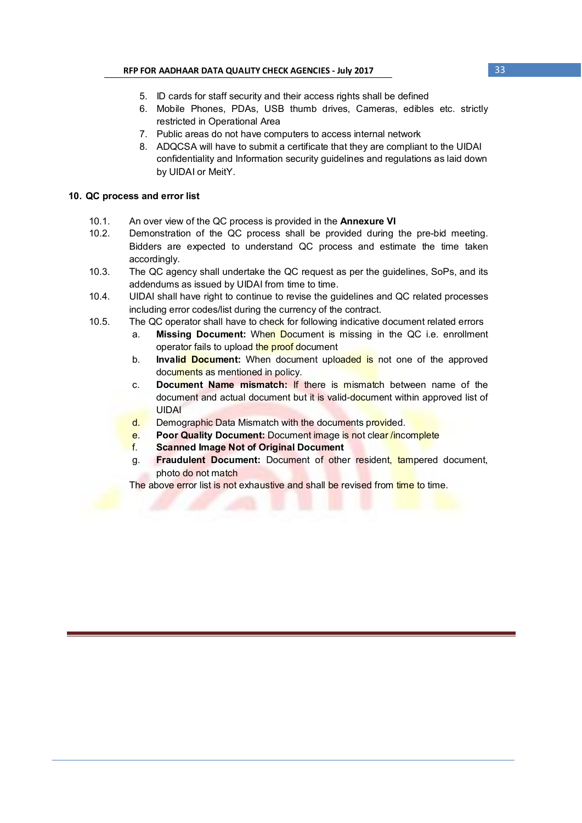- 5. ID cards for staff security and their access rights shall be defined
- 6. Mobile Phones, PDAs, USB thumb drives, Cameras, edibles etc. strictly restricted in Operational Area
- 7. Public areas do not have computers to access internal network
- 8. ADQCSA will have to submit a certificate that they are compliant to the UIDAI confidentiality and Information security guidelines and regulations as laid down by UIDAI or MeitY.

### **10. QC process and error list**

- 10.1. An over view of the QC process is provided in the **Annexure VI**
- 10.2. Demonstration of the QC process shall be provided during the pre-bid meeting. Bidders are expected to understand QC process and estimate the time taken accordingly.
- 10.3. The QC agency shall undertake the QC request as per the guidelines, SoPs, and its addendums as issued by UIDAI from time to time.
- 10.4. UIDAI shall have right to continue to revise the guidelines and QC related processes including error codes/list during the currency of the contract.
- 10.5. The QC operator shall have to check for following indicative document related errors
	- a. **Missing Document:** When Document is missing in the QC i.e. enrollment operator fails to upload the proof document
	- b. **Invalid Document:** When document uploaded is not one of the approved documents as mentioned in policy.
	- c. **Document Name mismatch:** If there is mismatch between name of the document and actual document but it is valid-document within approved list of UIDAI
	- d. Demographic Data Mismatch with the documents provided.
	- e. **Poor Quality Document:** Document image is not clear /incomplete
	- f. **Scanned Image Not of Original Document**
	- g. **Fraudulent Document:** Document of other resident, tampered document, photo do not match

The above error list is not exhaustive and shall be revised from time to time.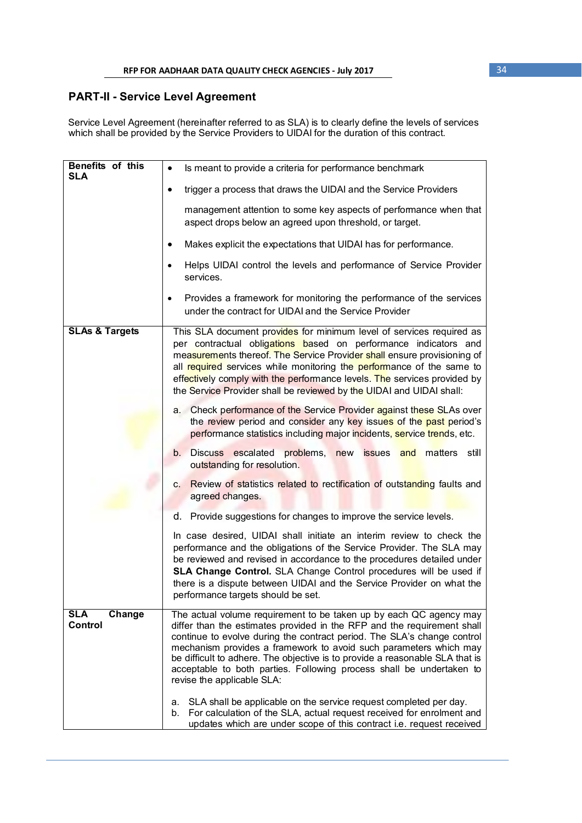### **PART-II - Service Level Agreement**

Service Level Agreement (hereinafter referred to as SLA) is to clearly define the levels of services which shall be provided by the Service Providers to UIDAI for the duration of this contract.

| Benefits of this<br><b>SLA</b>  | Is meant to provide a criteria for performance benchmark                                                                                                                                                                                                                                                                                                                                                                                                                            |
|---------------------------------|-------------------------------------------------------------------------------------------------------------------------------------------------------------------------------------------------------------------------------------------------------------------------------------------------------------------------------------------------------------------------------------------------------------------------------------------------------------------------------------|
|                                 | trigger a process that draws the UIDAI and the Service Providers                                                                                                                                                                                                                                                                                                                                                                                                                    |
|                                 | management attention to some key aspects of performance when that<br>aspect drops below an agreed upon threshold, or target.                                                                                                                                                                                                                                                                                                                                                        |
|                                 | Makes explicit the expectations that UIDAI has for performance.                                                                                                                                                                                                                                                                                                                                                                                                                     |
|                                 | Helps UIDAI control the levels and performance of Service Provider<br>services.                                                                                                                                                                                                                                                                                                                                                                                                     |
|                                 | Provides a framework for monitoring the performance of the services<br>under the contract for UIDAI and the Service Provider                                                                                                                                                                                                                                                                                                                                                        |
| <b>SLAs &amp; Targets</b>       | This SLA document provides for minimum level of services required as<br>per contractual obligations based on performance indicators and<br>measurements thereof. The Service Provider shall ensure provisioning of<br>all required services while monitoring the performance of the same to<br>effectively comply with the performance levels. The services provided by<br>the Service Provider shall be reviewed by the UIDAI and UIDAI shall:                                     |
|                                 | a. Check performance of the Service Provider against these SLAs over<br>the review period and consider any key issues of the past period's<br>performance statistics including major incidents, service trends, etc.                                                                                                                                                                                                                                                                |
|                                 | b. Discuss escalated<br>problems,<br><b>issues</b><br>and<br>matters<br>still<br>new<br>outstanding for resolution.                                                                                                                                                                                                                                                                                                                                                                 |
|                                 | Review of statistics related to rectification of outstanding faults and<br>C.<br>agreed changes.                                                                                                                                                                                                                                                                                                                                                                                    |
|                                 | d. Provide suggestions for changes to improve the service levels.                                                                                                                                                                                                                                                                                                                                                                                                                   |
|                                 | In case desired, UIDAI shall initiate an interim review to check the<br>performance and the obligations of the Service Provider. The SLA may<br>be reviewed and revised in accordance to the procedures detailed under<br>SLA Change Control. SLA Change Control procedures will be used if<br>there is a dispute between UIDAI and the Service Provider on what the<br>performance targets should be set.                                                                          |
| <b>SLA</b><br>Change<br>Control | The actual volume requirement to be taken up by each QC agency may<br>differ than the estimates provided in the RFP and the requirement shall<br>continue to evolve during the contract period. The SLA's change control<br>mechanism provides a framework to avoid such parameters which may<br>be difficult to adhere. The objective is to provide a reasonable SLA that is<br>acceptable to both parties. Following process shall be undertaken to<br>revise the applicable SLA: |
|                                 | SLA shall be applicable on the service request completed per day.<br>а.<br>For calculation of the SLA, actual request received for enrolment and<br>b.<br>updates which are under scope of this contract i.e. request received                                                                                                                                                                                                                                                      |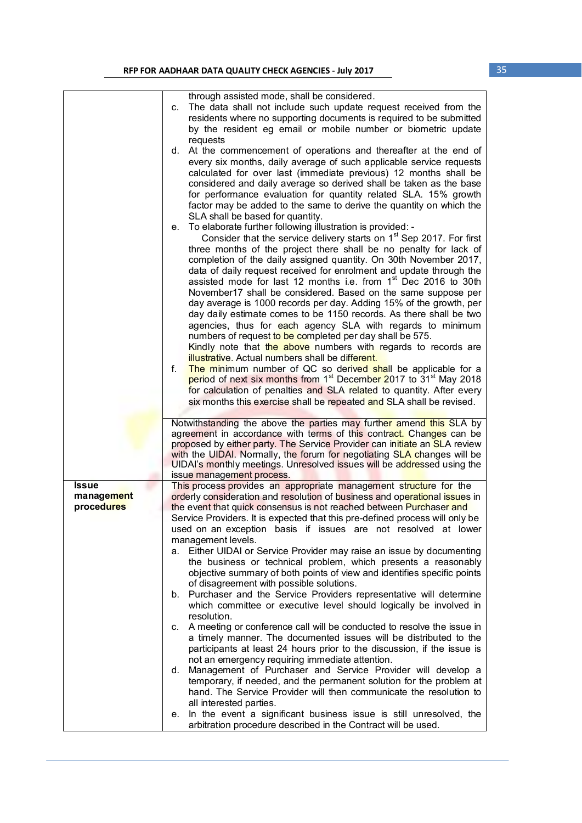|                                          | through assisted mode, shall be considered.<br>The data shall not include such update request received from the<br>C.<br>residents where no supporting documents is required to be submitted<br>by the resident eg email or mobile number or biometric update<br>requests<br>At the commencement of operations and thereafter at the end of<br>d.<br>every six months, daily average of such applicable service requests<br>calculated for over last (immediate previous) 12 months shall be<br>considered and daily average so derived shall be taken as the base<br>for performance evaluation for quantity related SLA. 15% growth<br>factor may be added to the same to derive the quantity on which the<br>SLA shall be based for quantity.<br>To elaborate further following illustration is provided: -<br>е.<br>Consider that the service delivery starts on 1 <sup>st</sup> Sep 2017. For first<br>three months of the project there shall be no penalty for lack of<br>completion of the daily assigned quantity. On 30th November 2017,<br>data of daily request received for enrolment and update through the<br>assisted mode for last 12 months i.e. from 1 <sup>st</sup> Dec 2016 to 30th<br>November17 shall be considered. Based on the same suppose per<br>day average is 1000 records per day. Adding 15% of the growth, per<br>day daily estimate comes to be 1150 records. As there shall be two<br>agencies, thus for each agency SLA with regards to minimum<br>numbers of request to be completed per day shall be 575.<br>Kindly note that the above numbers with regards to records are<br><b>illustrative.</b> Actual numbers shall be different.<br>The minimum number of QC so derived shall be applicable for a<br>f.<br>period of next six months from 1 <sup>st</sup> December 2017 to 31 <sup>st</sup> May 2018<br>for calculation of penalties and SLA related to quantity. After every<br>six months this exercise shall be repeated and SLA shall be revised. |
|------------------------------------------|---------------------------------------------------------------------------------------------------------------------------------------------------------------------------------------------------------------------------------------------------------------------------------------------------------------------------------------------------------------------------------------------------------------------------------------------------------------------------------------------------------------------------------------------------------------------------------------------------------------------------------------------------------------------------------------------------------------------------------------------------------------------------------------------------------------------------------------------------------------------------------------------------------------------------------------------------------------------------------------------------------------------------------------------------------------------------------------------------------------------------------------------------------------------------------------------------------------------------------------------------------------------------------------------------------------------------------------------------------------------------------------------------------------------------------------------------------------------------------------------------------------------------------------------------------------------------------------------------------------------------------------------------------------------------------------------------------------------------------------------------------------------------------------------------------------------------------------------------------------------------------------------------------------------------------------------------------------------------------------------------|
|                                          | Notwithstanding the above the parties may further amend this SLA by<br>agreement in accordance with terms of this contract. Changes can be<br>proposed by either party. The Service Provider can initiate an SLA review<br>with the UIDAI. Normally, the forum for negotiating SLA changes will be<br>UIDAI's monthly meetings. Unresolved issues will be addressed using the                                                                                                                                                                                                                                                                                                                                                                                                                                                                                                                                                                                                                                                                                                                                                                                                                                                                                                                                                                                                                                                                                                                                                                                                                                                                                                                                                                                                                                                                                                                                                                                                                     |
| <b>Issue</b><br>management<br>procedures | issue management process.<br>This process provides an appropriate management structure for the<br>orderly consideration and resolution of business and operational issues in<br>the event that quick consensus is not reached between Purchaser and<br>Service Providers. It is expected that this pre-defined process will only be<br>used on an exception basis if issues are not resolved at lower<br>management levels.<br>a. Either UIDAI or Service Provider may raise an issue by documenting<br>the business or technical problem, which presents a reasonably<br>objective summary of both points of view and identifies specific points<br>of disagreement with possible solutions.<br>Purchaser and the Service Providers representative will determine<br>b.<br>which committee or executive level should logically be involved in<br>resolution.<br>A meeting or conference call will be conducted to resolve the issue in<br>C.<br>a timely manner. The documented issues will be distributed to the<br>participants at least 24 hours prior to the discussion, if the issue is<br>not an emergency requiring immediate attention.<br>Management of Purchaser and Service Provider will develop a<br>d.<br>temporary, if needed, and the permanent solution for the problem at<br>hand. The Service Provider will then communicate the resolution to<br>all interested parties.<br>In the event a significant business issue is still unresolved, the<br>е.<br>arbitration procedure described in the Contract will be used.                                                                                                                                                                                                                                                                                                                                                                                                                                                        |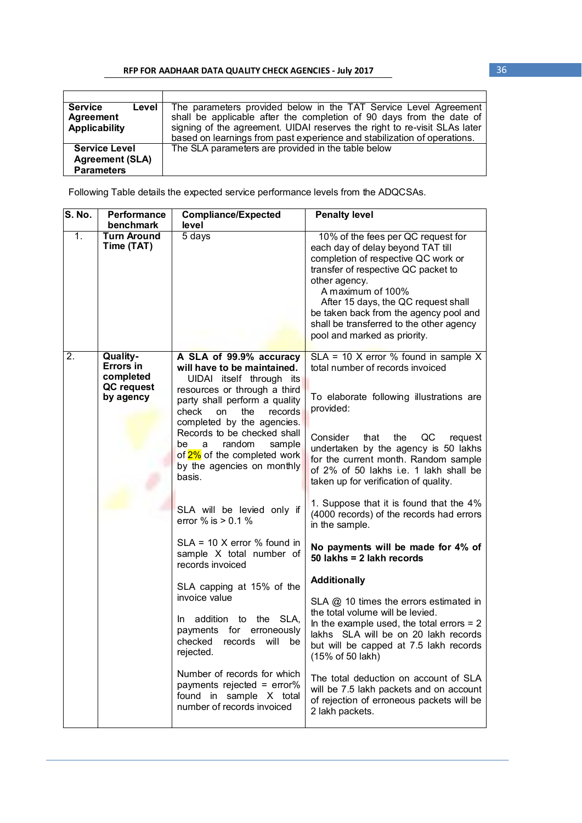| <b>Service</b><br>Level                                             | The parameters provided below in the TAT Service Level Agreement                                                                                                                                                              |
|---------------------------------------------------------------------|-------------------------------------------------------------------------------------------------------------------------------------------------------------------------------------------------------------------------------|
| Agreement<br><b>Applicability</b>                                   | shall be applicable after the completion of 90 days from the date of<br>signing of the agreement. UIDAI reserves the right to re-visit SLAs later<br>based on learnings from past experience and stabilization of operations. |
| <b>Service Level</b><br><b>Agreement (SLA)</b><br><b>Parameters</b> | The SLA parameters are provided in the table below                                                                                                                                                                            |

Following Table details the expected service performance levels from the ADQCSAs.

| S. No. | Performance                                             | <b>Compliance/Expected</b>                                                                                                        | <b>Penalty level</b>                                                                                                                                                                                                                                                                                                                                     |
|--------|---------------------------------------------------------|-----------------------------------------------------------------------------------------------------------------------------------|----------------------------------------------------------------------------------------------------------------------------------------------------------------------------------------------------------------------------------------------------------------------------------------------------------------------------------------------------------|
|        | benchmark                                               | level                                                                                                                             |                                                                                                                                                                                                                                                                                                                                                          |
| 1.     | <b>Turn Around</b><br>Time (TAT)                        | 5 days                                                                                                                            | 10% of the fees per QC request for<br>each day of delay beyond TAT till<br>completion of respective QC work or<br>transfer of respective QC packet to<br>other agency.<br>A maximum of 100%<br>After 15 days, the QC request shall<br>be taken back from the agency pool and<br>shall be transferred to the other agency<br>pool and marked as priority. |
| 2.     | <b>Quality-</b><br>Errors in<br>completed<br>QC request | A SLA of 99.9% accuracy<br>will have to be maintained.<br>UIDAI itself through its                                                | $SLA = 10$ X error % found in sample X<br>total number of records invoiced                                                                                                                                                                                                                                                                               |
|        | by agency                                               | resources or through a third<br>party shall perform a quality<br>the<br>check<br>on<br>records<br>completed by the agencies.      | To elaborate following illustrations are<br>provided:                                                                                                                                                                                                                                                                                                    |
|        |                                                         | Records to be checked shall<br>a<br>random<br>sample<br>be<br>of 2% of the completed work<br>by the agencies on monthly<br>basis. | Consider<br>that<br>the<br>QC<br>request<br>undertaken by the agency is 50 lakhs<br>for the current month. Random sample<br>of 2% of 50 lakhs i.e. 1 lakh shall be<br>taken up for verification of quality.                                                                                                                                              |
|        |                                                         | SLA will be levied only if<br>error % is $> 0.1$ %                                                                                | 1. Suppose that it is found that the 4%<br>(4000 records) of the records had errors<br>in the sample.                                                                                                                                                                                                                                                    |
|        |                                                         | $SLA = 10$ X error % found in<br>sample X total number of<br>records invoiced                                                     | No payments will be made for 4% of<br>50 lakhs = 2 lakh records                                                                                                                                                                                                                                                                                          |
|        |                                                         | SLA capping at 15% of the<br>invoice value                                                                                        | <b>Additionally</b><br>SLA @ 10 times the errors estimated in                                                                                                                                                                                                                                                                                            |
|        |                                                         | addition to the SLA,<br>In.<br>payments for<br>erroneously<br>checked<br>records<br>will<br>be<br>rejected.                       | the total volume will be levied.<br>In the example used, the total errors $= 2$<br>lakhs SLA will be on 20 lakh records<br>but will be capped at 7.5 lakh records<br>(15% of 50 lakh)                                                                                                                                                                    |
|        |                                                         | Number of records for which<br>payments rejected = error%<br>found in sample X total<br>number of records invoiced                | The total deduction on account of SLA<br>will be 7.5 lakh packets and on account<br>of rejection of erroneous packets will be<br>2 lakh packets.                                                                                                                                                                                                         |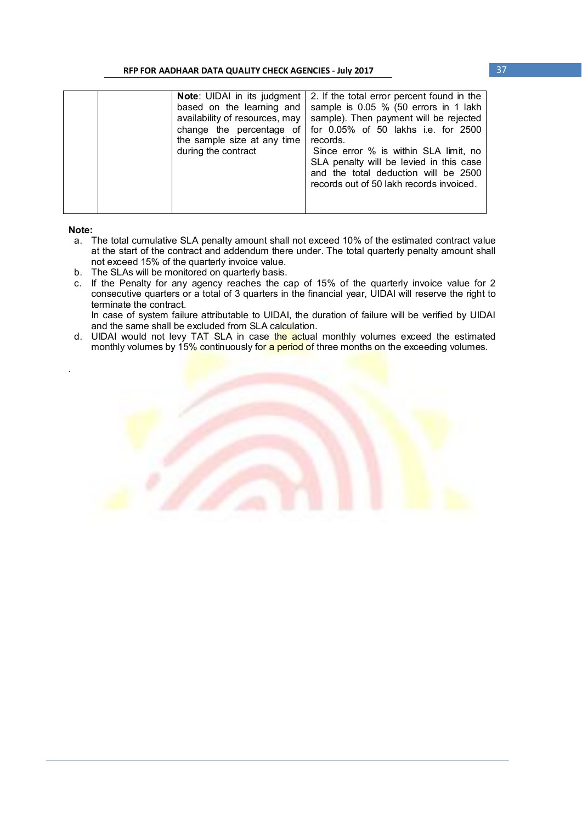**Note:** 

.

- a. The total cumulative SLA penalty amount shall not exceed 10% of the estimated contract value at the start of the contract and addendum there under. The total quarterly penalty amount shall not exceed 15% of the quarterly invoice value.
- b. The SLAs will be monitored on quarterly basis.
- c. If the Penalty for any agency reaches the cap of 15% of the quarterly invoice value for 2 consecutive quarters or a total of 3 quarters in the financial year, UIDAI will reserve the right to terminate the contract.

In case of system failure attributable to UIDAI, the duration of failure will be verified by UIDAI and the same shall be excluded from SLA calculation.

d. UIDAI would not levy TAT SLA in case the actual monthly volumes exceed the estimated monthly volumes by  $15\%$  continuously for a period of three months on the exceeding volumes.

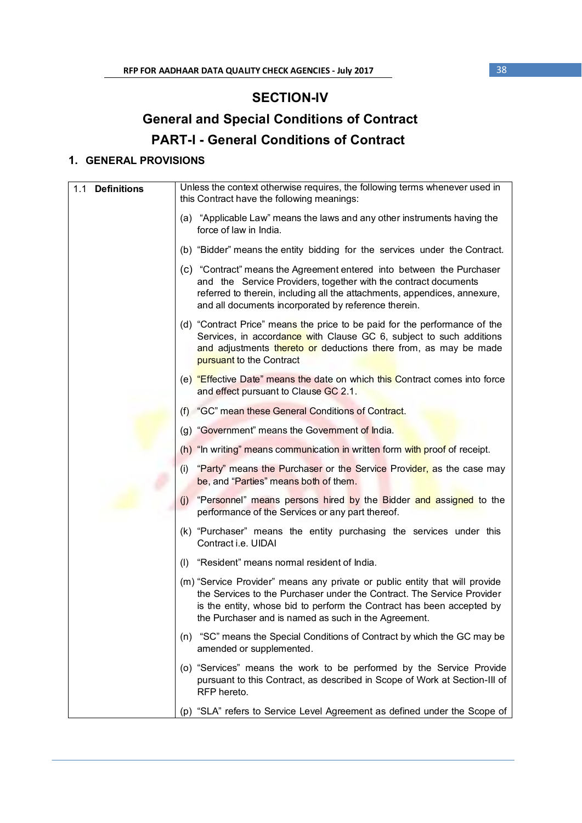# **SECTION-IV**

# **General and Special Conditions of Contract PART-I - General Conditions of Contract**

# **1. GENERAL PROVISIONS**

| 1.1 Definitions | Unless the context otherwise requires, the following terms whenever used in<br>this Contract have the following meanings:                                                                                                                                                              |
|-----------------|----------------------------------------------------------------------------------------------------------------------------------------------------------------------------------------------------------------------------------------------------------------------------------------|
|                 | (a) "Applicable Law" means the laws and any other instruments having the<br>force of law in India.                                                                                                                                                                                     |
|                 | (b) "Bidder" means the entity bidding for the services under the Contract.                                                                                                                                                                                                             |
|                 | (c) "Contract" means the Agreement entered into between the Purchaser<br>and the Service Providers, together with the contract documents<br>referred to therein, including all the attachments, appendices, annexure,<br>and all documents incorporated by reference therein.          |
|                 | (d) "Contract Price" means the price to be paid for the performance of the<br>Services, in accordance with Clause GC 6, subject to such additions<br>and adjustments thereto or deductions there from, as may be made<br>pursuant to the Contract                                      |
|                 | (e) "Effective Date" means the date on which this Contract comes into force<br>and effect pursuant to Clause GC 2.1.                                                                                                                                                                   |
|                 | (f) "GC" mean these General Conditions of Contract.                                                                                                                                                                                                                                    |
|                 | (g) "Government" means the Government of India.                                                                                                                                                                                                                                        |
|                 | (h) "In writing" means communication in written form with proof of receipt.                                                                                                                                                                                                            |
|                 | "Party" means the Purchaser or the Service Provider, as the case may<br>(i)<br>be, and "Parties" means both of them.                                                                                                                                                                   |
|                 | (j) "Personnel" means persons hired by the Bidder and assigned to the<br>performance of the Services or any part thereof.                                                                                                                                                              |
|                 | (k) "Purchaser" means the entity purchasing the services under this<br>Contract i.e. UIDAI                                                                                                                                                                                             |
|                 | (I) "Resident" means normal resident of India.                                                                                                                                                                                                                                         |
|                 | (m) "Service Provider" means any private or public entity that will provide<br>the Services to the Purchaser under the Contract. The Service Provider<br>is the entity, whose bid to perform the Contract has been accepted by<br>the Purchaser and is named as such in the Agreement. |
|                 | (n) "SC" means the Special Conditions of Contract by which the GC may be<br>amended or supplemented.                                                                                                                                                                                   |
|                 | (o) "Services" means the work to be performed by the Service Provide<br>pursuant to this Contract, as described in Scope of Work at Section-III of<br>RFP hereto.                                                                                                                      |
|                 | (p) "SLA" refers to Service Level Agreement as defined under the Scope of                                                                                                                                                                                                              |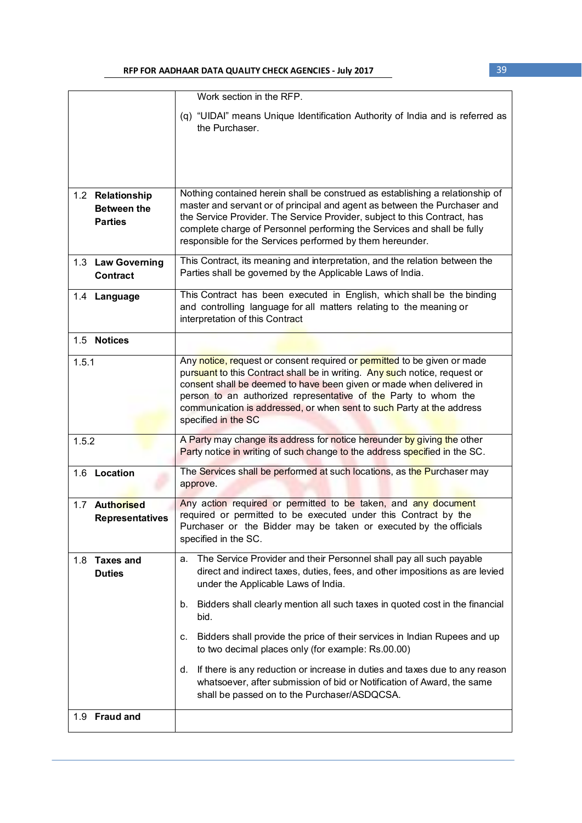|                                                          | Work section in the RFP.                                                                                                                                                                                                                                                                                                                                                                          |
|----------------------------------------------------------|---------------------------------------------------------------------------------------------------------------------------------------------------------------------------------------------------------------------------------------------------------------------------------------------------------------------------------------------------------------------------------------------------|
|                                                          | (q) "UIDAI" means Unique Identification Authority of India and is referred as<br>the Purchaser.                                                                                                                                                                                                                                                                                                   |
|                                                          |                                                                                                                                                                                                                                                                                                                                                                                                   |
| 1.2 Relationship<br><b>Between the</b><br><b>Parties</b> | Nothing contained herein shall be construed as establishing a relationship of<br>master and servant or of principal and agent as between the Purchaser and<br>the Service Provider. The Service Provider, subject to this Contract, has<br>complete charge of Personnel performing the Services and shall be fully<br>responsible for the Services performed by them hereunder.                   |
| 1.3 Law Governing<br><b>Contract</b>                     | This Contract, its meaning and interpretation, and the relation between the<br>Parties shall be governed by the Applicable Laws of India.                                                                                                                                                                                                                                                         |
| 1.4 Language                                             | This Contract has been executed in English, which shall be the binding<br>and controlling language for all matters relating to the meaning or<br>interpretation of this Contract                                                                                                                                                                                                                  |
| 1.5 Notices                                              |                                                                                                                                                                                                                                                                                                                                                                                                   |
| 1.5.1                                                    | Any notice, request or consent required or permitted to be given or made<br>pursuant to this Contract shall be in writing. Any such notice, request or<br>consent shall be deemed to have been given or made when delivered in<br>person to an authorized representative of the Party to whom the<br>communication is addressed, or when sent to such Party at the address<br>specified in the SC |
| 1.5.2                                                    | A Party may change its address for notice hereunder by giving the other<br>Party notice in writing of such change to the address specified in the SC.                                                                                                                                                                                                                                             |
| 1.6 Location                                             | The Services shall be performed at such locations, as the Purchaser may<br>approve.                                                                                                                                                                                                                                                                                                               |
| 1.7 Authorised<br><b>Representatives</b>                 | Any action required or permitted to be taken, and any document<br>required or permitted to be executed under this Contract by the<br>Purchaser or the Bidder may be taken or executed by the officials<br>specified in the SC.                                                                                                                                                                    |
| <b>Taxes and</b><br>1.8<br><b>Duties</b>                 | The Service Provider and their Personnel shall pay all such payable<br>a.<br>direct and indirect taxes, duties, fees, and other impositions as are levied<br>under the Applicable Laws of India.                                                                                                                                                                                                  |
|                                                          | Bidders shall clearly mention all such taxes in quoted cost in the financial<br>b.<br>bid.                                                                                                                                                                                                                                                                                                        |
|                                                          | Bidders shall provide the price of their services in Indian Rupees and up<br>c.<br>to two decimal places only (for example: Rs.00.00)                                                                                                                                                                                                                                                             |
|                                                          | If there is any reduction or increase in duties and taxes due to any reason<br>d.<br>whatsoever, after submission of bid or Notification of Award, the same<br>shall be passed on to the Purchaser/ASDQCSA.                                                                                                                                                                                       |
| 1.9 Fraud and                                            |                                                                                                                                                                                                                                                                                                                                                                                                   |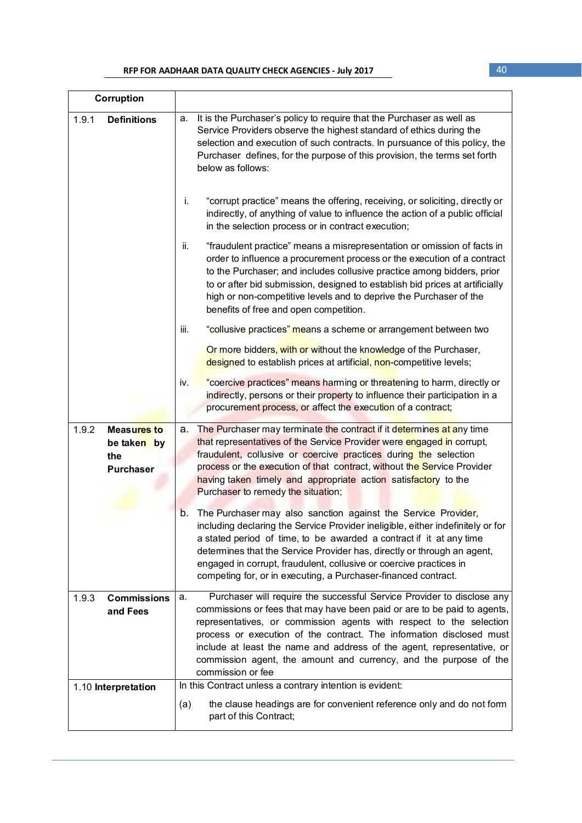| Corruption                                                            |                                                                                                                                                                                                                                                                                                                                                                                                                                                                             |
|-----------------------------------------------------------------------|-----------------------------------------------------------------------------------------------------------------------------------------------------------------------------------------------------------------------------------------------------------------------------------------------------------------------------------------------------------------------------------------------------------------------------------------------------------------------------|
| 1.9.1<br><b>Definitions</b>                                           | It is the Purchaser's policy to require that the Purchaser as well as<br>а.<br>Service Providers observe the highest standard of ethics during the<br>selection and execution of such contracts. In pursuance of this policy, the<br>Purchaser defines, for the purpose of this provision, the terms set forth<br>below as follows:                                                                                                                                         |
|                                                                       | "corrupt practice" means the offering, receiving, or soliciting, directly or<br>i.<br>indirectly, of anything of value to influence the action of a public official<br>in the selection process or in contract execution;                                                                                                                                                                                                                                                   |
|                                                                       | "fraudulent practice" means a misrepresentation or omission of facts in<br>ii.<br>order to influence a procurement process or the execution of a contract<br>to the Purchaser; and includes collusive practice among bidders, prior<br>to or after bid submission, designed to establish bid prices at artificially<br>high or non-competitive levels and to deprive the Purchaser of the<br>benefits of free and open competition.                                         |
|                                                                       | "collusive practices" means a scheme or arrangement between two<br>iii.                                                                                                                                                                                                                                                                                                                                                                                                     |
|                                                                       | Or more bidders, with or without the knowledge of the Purchaser,<br>designed to establish prices at artificial, non-competitive levels;                                                                                                                                                                                                                                                                                                                                     |
|                                                                       | "coercive practices" means harming or threatening to harm, directly or<br>iv.<br>indirectly, persons or their property to influence their participation in a<br>procurement process, or affect the execution of a contract;                                                                                                                                                                                                                                                 |
| 1.9.2<br><b>Measures to</b><br>be taken by<br>the<br><b>Purchaser</b> | The Purchaser may terminate the contract if it determines at any time<br>а.<br>that representatives of the Service Provider were engaged in corrupt,<br>fraudulent, collusive or coercive practices during the selection<br>process or the execution of that contract, without the Service Provider<br>having taken timely and appropriate action satisfactory to the<br>Purchaser to remedy the situation;                                                                 |
|                                                                       | The Purchaser may also sanction against the Service Provider,<br>b.<br>including declaring the Service Provider ineligible, either indefinitely or for<br>a stated period of time, to be awarded a contract if it at any time<br>determines that the Service Provider has, directly or through an agent,<br>engaged in corrupt, fraudulent, collusive or coercive practices in<br>competing for, or in executing, a Purchaser-financed contract.                            |
| 1.9.3<br><b>Commissions</b><br>and Fees                               | Purchaser will require the successful Service Provider to disclose any<br>а.<br>commissions or fees that may have been paid or are to be paid to agents,<br>representatives, or commission agents with respect to the selection<br>process or execution of the contract. The information disclosed must<br>include at least the name and address of the agent, representative, or<br>commission agent, the amount and currency, and the purpose of the<br>commission or fee |
| 1.10 Interpretation                                                   | In this Contract unless a contrary intention is evident:<br>the clause headings are for convenient reference only and do not form<br>(a)<br>part of this Contract;                                                                                                                                                                                                                                                                                                          |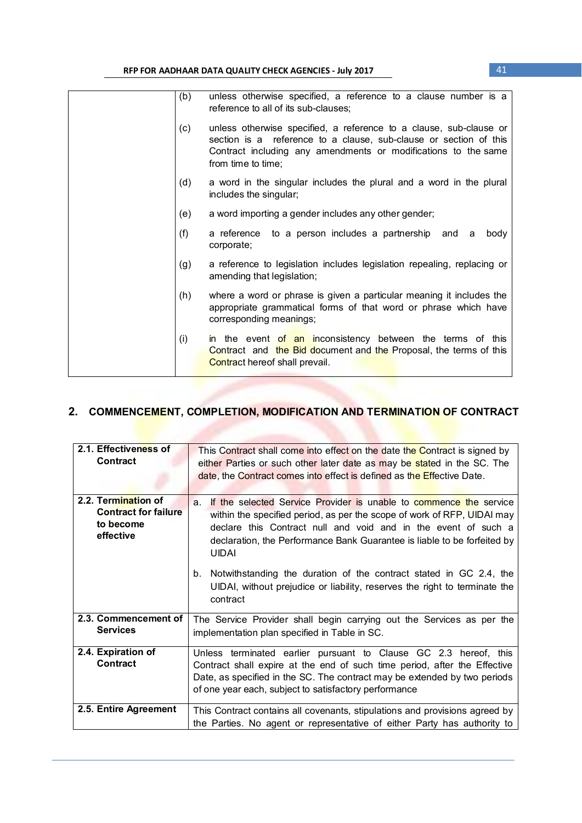| (b) | unless otherwise specified, a reference to a clause number is a<br>reference to all of its sub-clauses;                                                                                                                         |
|-----|---------------------------------------------------------------------------------------------------------------------------------------------------------------------------------------------------------------------------------|
| (c) | unless otherwise specified, a reference to a clause, sub-clause or<br>section is a reference to a clause, sub-clause or section of this<br>Contract including any amendments or modifications to the same<br>from time to time; |
| (d) | a word in the singular includes the plural and a word in the plural<br>includes the singular;                                                                                                                                   |
| (e) | a word importing a gender includes any other gender;                                                                                                                                                                            |
| (f) | to a person includes a partnership and<br>a reference<br>body<br>а<br>corporate;                                                                                                                                                |
| (g) | a reference to legislation includes legislation repealing, replacing or<br>amending that legislation;                                                                                                                           |
| (h) | where a word or phrase is given a particular meaning it includes the<br>appropriate grammatical forms of that word or phrase which have<br>corresponding meanings;                                                              |
| (i) | in the event of an inconsistency between the terms of this<br>Contract and the Bid document and the Proposal, the terms of this<br>Contract hereof shall prevail.                                                               |
|     |                                                                                                                                                                                                                                 |

# **2. COMMENCEMENT, COMPLETION, MODIFICATION AND TERMINATION OF CONTRACT**

| 2.1. Effectiveness of<br><b>Contract</b>                                     | This Contract shall come into effect on the date the Contract is signed by<br>either Parties or such other later date as may be stated in the SC. The<br>date, the Contract comes into effect is defined as the Effective Date.                                                                                               |
|------------------------------------------------------------------------------|-------------------------------------------------------------------------------------------------------------------------------------------------------------------------------------------------------------------------------------------------------------------------------------------------------------------------------|
| 2.2. Termination of<br><b>Contract for failure</b><br>to become<br>effective | If the selected Service Provider is unable to commence the service<br>a <sub>z</sub><br>within the specified period, as per the scope of work of RFP, UIDAI may<br>declare this Contract null and void and in the event of such a<br>declaration, the Performance Bank Guarantee is liable to be forfeited by<br><b>UIDAI</b> |
|                                                                              | b. Notwithstanding the duration of the contract stated in GC 2.4, the<br>UIDAI, without prejudice or liability, reserves the right to terminate the<br>contract                                                                                                                                                               |
| 2.3. Commencement of<br><b>Services</b>                                      | The Service Provider shall begin carrying out the Services as per the<br>implementation plan specified in Table in SC.                                                                                                                                                                                                        |
| 2.4. Expiration of<br><b>Contract</b>                                        | Unless terminated earlier pursuant to Clause GC 2.3 hereof, this<br>Contract shall expire at the end of such time period, after the Effective<br>Date, as specified in the SC. The contract may be extended by two periods<br>of one year each, subject to satisfactory performance                                           |
| 2.5. Entire Agreement                                                        | This Contract contains all covenants, stipulations and provisions agreed by<br>the Parties. No agent or representative of either Party has authority to                                                                                                                                                                       |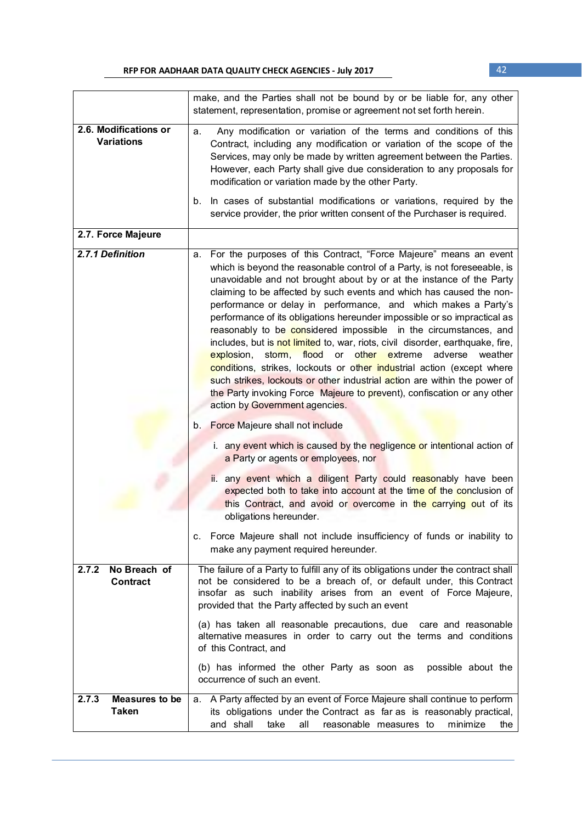|                                                | make, and the Parties shall not be bound by or be liable for, any other<br>statement, representation, promise or agreement not set forth herein.                                                                                                                                                                                                                                                                                                                                                                                                                                                                                                                                                                                                                                                                                                                                                                                                                                           |
|------------------------------------------------|--------------------------------------------------------------------------------------------------------------------------------------------------------------------------------------------------------------------------------------------------------------------------------------------------------------------------------------------------------------------------------------------------------------------------------------------------------------------------------------------------------------------------------------------------------------------------------------------------------------------------------------------------------------------------------------------------------------------------------------------------------------------------------------------------------------------------------------------------------------------------------------------------------------------------------------------------------------------------------------------|
| 2.6. Modifications or<br><b>Variations</b>     | Any modification or variation of the terms and conditions of this<br>a.<br>Contract, including any modification or variation of the scope of the<br>Services, may only be made by written agreement between the Parties.<br>However, each Party shall give due consideration to any proposals for<br>modification or variation made by the other Party.<br>In cases of substantial modifications or variations, required by the<br>b.<br>service provider, the prior written consent of the Purchaser is required.                                                                                                                                                                                                                                                                                                                                                                                                                                                                         |
| 2.7. Force Majeure                             |                                                                                                                                                                                                                                                                                                                                                                                                                                                                                                                                                                                                                                                                                                                                                                                                                                                                                                                                                                                            |
| 2.7.1 Definition                               | a. For the purposes of this Contract, "Force Majeure" means an event<br>which is beyond the reasonable control of a Party, is not foreseeable, is<br>unavoidable and not brought about by or at the instance of the Party<br>claiming to be affected by such events and which has caused the non-<br>performance or delay in performance, and which makes a Party's<br>performance of its obligations hereunder impossible or so impractical as<br>reasonably to be considered impossible in the circumstances, and<br>includes, but is not limited to, war, riots, civil disorder, earthquake, fire,<br>flood or<br>other extreme<br>explosion,<br>storm,<br>adverse<br>weather<br>conditions, strikes, lockouts or other industrial action (except where<br>such strikes, lockouts or other industrial action are within the power of<br>the Party invoking Force Majeure to prevent), confiscation or any other<br>action by Government agencies.<br>b. Force Majeure shall not include |
|                                                | i. any event which is caused by the negligence or intentional action of                                                                                                                                                                                                                                                                                                                                                                                                                                                                                                                                                                                                                                                                                                                                                                                                                                                                                                                    |
|                                                | a Party or agents or employees, nor                                                                                                                                                                                                                                                                                                                                                                                                                                                                                                                                                                                                                                                                                                                                                                                                                                                                                                                                                        |
|                                                | ii. any event which a diligent Party could reasonably have been<br>expected both to take into account at the time of the conclusion of<br>this Contract, and avoid or overcome in the carrying out of its<br>obligations hereunder.                                                                                                                                                                                                                                                                                                                                                                                                                                                                                                                                                                                                                                                                                                                                                        |
|                                                | Force Majeure shall not include insufficiency of funds or inability to<br>c.<br>make any payment required hereunder.                                                                                                                                                                                                                                                                                                                                                                                                                                                                                                                                                                                                                                                                                                                                                                                                                                                                       |
| No Breach of<br>2.7.2<br><b>Contract</b>       | The failure of a Party to fulfill any of its obligations under the contract shall<br>not be considered to be a breach of, or default under, this Contract<br>insofar as such inability arises from an event of Force Majeure,<br>provided that the Party affected by such an event                                                                                                                                                                                                                                                                                                                                                                                                                                                                                                                                                                                                                                                                                                         |
|                                                | (a) has taken all reasonable precautions, due care and reasonable<br>alternative measures in order to carry out the terms and conditions<br>of this Contract, and                                                                                                                                                                                                                                                                                                                                                                                                                                                                                                                                                                                                                                                                                                                                                                                                                          |
|                                                | (b) has informed the other Party as soon as<br>possible about the<br>occurrence of such an event.                                                                                                                                                                                                                                                                                                                                                                                                                                                                                                                                                                                                                                                                                                                                                                                                                                                                                          |
| <b>Measures to be</b><br>2.7.3<br><b>Taken</b> | A Party affected by an event of Force Majeure shall continue to perform<br>а.<br>its obligations under the Contract as far as is reasonably practical,<br>and shall<br>reasonable measures to<br>minimize<br>take<br>all<br>the                                                                                                                                                                                                                                                                                                                                                                                                                                                                                                                                                                                                                                                                                                                                                            |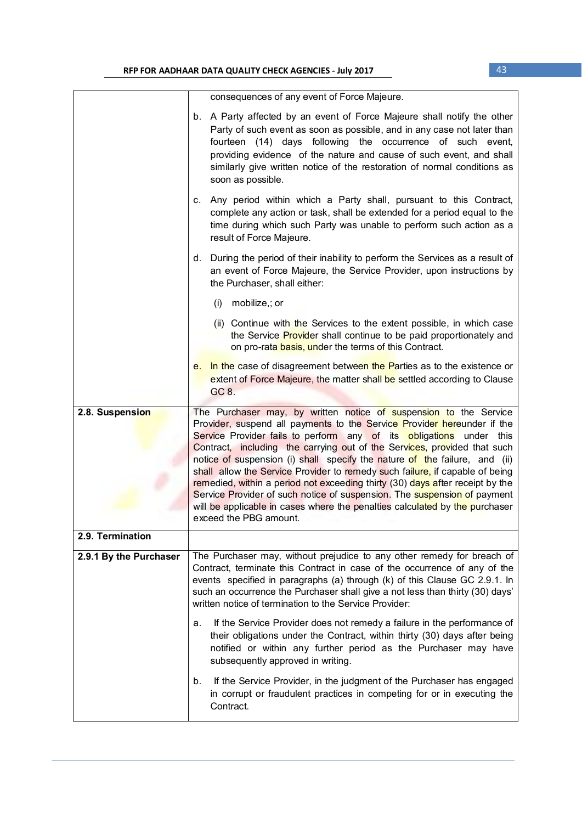|                        | consequences of any event of Force Majeure.                                                                                                                                                                                                                                                                                                                                                                                                                                                                                                                                                                                                                                                                                         |
|------------------------|-------------------------------------------------------------------------------------------------------------------------------------------------------------------------------------------------------------------------------------------------------------------------------------------------------------------------------------------------------------------------------------------------------------------------------------------------------------------------------------------------------------------------------------------------------------------------------------------------------------------------------------------------------------------------------------------------------------------------------------|
|                        | b. A Party affected by an event of Force Majeure shall notify the other<br>Party of such event as soon as possible, and in any case not later than<br>fourteen (14) days following the occurrence of such event,<br>providing evidence of the nature and cause of such event, and shall<br>similarly give written notice of the restoration of normal conditions as<br>soon as possible.                                                                                                                                                                                                                                                                                                                                            |
|                        | Any period within which a Party shall, pursuant to this Contract,<br>C.<br>complete any action or task, shall be extended for a period equal to the<br>time during which such Party was unable to perform such action as a<br>result of Force Majeure.                                                                                                                                                                                                                                                                                                                                                                                                                                                                              |
|                        | d. During the period of their inability to perform the Services as a result of<br>an event of Force Majeure, the Service Provider, upon instructions by<br>the Purchaser, shall either:                                                                                                                                                                                                                                                                                                                                                                                                                                                                                                                                             |
|                        | (i)<br>mobilize,; or                                                                                                                                                                                                                                                                                                                                                                                                                                                                                                                                                                                                                                                                                                                |
|                        | (ii) Continue with the Services to the extent possible, in which case<br>the Service Provider shall continue to be paid proportionately and<br>on pro-rata basis, under the terms of this Contract.                                                                                                                                                                                                                                                                                                                                                                                                                                                                                                                                 |
|                        | e. In the case of disagreement between the Parties as to the existence or<br>extent of Force Majeure, the matter shall be settled according to Clause<br>GC 8.                                                                                                                                                                                                                                                                                                                                                                                                                                                                                                                                                                      |
| 2.8. Suspension        | The Purchaser may, by written notice of suspension to the Service<br>Provider, suspend all payments to the Service Provider hereunder if the<br>Service Provider fails to perform any of its obligations under this<br>Contract, including the carrying out of the Services, provided that such<br>notice of suspension (i) shall specify the nature of the failure, and (ii)<br>shall allow the Service Provider to remedy such failure, if capable of being<br>remedied, within a period not exceeding thirty (30) days after receipt by the<br>Service Provider of such notice of suspension. The suspension of payment<br>will be applicable in cases where the penalties calculated by the purchaser<br>exceed the PBG amount. |
| 2.9. Termination       |                                                                                                                                                                                                                                                                                                                                                                                                                                                                                                                                                                                                                                                                                                                                     |
| 2.9.1 By the Purchaser | The Purchaser may, without prejudice to any other remedy for breach of<br>Contract, terminate this Contract in case of the occurrence of any of the<br>events specified in paragraphs (a) through (k) of this Clause GC 2.9.1. In<br>such an occurrence the Purchaser shall give a not less than thirty (30) days'<br>written notice of termination to the Service Provider:                                                                                                                                                                                                                                                                                                                                                        |
|                        | If the Service Provider does not remedy a failure in the performance of<br>а.<br>their obligations under the Contract, within thirty (30) days after being<br>notified or within any further period as the Purchaser may have<br>subsequently approved in writing.                                                                                                                                                                                                                                                                                                                                                                                                                                                                  |
|                        | If the Service Provider, in the judgment of the Purchaser has engaged<br>b.<br>in corrupt or fraudulent practices in competing for or in executing the<br>Contract.                                                                                                                                                                                                                                                                                                                                                                                                                                                                                                                                                                 |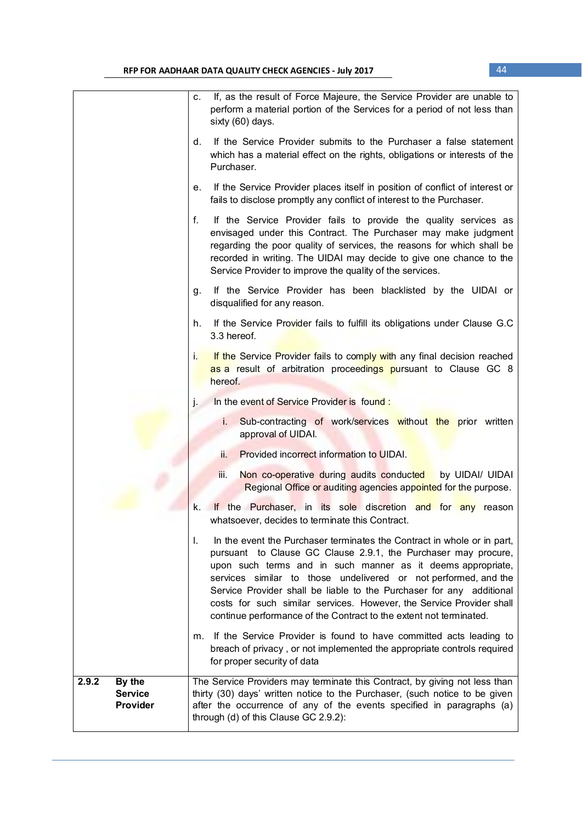|       |                                      | C. | If, as the result of Force Majeure, the Service Provider are unable to<br>perform a material portion of the Services for a period of not less than<br>sixty (60) days.                                                                                                                                                                                                                                                                                                                            |
|-------|--------------------------------------|----|---------------------------------------------------------------------------------------------------------------------------------------------------------------------------------------------------------------------------------------------------------------------------------------------------------------------------------------------------------------------------------------------------------------------------------------------------------------------------------------------------|
|       |                                      | d. | If the Service Provider submits to the Purchaser a false statement<br>which has a material effect on the rights, obligations or interests of the<br>Purchaser.                                                                                                                                                                                                                                                                                                                                    |
|       |                                      | е. | If the Service Provider places itself in position of conflict of interest or<br>fails to disclose promptly any conflict of interest to the Purchaser.                                                                                                                                                                                                                                                                                                                                             |
|       |                                      | f. | If the Service Provider fails to provide the quality services as<br>envisaged under this Contract. The Purchaser may make judgment<br>regarding the poor quality of services, the reasons for which shall be<br>recorded in writing. The UIDAI may decide to give one chance to the<br>Service Provider to improve the quality of the services.                                                                                                                                                   |
|       |                                      | g. | If the Service Provider has been blacklisted by the UIDAI or<br>disqualified for any reason.                                                                                                                                                                                                                                                                                                                                                                                                      |
|       |                                      | h. | If the Service Provider fails to fulfill its obligations under Clause G.C<br>3.3 hereof.                                                                                                                                                                                                                                                                                                                                                                                                          |
|       |                                      | ī. | If the Service Provider fails to comply with any final decision reached<br>as a result of arbitration proceedings pursuant to Clause GC 8<br>hereof.                                                                                                                                                                                                                                                                                                                                              |
|       |                                      | J. | In the event of Service Provider is found:                                                                                                                                                                                                                                                                                                                                                                                                                                                        |
|       |                                      |    | Sub-contracting of work/services without the prior written<br>i.<br>approval of UIDAI.                                                                                                                                                                                                                                                                                                                                                                                                            |
|       |                                      |    | Provided incorrect information to UIDAI.<br>ii.                                                                                                                                                                                                                                                                                                                                                                                                                                                   |
|       |                                      |    | iii.<br>Non co-operative during audits conducted<br>by UIDAI/ UIDAI<br>Regional Office or auditing agencies appointed for the purpose.                                                                                                                                                                                                                                                                                                                                                            |
|       |                                      | k. | If the Purchaser, in its sole discretion and for any reason<br>whatsoever, decides to terminate this Contract.                                                                                                                                                                                                                                                                                                                                                                                    |
|       |                                      | I. | In the event the Purchaser terminates the Contract in whole or in part,<br>pursuant to Clause GC Clause 2.9.1, the Purchaser may procure,<br>upon such terms and in such manner as it deems appropriate,<br>services similar to those undelivered or not performed, and the<br>Service Provider shall be liable to the Purchaser for any additional<br>costs for such similar services. However, the Service Provider shall<br>continue performance of the Contract to the extent not terminated. |
|       |                                      | m. | If the Service Provider is found to have committed acts leading to<br>breach of privacy, or not implemented the appropriate controls required<br>for proper security of data                                                                                                                                                                                                                                                                                                                      |
| 2.9.2 | By the<br><b>Service</b><br>Provider |    | The Service Providers may terminate this Contract, by giving not less than<br>thirty (30) days' written notice to the Purchaser, (such notice to be given<br>after the occurrence of any of the events specified in paragraphs (a)<br>through (d) of this Clause GC 2.9.2):                                                                                                                                                                                                                       |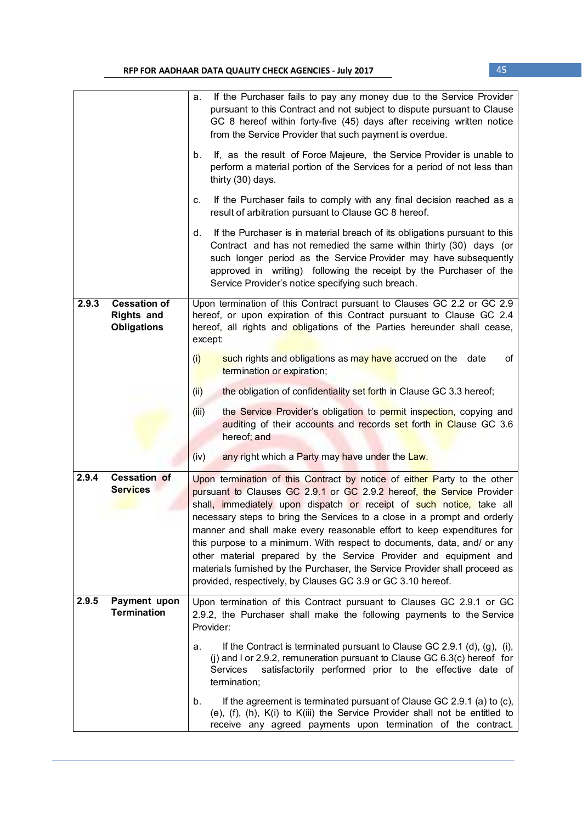|       |                                                                | If the Purchaser fails to pay any money due to the Service Provider<br>a.<br>pursuant to this Contract and not subject to dispute pursuant to Clause<br>GC 8 hereof within forty-five (45) days after receiving written notice<br>from the Service Provider that such payment is overdue.                                                                                                                                                                                                                                                                                                                                                                                      |
|-------|----------------------------------------------------------------|--------------------------------------------------------------------------------------------------------------------------------------------------------------------------------------------------------------------------------------------------------------------------------------------------------------------------------------------------------------------------------------------------------------------------------------------------------------------------------------------------------------------------------------------------------------------------------------------------------------------------------------------------------------------------------|
|       |                                                                | If, as the result of Force Majeure, the Service Provider is unable to<br>b.<br>perform a material portion of the Services for a period of not less than<br>thirty (30) days.                                                                                                                                                                                                                                                                                                                                                                                                                                                                                                   |
|       |                                                                | If the Purchaser fails to comply with any final decision reached as a<br>c.<br>result of arbitration pursuant to Clause GC 8 hereof.                                                                                                                                                                                                                                                                                                                                                                                                                                                                                                                                           |
|       |                                                                | If the Purchaser is in material breach of its obligations pursuant to this<br>d.<br>Contract and has not remedied the same within thirty (30) days (or<br>such longer period as the Service Provider may have subsequently<br>approved in writing) following the receipt by the Purchaser of the<br>Service Provider's notice specifying such breach.                                                                                                                                                                                                                                                                                                                          |
| 2.9.3 | <b>Cessation of</b><br><b>Rights and</b><br><b>Obligations</b> | Upon termination of this Contract pursuant to Clauses GC 2.2 or GC 2.9<br>hereof, or upon expiration of this Contract pursuant to Clause GC 2.4<br>hereof, all rights and obligations of the Parties hereunder shall cease,<br>except:                                                                                                                                                                                                                                                                                                                                                                                                                                         |
|       |                                                                | (i)<br>such rights and obligations as may have accrued on the date<br>οf<br>termination or expiration;                                                                                                                                                                                                                                                                                                                                                                                                                                                                                                                                                                         |
|       |                                                                | the obligation of confidentiality set forth in Clause GC 3.3 hereof;<br>(iii)                                                                                                                                                                                                                                                                                                                                                                                                                                                                                                                                                                                                  |
|       |                                                                | the Service Provider's obligation to permit inspection, copying and<br>(iii)<br>auditing of their accounts and records set forth in Clause GC 3.6<br>hereof; and                                                                                                                                                                                                                                                                                                                                                                                                                                                                                                               |
|       |                                                                | any right which a Party may have under the Law.<br>(iv)                                                                                                                                                                                                                                                                                                                                                                                                                                                                                                                                                                                                                        |
| 2.9.4 | <b>Cessation of</b><br><b>Services</b>                         | Upon termination of this Contract by notice of either Party to the other<br>pursuant to Clauses GC 2.9.1 or GC 2.9.2 hereof, the Service Provider<br>shall, immediately upon dispatch or receipt of such notice, take all<br>necessary steps to bring the Services to a close in a prompt and orderly<br>manner and shall make every reasonable effort to keep expenditures for<br>this purpose to a minimum. With respect to documents, data, and/ or any<br>other material prepared by the Service Provider and equipment and<br>materials furnished by the Purchaser, the Service Provider shall proceed as<br>provided, respectively, by Clauses GC 3.9 or GC 3.10 hereof. |
| 2.9.5 | Payment upon<br><b>Termination</b>                             | Upon termination of this Contract pursuant to Clauses GC 2.9.1 or GC<br>2.9.2, the Purchaser shall make the following payments to the Service<br>Provider:                                                                                                                                                                                                                                                                                                                                                                                                                                                                                                                     |
|       |                                                                | If the Contract is terminated pursuant to Clause GC 2.9.1 (d), $(g)$ , (i),<br>a.<br>(j) and I or 2.9.2, remuneration pursuant to Clause GC $6.3(c)$ hereof for<br>satisfactorily performed prior to the effective date of<br>Services<br>termination;                                                                                                                                                                                                                                                                                                                                                                                                                         |
|       |                                                                | If the agreement is terminated pursuant of Clause GC 2.9.1 (a) to $(c)$ ,<br>b.<br>(e), (f), (h), K(i) to K(iii) the Service Provider shall not be entitled to<br>receive any agreed payments upon termination of the contract.                                                                                                                                                                                                                                                                                                                                                                                                                                                |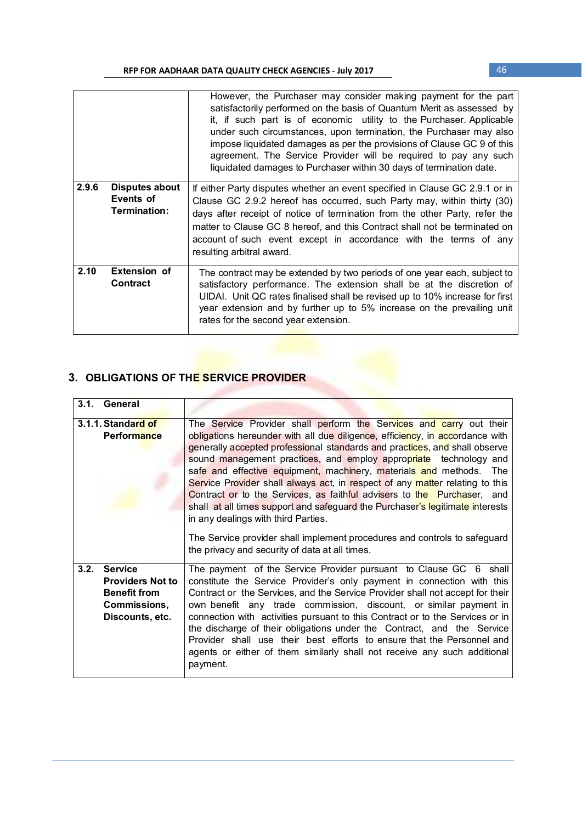|       |                                                    | However, the Purchaser may consider making payment for the part<br>satisfactorily performed on the basis of Quantum Merit as assessed by<br>it, if such part is of economic utility to the Purchaser. Applicable<br>under such circumstances, upon termination, the Purchaser may also<br>impose liquidated damages as per the provisions of Clause GC 9 of this<br>agreement. The Service Provider will be required to pay any such<br>liquidated damages to Purchaser within 30 days of termination date. |
|-------|----------------------------------------------------|-------------------------------------------------------------------------------------------------------------------------------------------------------------------------------------------------------------------------------------------------------------------------------------------------------------------------------------------------------------------------------------------------------------------------------------------------------------------------------------------------------------|
| 2.9.6 | <b>Disputes about</b><br>Events of<br>Termination: | If either Party disputes whether an event specified in Clause GC 2.9.1 or in<br>Clause GC 2.9.2 hereof has occurred, such Party may, within thirty (30)<br>days after receipt of notice of termination from the other Party, refer the<br>matter to Clause GC 8 hereof, and this Contract shall not be terminated on<br>account of such event except in accordance with the terms of any<br>resulting arbitral award.                                                                                       |
| 2.10  | <b>Extension of</b><br>Contract                    | The contract may be extended by two periods of one year each, subject to<br>satisfactory performance. The extension shall be at the discretion of<br>UIDAI. Unit QC rates finalised shall be revised up to 10% increase for first<br>year extension and by further up to 5% increase on the prevailing unit<br>rates for the second year extension.                                                                                                                                                         |

# **3. OBLIGATIONS OF THE SERVICE PROVIDER**

| 3.1. | General                                                                                             |                                                                                                                                                                                                                                                                                                                                                                                                                                                                                                                                                                                                                                                                                                                                                                                                 |
|------|-----------------------------------------------------------------------------------------------------|-------------------------------------------------------------------------------------------------------------------------------------------------------------------------------------------------------------------------------------------------------------------------------------------------------------------------------------------------------------------------------------------------------------------------------------------------------------------------------------------------------------------------------------------------------------------------------------------------------------------------------------------------------------------------------------------------------------------------------------------------------------------------------------------------|
|      | 3.1.1. Standard of<br><b>Performance</b>                                                            | The Service Provider shall perform the Services and carry out their<br>obligations hereunder with all due diligence, efficiency, in accordance with<br>generally accepted professional standards and practices, and shall observe<br>sound management practices, and employ appropriate technology and<br>safe and effective equipment, machinery, materials and methods. The<br>Service Provider shall always act, in respect of any matter relating to this<br>Contract or to the Services, as faithful advisers to the Purchaser, and<br>shall at all times support and safeguard the Purchaser's legitimate interests<br>in any dealings with third Parties.<br>The Service provider shall implement procedures and controls to safeguard<br>the privacy and security of data at all times. |
| 3.2. | <b>Service</b><br><b>Providers Not to</b><br><b>Benefit from</b><br>Commissions,<br>Discounts, etc. | The payment of the Service Provider pursuant to Clause GC 6 shall<br>constitute the Service Provider's only payment in connection with this<br>Contract or the Services, and the Service Provider shall not accept for their<br>own benefit any trade commission, discount, or similar payment in<br>connection with activities pursuant to this Contract or to the Services or in<br>the discharge of their obligations under the Contract, and the Service<br>Provider shall use their best efforts to ensure that the Personnel and<br>agents or either of them similarly shall not receive any such additional<br>payment.                                                                                                                                                                  |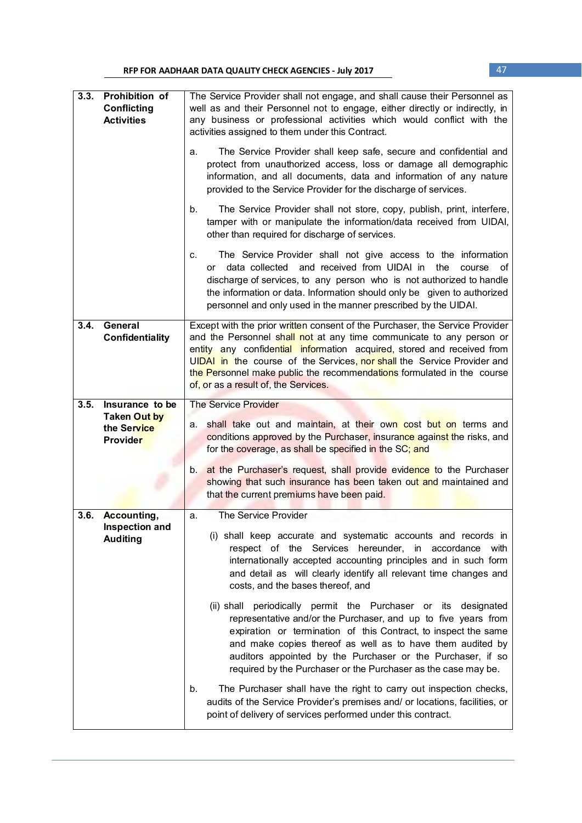| 3.3. | Prohibition of<br><b>Conflicting</b><br><b>Activities</b> | The Service Provider shall not engage, and shall cause their Personnel as<br>well as and their Personnel not to engage, either directly or indirectly, in<br>any business or professional activities which would conflict with the<br>activities assigned to them under this Contract.                                                                                                                                      |
|------|-----------------------------------------------------------|-----------------------------------------------------------------------------------------------------------------------------------------------------------------------------------------------------------------------------------------------------------------------------------------------------------------------------------------------------------------------------------------------------------------------------|
|      |                                                           | The Service Provider shall keep safe, secure and confidential and<br>a.<br>protect from unauthorized access, loss or damage all demographic<br>information, and all documents, data and information of any nature<br>provided to the Service Provider for the discharge of services.                                                                                                                                        |
|      |                                                           | The Service Provider shall not store, copy, publish, print, interfere,<br>b.<br>tamper with or manipulate the information/data received from UIDAI,<br>other than required for discharge of services.                                                                                                                                                                                                                       |
|      |                                                           | The Service Provider shall not give access to the information<br>c.<br>data collected<br>and received from UIDAI in<br>the<br>course<br>οf<br>or<br>discharge of services, to any person who is not authorized to handle<br>the information or data. Information should only be given to authorized<br>personnel and only used in the manner prescribed by the UIDAI.                                                       |
| 3.4. | General<br><b>Confidentiality</b>                         | Except with the prior written consent of the Purchaser, the Service Provider<br>and the Personnel shall not at any time communicate to any person or<br>entity any confidential information acquired, stored and received from<br>UIDAI in the course of the Services, nor shall the Service Provider and<br>the Personnel make public the recommendations formulated in the course<br>of, or as a result of, the Services. |
| 3.5. | Insurance to be                                           | <b>The Service Provider</b>                                                                                                                                                                                                                                                                                                                                                                                                 |
|      | <b>Taken Out by</b><br>the Service<br>Provider            | shall take out and maintain, at their own cost but on terms and<br>а.<br>conditions approved by the Purchaser, insurance against the risks, and<br>for the coverage, as shall be specified in the SC; and                                                                                                                                                                                                                   |
|      |                                                           | at the Purchaser's request, shall provide evidence to the Purchaser<br>b.<br>showing that such insurance has been taken out and maintained and<br>that the current premiums have been paid.                                                                                                                                                                                                                                 |
| 3.6. | Accounting,                                               | <b>The Service Provider</b><br>a.                                                                                                                                                                                                                                                                                                                                                                                           |
|      | <b>Inspection and</b><br><b>Auditing</b>                  | (i) shall keep accurate and systematic accounts and records in<br>respect of the Services hereunder, in accordance<br>with<br>internationally accepted accounting principles and in such form<br>and detail as will clearly identify all relevant time changes and<br>costs, and the bases thereof, and                                                                                                                     |
|      |                                                           | (ii) shall periodically permit the Purchaser or its designated<br>representative and/or the Purchaser, and up to five years from<br>expiration or termination of this Contract, to inspect the same<br>and make copies thereof as well as to have them audited by<br>auditors appointed by the Purchaser or the Purchaser, if so<br>required by the Purchaser or the Purchaser as the case may be.                          |
|      |                                                           | The Purchaser shall have the right to carry out inspection checks,<br>b.<br>audits of the Service Provider's premises and/ or locations, facilities, or<br>point of delivery of services performed under this contract.                                                                                                                                                                                                     |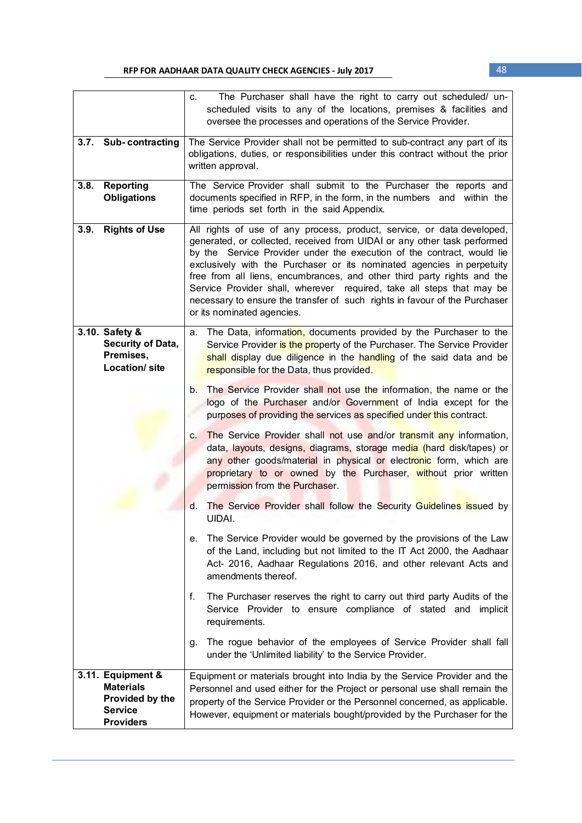|                                                                                                | The Purchaser shall have the right to carry out scheduled/ un-<br>C.<br>scheduled visits to any of the locations, premises & facilities and<br>oversee the processes and operations of the Service Provider.                                                                                                                                                                                                                                                                                                                                                           |
|------------------------------------------------------------------------------------------------|------------------------------------------------------------------------------------------------------------------------------------------------------------------------------------------------------------------------------------------------------------------------------------------------------------------------------------------------------------------------------------------------------------------------------------------------------------------------------------------------------------------------------------------------------------------------|
| 3.7. Sub-contracting                                                                           | The Service Provider shall not be permitted to sub-contract any part of its<br>obligations, duties, or responsibilities under this contract without the prior<br>written approval.                                                                                                                                                                                                                                                                                                                                                                                     |
| <b>Reporting</b><br>3.8.<br><b>Obligations</b>                                                 | The Service Provider shall submit to the Purchaser the reports and<br>documents specified in RFP, in the form, in the numbers and within the<br>time periods set forth in the said Appendix.                                                                                                                                                                                                                                                                                                                                                                           |
| <b>Rights of Use</b><br>3.9.                                                                   | All rights of use of any process, product, service, or data developed,<br>generated, or collected, received from UIDAI or any other task performed<br>by the Service Provider under the execution of the contract, would lie<br>exclusively with the Purchaser or its nominated agencies in perpetuity<br>free from all liens, encumbrances, and other third party rights and the<br>Service Provider shall, wherever required, take all steps that may be<br>necessary to ensure the transfer of such rights in favour of the Purchaser<br>or its nominated agencies. |
| 3.10. Safety &<br>Security of Data,<br>Premises,<br>Location/ site                             | a. The Data, information, documents provided by the Purchaser to the<br>Service Provider is the property of the Purchaser. The Service Provider<br>shall display due diligence in the handling of the said data and be<br>responsible for the Data, thus provided.                                                                                                                                                                                                                                                                                                     |
|                                                                                                | The Service Provider shall not use the information, the name or the<br>b.<br>logo of the Purchaser and/or Government of India except for the<br>purposes of providing the services as specified under this contract.                                                                                                                                                                                                                                                                                                                                                   |
|                                                                                                | The Service Provider shall not use and/or transmit any information,<br>C.<br>data, layouts, designs, diagrams, storage media (hard disk/tapes) or<br>any other goods/material in physical or electronic form, which are<br>proprietary to or owned by the Purchaser, without prior written<br>permission from the Purchaser.                                                                                                                                                                                                                                           |
|                                                                                                | The Service Provider shall follow the Security Guidelines issued by<br>d.<br>UIDAI.                                                                                                                                                                                                                                                                                                                                                                                                                                                                                    |
|                                                                                                | The Service Provider would be governed by the provisions of the Law<br>е.<br>of the Land, including but not limited to the IT Act 2000, the Aadhaar<br>Act- 2016, Aadhaar Regulations 2016, and other relevant Acts and<br>amendments thereof.                                                                                                                                                                                                                                                                                                                         |
|                                                                                                | f.<br>The Purchaser reserves the right to carry out third party Audits of the<br>Service Provider to ensure compliance of stated and implicit<br>requirements.                                                                                                                                                                                                                                                                                                                                                                                                         |
|                                                                                                | The rogue behavior of the employees of Service Provider shall fall<br>g.<br>under the 'Unlimited liability' to the Service Provider.                                                                                                                                                                                                                                                                                                                                                                                                                                   |
| 3.11. Equipment &<br><b>Materials</b><br>Provided by the<br><b>Service</b><br><b>Providers</b> | Equipment or materials brought into India by the Service Provider and the<br>Personnel and used either for the Project or personal use shall remain the<br>property of the Service Provider or the Personnel concerned, as applicable.<br>However, equipment or materials bought/provided by the Purchaser for the                                                                                                                                                                                                                                                     |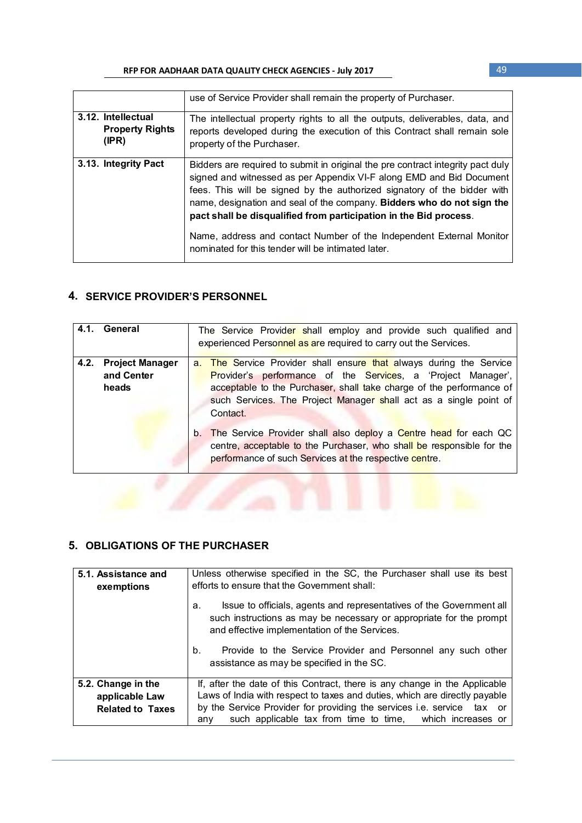## **RFP FOR AADHAAR DATA QUALITY CHECK AGENCIES - July 2017** 49

|                                                       | use of Service Provider shall remain the property of Purchaser.                                                                                                                                                                                                                                                                                                                    |
|-------------------------------------------------------|------------------------------------------------------------------------------------------------------------------------------------------------------------------------------------------------------------------------------------------------------------------------------------------------------------------------------------------------------------------------------------|
| 3.12. Intellectual<br><b>Property Rights</b><br>(IPR) | The intellectual property rights to all the outputs, deliverables, data, and<br>reports developed during the execution of this Contract shall remain sole<br>property of the Purchaser.                                                                                                                                                                                            |
| 3.13. Integrity Pact                                  | Bidders are required to submit in original the pre contract integrity pact duly<br>signed and witnessed as per Appendix VI-F along EMD and Bid Document<br>fees. This will be signed by the authorized signatory of the bidder with<br>name, designation and seal of the company. Bidders who do not sign the<br>pact shall be disqualified from participation in the Bid process. |
|                                                       | Name, address and contact Number of the Independent External Monitor<br>nominated for this tender will be intimated later.                                                                                                                                                                                                                                                         |

## **4. SERVICE PROVIDER'S PERSONNEL**

| 4.1. | General                                       | The Service Provider shall employ and provide such qualified and<br>experienced Personnel as are required to carry out the Services.                                                                                                                                                                                                                                |
|------|-----------------------------------------------|---------------------------------------------------------------------------------------------------------------------------------------------------------------------------------------------------------------------------------------------------------------------------------------------------------------------------------------------------------------------|
| 4.2. | <b>Project Manager</b><br>and Center<br>heads | a. The Service Provider shall ensure that always during the Service<br>Provider's performance of the Services, a 'Project Manager',<br>acceptable to the Purchaser, shall take charge of the performance of<br>such Services. The Project Manager shall act as a single point of<br>Contact.<br>b. The Service Provider shall also deploy a Centre head for each QC |
|      |                                               | centre, acceptable to the Purchaser, who shall be responsible for the<br>performance of such Services at the respective centre.                                                                                                                                                                                                                                     |

# **5. OBLIGATIONS OF THE PURCHASER**

| 5.1. Assistance and<br>exemptions | Unless otherwise specified in the SC, the Purchaser shall use its best<br>efforts to ensure that the Government shall:                                                                             |
|-----------------------------------|----------------------------------------------------------------------------------------------------------------------------------------------------------------------------------------------------|
|                                   | Issue to officials, agents and representatives of the Government all<br>а.<br>such instructions as may be necessary or appropriate for the prompt<br>and effective implementation of the Services. |
|                                   | Provide to the Service Provider and Personnel any such other<br>b.<br>assistance as may be specified in the SC.                                                                                    |
| 5.2. Change in the                | If, after the date of this Contract, there is any change in the Applicable                                                                                                                         |
| applicable Law                    | Laws of India with respect to taxes and duties, which are directly payable                                                                                                                         |
| <b>Related to Taxes</b>           | by the Service Provider for providing the services i.e. service<br>tax or<br>such applicable tax from time to time, which increases or<br>anv                                                      |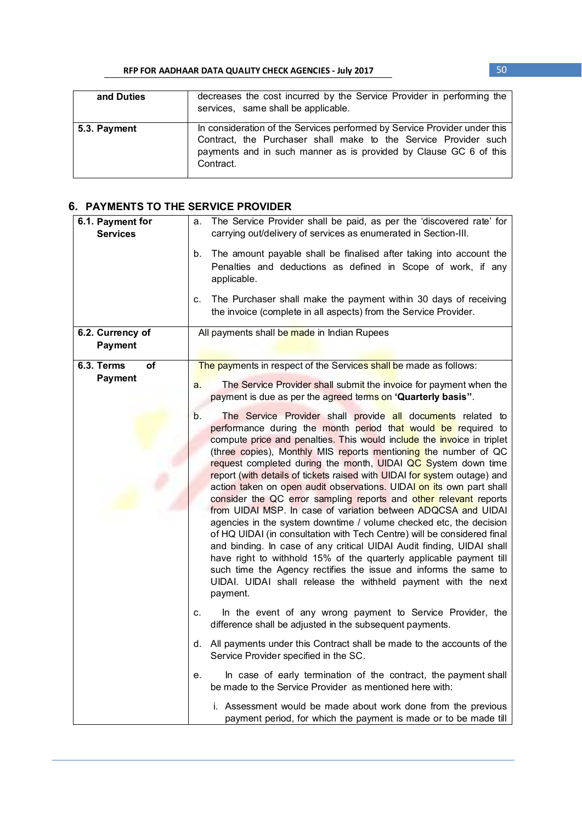| and Duties   | decreases the cost incurred by the Service Provider in performing the<br>services, same shall be applicable.                                                                                                                   |
|--------------|--------------------------------------------------------------------------------------------------------------------------------------------------------------------------------------------------------------------------------|
| 5.3. Payment | In consideration of the Services performed by Service Provider under this<br>Contract, the Purchaser shall make to the Service Provider such<br>payments and in such manner as is provided by Clause GC 6 of this<br>Contract. |

## **6. PAYMENTS TO THE SERVICE PROVIDER**

| 6.1. Payment for<br><b>Services</b> | The Service Provider shall be paid, as per the 'discovered rate' for<br>а.<br>carrying out/delivery of services as enumerated in Section-III.                                                                                                                                                                                                                                                                                                                                                                                                                                                                                                                                                                                                                                                                                                                                                                                                                                                                                                                                                |
|-------------------------------------|----------------------------------------------------------------------------------------------------------------------------------------------------------------------------------------------------------------------------------------------------------------------------------------------------------------------------------------------------------------------------------------------------------------------------------------------------------------------------------------------------------------------------------------------------------------------------------------------------------------------------------------------------------------------------------------------------------------------------------------------------------------------------------------------------------------------------------------------------------------------------------------------------------------------------------------------------------------------------------------------------------------------------------------------------------------------------------------------|
|                                     | The amount payable shall be finalised after taking into account the<br>b.<br>Penalties and deductions as defined in Scope of work, if any<br>applicable.                                                                                                                                                                                                                                                                                                                                                                                                                                                                                                                                                                                                                                                                                                                                                                                                                                                                                                                                     |
|                                     | The Purchaser shall make the payment within 30 days of receiving<br>C.<br>the invoice (complete in all aspects) from the Service Provider.                                                                                                                                                                                                                                                                                                                                                                                                                                                                                                                                                                                                                                                                                                                                                                                                                                                                                                                                                   |
| 6.2. Currency of<br><b>Payment</b>  | All payments shall be made in Indian Rupees                                                                                                                                                                                                                                                                                                                                                                                                                                                                                                                                                                                                                                                                                                                                                                                                                                                                                                                                                                                                                                                  |
| 6.3. Terms<br>of                    | The payments in respect of the Services shall be made as follows:                                                                                                                                                                                                                                                                                                                                                                                                                                                                                                                                                                                                                                                                                                                                                                                                                                                                                                                                                                                                                            |
| <b>Payment</b>                      | The Service Provider shall submit the invoice for payment when the<br>a.<br>payment is due as per the agreed terms on 'Quarterly basis".                                                                                                                                                                                                                                                                                                                                                                                                                                                                                                                                                                                                                                                                                                                                                                                                                                                                                                                                                     |
|                                     | b.<br>The Service Provider shall provide all documents related to<br>performance during the month period that would be required to<br>compute price and penalties. This would include the invoice in triplet<br>(three copies), Monthly MIS reports mentioning the number of QC<br>request completed during the month, UIDAI QC System down time<br>report (with details of tickets raised with UIDAI for system outage) and<br>action taken on open audit observations. UIDAI on its own part shall<br>consider the QC error sampling reports and other relevant reports<br>from UIDAI MSP. In case of variation between ADQCSA and UIDAI<br>agencies in the system downtime / volume checked etc, the decision<br>of HQ UIDAI (in consultation with Tech Centre) will be considered final<br>and binding. In case of any critical UIDAI Audit finding, UIDAI shall<br>have right to withhold 15% of the quarterly applicable payment till<br>such time the Agency rectifies the issue and informs the same to<br>UIDAI. UIDAI shall release the withheld payment with the next<br>payment. |
|                                     | In the event of any wrong payment to Service Provider, the<br>C.<br>difference shall be adjusted in the subsequent payments.                                                                                                                                                                                                                                                                                                                                                                                                                                                                                                                                                                                                                                                                                                                                                                                                                                                                                                                                                                 |
|                                     | d. All payments under this Contract shall be made to the accounts of the<br>Service Provider specified in the SC.                                                                                                                                                                                                                                                                                                                                                                                                                                                                                                                                                                                                                                                                                                                                                                                                                                                                                                                                                                            |
|                                     | In case of early termination of the contract, the payment shall<br>е.<br>be made to the Service Provider as mentioned here with:                                                                                                                                                                                                                                                                                                                                                                                                                                                                                                                                                                                                                                                                                                                                                                                                                                                                                                                                                             |
|                                     | i. Assessment would be made about work done from the previous<br>payment period, for which the payment is made or to be made till                                                                                                                                                                                                                                                                                                                                                                                                                                                                                                                                                                                                                                                                                                                                                                                                                                                                                                                                                            |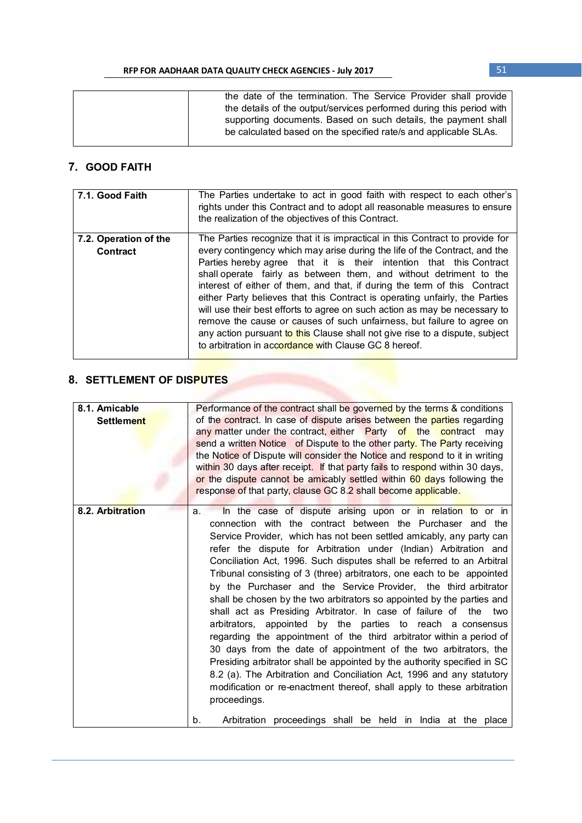| the date of the termination. The Service Provider shall provide<br>the details of the output/services performed during this period with<br>supporting documents. Based on such details, the payment shall<br>be calculated based on the specified rate/s and applicable SLAs. |
|-------------------------------------------------------------------------------------------------------------------------------------------------------------------------------------------------------------------------------------------------------------------------------|
|-------------------------------------------------------------------------------------------------------------------------------------------------------------------------------------------------------------------------------------------------------------------------------|

## **7. GOOD FAITH**

| 7.1. Good Faith                   | The Parties undertake to act in good faith with respect to each other's<br>rights under this Contract and to adopt all reasonable measures to ensure<br>the realization of the objectives of this Contract.                                                                                                                                                                                                                                                                                                                                                                                                                                                                                                                                                         |
|-----------------------------------|---------------------------------------------------------------------------------------------------------------------------------------------------------------------------------------------------------------------------------------------------------------------------------------------------------------------------------------------------------------------------------------------------------------------------------------------------------------------------------------------------------------------------------------------------------------------------------------------------------------------------------------------------------------------------------------------------------------------------------------------------------------------|
| 7.2. Operation of the<br>Contract | The Parties recognize that it is impractical in this Contract to provide for<br>every contingency which may arise during the life of the Contract, and the<br>Parties hereby agree that it is their intention that this Contract<br>shall operate fairly as between them, and without detriment to the<br>interest of either of them, and that, if during the term of this Contract<br>either Party believes that this Contract is operating unfairly, the Parties<br>will use their best efforts to agree on such action as may be necessary to<br>remove the cause or causes of such unfairness, but failure to agree on<br>any action pursuant to this Clause shall not give rise to a dispute, subject<br>to arbitration in accordance with Clause GC 8 hereof. |

## **8. SETTLEMENT OF DISPUTES**

| 8.1. Amicable     | Performance of the contract shall be governed by the terms & conditions                                                                                                                                                                                                                                                                                                                                                                                                                                                                                                                                                                                                                                                                                                                                                                                                                                                                                                                                                                                                                                      |
|-------------------|--------------------------------------------------------------------------------------------------------------------------------------------------------------------------------------------------------------------------------------------------------------------------------------------------------------------------------------------------------------------------------------------------------------------------------------------------------------------------------------------------------------------------------------------------------------------------------------------------------------------------------------------------------------------------------------------------------------------------------------------------------------------------------------------------------------------------------------------------------------------------------------------------------------------------------------------------------------------------------------------------------------------------------------------------------------------------------------------------------------|
| <b>Settlement</b> | of the contract. In case of dispute arises between the parties regarding<br>any matter under the contract, either Party of the contract may<br>send a written Notice of Dispute to the other party. The Party receiving<br>the Notice of Dispute will consider the Notice and respond to it in writing<br>within 30 days after receipt. If that party fails to respond within 30 days,<br>or the dispute cannot be amicably settled within 60 days following the<br>response of that party, clause GC 8.2 shall become applicable.                                                                                                                                                                                                                                                                                                                                                                                                                                                                                                                                                                           |
| 8.2. Arbitration  | In the case of dispute arising upon or in relation to or in<br>a.<br>connection with the contract between the Purchaser and the<br>Service Provider, which has not been settled amicably, any party can<br>refer the dispute for Arbitration under (Indian) Arbitration and<br>Conciliation Act, 1996. Such disputes shall be referred to an Arbitral<br>Tribunal consisting of 3 (three) arbitrators, one each to be appointed<br>by the Purchaser and the Service Provider, the third arbitrator<br>shall be chosen by the two arbitrators so appointed by the parties and<br>shall act as Presiding Arbitrator. In case of failure of the<br>two<br>arbitrators, appointed by the parties to reach a consensus<br>regarding the appointment of the third arbitrator within a period of<br>30 days from the date of appointment of the two arbitrators, the<br>Presiding arbitrator shall be appointed by the authority specified in SC<br>8.2 (a). The Arbitration and Conciliation Act, 1996 and any statutory<br>modification or re-enactment thereof, shall apply to these arbitration<br>proceedings. |
|                   | Arbitration proceedings shall be held in India at the place<br>b.                                                                                                                                                                                                                                                                                                                                                                                                                                                                                                                                                                                                                                                                                                                                                                                                                                                                                                                                                                                                                                            |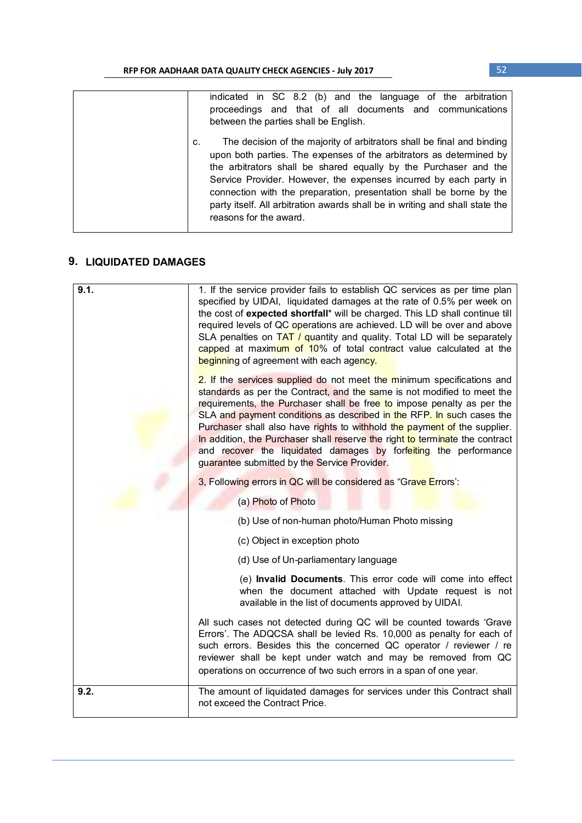| indicated in SC 8.2 (b) and the language of the arbitration<br>proceedings and that of all documents and communications<br>between the parties shall be English.                                                                                                                                                                                                                                                                                                              |
|-------------------------------------------------------------------------------------------------------------------------------------------------------------------------------------------------------------------------------------------------------------------------------------------------------------------------------------------------------------------------------------------------------------------------------------------------------------------------------|
| The decision of the majority of arbitrators shall be final and binding<br>C.<br>upon both parties. The expenses of the arbitrators as determined by<br>the arbitrators shall be shared equally by the Purchaser and the<br>Service Provider. However, the expenses incurred by each party in<br>connection with the preparation, presentation shall be borne by the<br>party itself. All arbitration awards shall be in writing and shall state the<br>reasons for the award. |

### **9. LIQUIDATED DAMAGES**

| 9.1. | 1. If the service provider fails to establish QC services as per time plan<br>specified by UIDAI, liquidated damages at the rate of 0.5% per week on<br>the cost of expected shortfall* will be charged. This LD shall continue till<br>required levels of QC operations are achieved. LD will be over and above<br>SLA penalties on TAT / quantity and quality. Total LD will be separately<br>capped at maximum of 10% of total contract value calculated at the<br>beginning of agreement with each agency.                                                                        |
|------|---------------------------------------------------------------------------------------------------------------------------------------------------------------------------------------------------------------------------------------------------------------------------------------------------------------------------------------------------------------------------------------------------------------------------------------------------------------------------------------------------------------------------------------------------------------------------------------|
|      | 2. If the services supplied do not meet the minimum specifications and<br>standards as per the Contract, and the same is not modified to meet the<br>requirements, the Purchaser shall be free to impose penalty as per the<br>SLA and payment conditions as described in the RFP. In such cases the<br>Purchaser shall also have rights to withhold the payment of the supplier.<br>In addition, the Purchaser shall reserve the right to terminate the contract<br>and recover the liquidated damages by forfeiting the performance<br>guarantee submitted by the Service Provider. |
|      | 3, Following errors in QC will be considered as "Grave Errors":                                                                                                                                                                                                                                                                                                                                                                                                                                                                                                                       |
|      | (a) Photo of Photo                                                                                                                                                                                                                                                                                                                                                                                                                                                                                                                                                                    |
|      | (b) Use of non-human photo/Human Photo missing                                                                                                                                                                                                                                                                                                                                                                                                                                                                                                                                        |
|      | (c) Object in exception photo                                                                                                                                                                                                                                                                                                                                                                                                                                                                                                                                                         |
|      | (d) Use of Un-parliamentary language                                                                                                                                                                                                                                                                                                                                                                                                                                                                                                                                                  |
|      | (e) Invalid Documents. This error code will come into effect<br>when the document attached with Update request is not<br>available in the list of documents approved by UIDAI.                                                                                                                                                                                                                                                                                                                                                                                                        |
|      | All such cases not detected during QC will be counted towards 'Grave<br>Errors'. The ADQCSA shall be levied Rs. 10,000 as penalty for each of<br>such errors. Besides this the concerned QC operator / reviewer / re<br>reviewer shall be kept under watch and may be removed from QC<br>operations on occurrence of two such errors in a span of one year.                                                                                                                                                                                                                           |
| 9.2. | The amount of liquidated damages for services under this Contract shall<br>not exceed the Contract Price.                                                                                                                                                                                                                                                                                                                                                                                                                                                                             |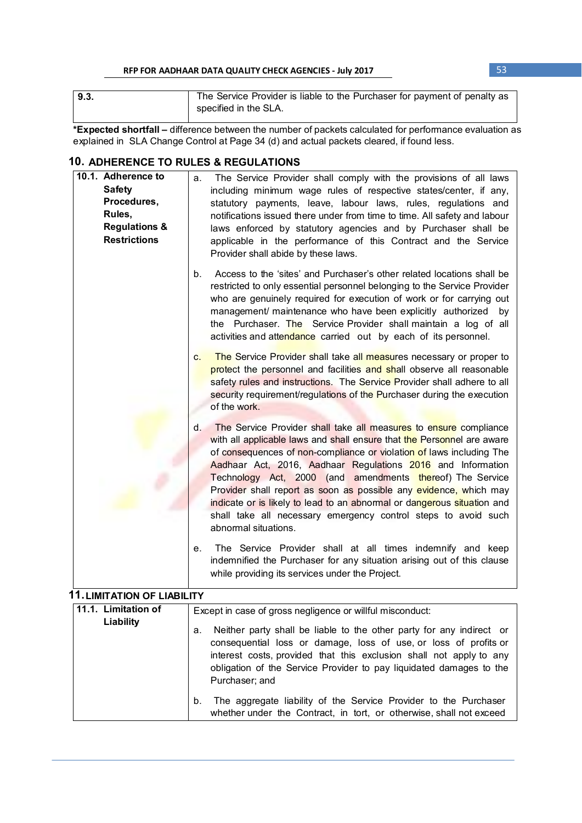| 9.3. | The Service Provider is liable to the Purchaser for payment of penalty as |
|------|---------------------------------------------------------------------------|
|      | specified in the SLA.                                                     |

**\*Expected shortfall –** difference between the number of packets calculated for performance evaluation as explained in SLA Change Control at Page 34 (d) and actual packets cleared, if found less.

## **10. ADHERENCE TO RULES & REGULATIONS**

| 10.1. Adherence to<br>The Service Provider shall comply with the provisions of all laws<br>a.<br><b>Safety</b><br>including minimum wage rules of respective states/center, if any,<br>Procedures,<br>statutory payments, leave, labour laws, rules, regulations and<br>Rules,<br>notifications issued there under from time to time. All safety and labour<br><b>Regulations &amp;</b><br>laws enforced by statutory agencies and by Purchaser shall be<br><b>Restrictions</b><br>applicable in the performance of this Contract and the Service<br>Provider shall abide by these laws.        |  |
|-------------------------------------------------------------------------------------------------------------------------------------------------------------------------------------------------------------------------------------------------------------------------------------------------------------------------------------------------------------------------------------------------------------------------------------------------------------------------------------------------------------------------------------------------------------------------------------------------|--|
| Access to the 'sites' and Purchaser's other related locations shall be<br>b.<br>restricted to only essential personnel belonging to the Service Provider<br>who are genuinely required for execution of work or for carrying out<br>management/ maintenance who have been explicitly authorized by<br>the Purchaser. The Service Provider shall maintain a log of all<br>activities and attendance carried out by each of its personnel.                                                                                                                                                        |  |
| The Service Provider shall take all measures necessary or proper to<br>$c_{-}$<br>protect the personnel and facilities and shall observe all reasonable<br>safety rules and instructions. The Service Provider shall adhere to all<br>security requirement/regulations of the Purchaser during the execution<br>of the work.                                                                                                                                                                                                                                                                    |  |
| The Service Provider shall take all measures to ensure compliance<br>d.<br>with all applicable laws and shall ensure that the Personnel are aware<br>of consequences of non-compliance or violation of laws including The<br>Aadhaar Act, 2016, Aadhaar Regulations 2016 and Information<br>Technology Act, 2000 (and amendments thereof) The Service<br>Provider shall report as soon as possible any evidence, which may<br>indicate or is likely to lead to an abnormal or dangerous situation and<br>shall take all necessary emergency control steps to avoid such<br>abnormal situations. |  |
| The Service Provider shall at all times indemnify and keep<br>е.<br>indemnified the Purchaser for any situation arising out of this clause<br>while providing its services under the Project.                                                                                                                                                                                                                                                                                                                                                                                                   |  |
| <b>11. LIMITATION OF LIABILITY</b><br>11.1. Limitation of<br>Except in case of gross negligence or willful misconduct:                                                                                                                                                                                                                                                                                                                                                                                                                                                                          |  |

| TI.I. LIIIIKAKUI UI | Except in case of gross negligence or williul misconduct.                                                                                                                                                                                                                                                      |  |  |  |  |
|---------------------|----------------------------------------------------------------------------------------------------------------------------------------------------------------------------------------------------------------------------------------------------------------------------------------------------------------|--|--|--|--|
| Liability           | Neither party shall be liable to the other party for any indirect or<br>a.<br>consequential loss or damage, loss of use, or loss of profits or<br>interest costs, provided that this exclusion shall not apply to any<br>obligation of the Service Provider to pay liquidated damages to the<br>Purchaser; and |  |  |  |  |
|                     | The aggregate liability of the Service Provider to the Purchaser<br>whether under the Contract, in tort, or otherwise, shall not exceed                                                                                                                                                                        |  |  |  |  |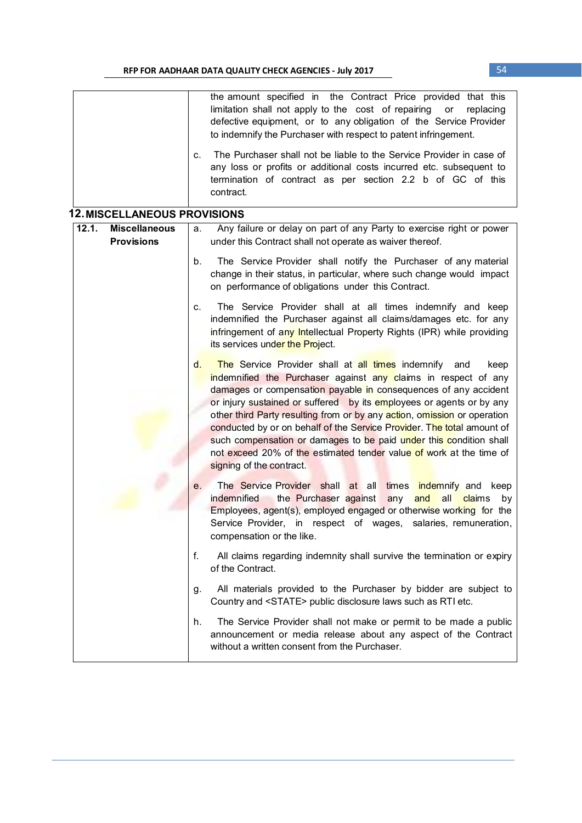| the amount specified in the Contract Price provided that this                                                                                                                                                                |
|------------------------------------------------------------------------------------------------------------------------------------------------------------------------------------------------------------------------------|
| limitation shall not apply to the cost of repairing or replacing<br>defective equipment, or to any obligation of the Service Provider<br>to indemnify the Purchaser with respect to patent infringement.                     |
| The Purchaser shall not be liable to the Service Provider in case of<br>C.<br>any loss or profits or additional costs incurred etc. subsequent to<br>termination of contract as per section 2.2 b of GC of this<br>contract. |

### **12.MISCELLANEOUS PROVISIONS**

| 12.1.<br><b>Miscellaneous</b><br><b>Provisions</b> | а. | Any failure or delay on part of any Party to exercise right or power<br>under this Contract shall not operate as waiver thereof.                                                                                                                                                                                                                                                                                                                                                                                                                                                                             |  |  |  |  |
|----------------------------------------------------|----|--------------------------------------------------------------------------------------------------------------------------------------------------------------------------------------------------------------------------------------------------------------------------------------------------------------------------------------------------------------------------------------------------------------------------------------------------------------------------------------------------------------------------------------------------------------------------------------------------------------|--|--|--|--|
|                                                    | b. | The Service Provider shall notify the Purchaser of any material<br>change in their status, in particular, where such change would impact<br>on performance of obligations under this Contract.                                                                                                                                                                                                                                                                                                                                                                                                               |  |  |  |  |
|                                                    | C. | The Service Provider shall at all times indemnify and keep<br>indemnified the Purchaser against all claims/damages etc. for any<br>infringement of any Intellectual Property Rights (IPR) while providing<br>its services under the Project.                                                                                                                                                                                                                                                                                                                                                                 |  |  |  |  |
|                                                    | d. | The Service Provider shall at all times indemnify<br>keep<br>and<br>indemnified the Purchaser against any claims in respect of any<br>damages or compensation payable in consequences of any accident<br>or injury sustained or suffered by its employees or agents or by any<br>other third Party resulting from or by any action, omission or operation<br>conducted by or on behalf of the Service Provider. The total amount of<br>such compensation or damages to be paid under this condition shall<br>not exceed 20% of the estimated tender value of work at the time of<br>signing of the contract. |  |  |  |  |
|                                                    | e. | The Service Provider shall at all times indemnify and keep<br>indemnified<br>the Purchaser against<br>any<br>and<br>all<br>claims<br>by<br><b>Employees, agent(s), employed engaged or otherwise working for the</b><br>Service Provider, in respect of wages, salaries, remuneration,<br>compensation or the like.                                                                                                                                                                                                                                                                                          |  |  |  |  |
|                                                    | f. | All claims regarding indemnity shall survive the termination or expiry<br>of the Contract.                                                                                                                                                                                                                                                                                                                                                                                                                                                                                                                   |  |  |  |  |
|                                                    | g. | All materials provided to the Purchaser by bidder are subject to<br>Country and <state> public disclosure laws such as RTI etc.</state>                                                                                                                                                                                                                                                                                                                                                                                                                                                                      |  |  |  |  |
|                                                    | h. | The Service Provider shall not make or permit to be made a public<br>announcement or media release about any aspect of the Contract<br>without a written consent from the Purchaser.                                                                                                                                                                                                                                                                                                                                                                                                                         |  |  |  |  |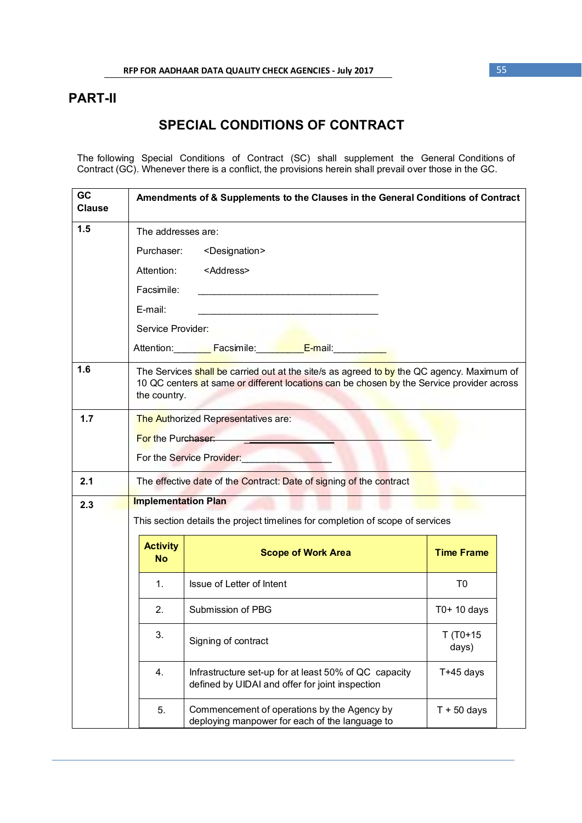# **PART-II**

# **SPECIAL CONDITIONS OF CONTRACT**

The following Special Conditions of Contract (SC) shall supplement the General Conditions of Contract (GC). Whenever there is a conflict, the provisions herein shall prevail over those in the GC.

| GC<br><b>Clause</b> | Amendments of & Supplements to the Clauses in the General Conditions of Contract                                            |                                                                                                                                                                                        |                   |  |  |  |  |  |
|---------------------|-----------------------------------------------------------------------------------------------------------------------------|----------------------------------------------------------------------------------------------------------------------------------------------------------------------------------------|-------------------|--|--|--|--|--|
| 1.5                 | The addresses are:                                                                                                          |                                                                                                                                                                                        |                   |  |  |  |  |  |
|                     |                                                                                                                             | Purchaser: <designation></designation>                                                                                                                                                 |                   |  |  |  |  |  |
|                     |                                                                                                                             | Attention: <address></address>                                                                                                                                                         |                   |  |  |  |  |  |
|                     | Facsimile:                                                                                                                  |                                                                                                                                                                                        |                   |  |  |  |  |  |
|                     | E-mail:                                                                                                                     |                                                                                                                                                                                        |                   |  |  |  |  |  |
|                     | Service Provider:                                                                                                           |                                                                                                                                                                                        |                   |  |  |  |  |  |
|                     |                                                                                                                             | Attention: Facsimile: E-mail:                                                                                                                                                          |                   |  |  |  |  |  |
| 1.6                 | the country.                                                                                                                | The Services shall be carried out at the site/s as agreed to by the QC agency. Maximum of<br>10 QC centers at same or different locations can be chosen by the Service provider across |                   |  |  |  |  |  |
| 1.7                 | The Authorized Representatives are:<br>For the Purchaser:<br>For the Service Provider:                                      |                                                                                                                                                                                        |                   |  |  |  |  |  |
| 2.1                 | The effective date of the Contract: Date of signing of the contract                                                         |                                                                                                                                                                                        |                   |  |  |  |  |  |
| 2.3                 | <b>Implementation Plan</b>                                                                                                  |                                                                                                                                                                                        |                   |  |  |  |  |  |
|                     | This section details the project timelines for completion of scope of services                                              |                                                                                                                                                                                        |                   |  |  |  |  |  |
|                     | <b>Activity</b><br><b>No</b>                                                                                                | <b>Scope of Work Area</b>                                                                                                                                                              | <b>Time Frame</b> |  |  |  |  |  |
|                     | $\mathbf{1}$ .                                                                                                              | Issue of Letter of Intent                                                                                                                                                              | T <sub>0</sub>    |  |  |  |  |  |
|                     | 2.<br>Submission of PBG<br>$T0+10$ days                                                                                     |                                                                                                                                                                                        |                   |  |  |  |  |  |
|                     | 3.<br>$T(T0+15)$<br>Signing of contract<br>days)                                                                            |                                                                                                                                                                                        |                   |  |  |  |  |  |
|                     | Infrastructure set-up for at least 50% of QC capacity<br>4.<br>T+45 days<br>defined by UIDAI and offer for joint inspection |                                                                                                                                                                                        |                   |  |  |  |  |  |
|                     | 5.<br>Commencement of operations by the Agency by<br>$T + 50$ days<br>deploying manpower for each of the language to        |                                                                                                                                                                                        |                   |  |  |  |  |  |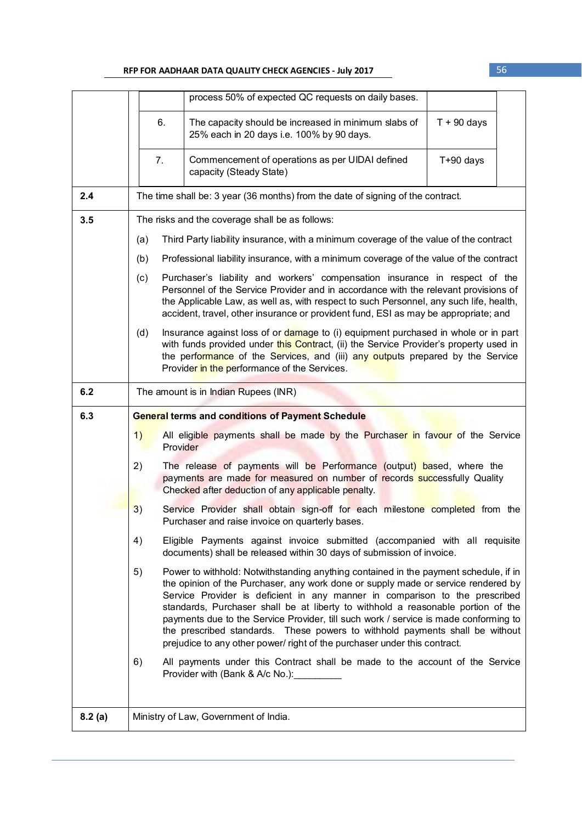|        | process 50% of expected QC requests on daily bases.                                                                                                                                                                                                                                                                                                                                                                                                                                                                                                                                                     |                                                                                                                                                                                                                                                                                                                                                     |  |  |  |  |
|--------|---------------------------------------------------------------------------------------------------------------------------------------------------------------------------------------------------------------------------------------------------------------------------------------------------------------------------------------------------------------------------------------------------------------------------------------------------------------------------------------------------------------------------------------------------------------------------------------------------------|-----------------------------------------------------------------------------------------------------------------------------------------------------------------------------------------------------------------------------------------------------------------------------------------------------------------------------------------------------|--|--|--|--|
|        | 6.                                                                                                                                                                                                                                                                                                                                                                                                                                                                                                                                                                                                      | $T + 90$ days<br>The capacity should be increased in minimum slabs of<br>25% each in 20 days i.e. 100% by 90 days.                                                                                                                                                                                                                                  |  |  |  |  |
|        | 7.<br>$T+90$ days<br>Commencement of operations as per UIDAI defined<br>capacity (Steady State)                                                                                                                                                                                                                                                                                                                                                                                                                                                                                                         |                                                                                                                                                                                                                                                                                                                                                     |  |  |  |  |
| 2.4    |                                                                                                                                                                                                                                                                                                                                                                                                                                                                                                                                                                                                         | The time shall be: 3 year (36 months) from the date of signing of the contract.                                                                                                                                                                                                                                                                     |  |  |  |  |
| 3.5    |                                                                                                                                                                                                                                                                                                                                                                                                                                                                                                                                                                                                         | The risks and the coverage shall be as follows:                                                                                                                                                                                                                                                                                                     |  |  |  |  |
|        | (a)                                                                                                                                                                                                                                                                                                                                                                                                                                                                                                                                                                                                     | Third Party liability insurance, with a minimum coverage of the value of the contract                                                                                                                                                                                                                                                               |  |  |  |  |
|        | (b)                                                                                                                                                                                                                                                                                                                                                                                                                                                                                                                                                                                                     | Professional liability insurance, with a minimum coverage of the value of the contract                                                                                                                                                                                                                                                              |  |  |  |  |
|        | (c)                                                                                                                                                                                                                                                                                                                                                                                                                                                                                                                                                                                                     | Purchaser's liability and workers' compensation insurance in respect of the<br>Personnel of the Service Provider and in accordance with the relevant provisions of<br>the Applicable Law, as well as, with respect to such Personnel, any such life, health,<br>accident, travel, other insurance or provident fund, ESI as may be appropriate; and |  |  |  |  |
|        | (d)                                                                                                                                                                                                                                                                                                                                                                                                                                                                                                                                                                                                     | Insurance against loss of or damage to (i) equipment purchased in whole or in part<br>with funds provided under this Contract, (ii) the Service Provider's property used in<br>the performance of the Services, and (iii) any outputs prepared by the Service<br>Provider in the performance of the Services.                                       |  |  |  |  |
| 6.2    |                                                                                                                                                                                                                                                                                                                                                                                                                                                                                                                                                                                                         | The amount is in Indian Rupees (INR)                                                                                                                                                                                                                                                                                                                |  |  |  |  |
| 6.3    | <b>General terms and conditions of Payment Schedule</b>                                                                                                                                                                                                                                                                                                                                                                                                                                                                                                                                                 |                                                                                                                                                                                                                                                                                                                                                     |  |  |  |  |
|        | 1)<br>All eligible payments shall be made by the Purchaser in favour of the Service<br><b>Provider</b>                                                                                                                                                                                                                                                                                                                                                                                                                                                                                                  |                                                                                                                                                                                                                                                                                                                                                     |  |  |  |  |
|        | 2)<br>The release of payments will be Performance (output) based, where the<br>payments are made for measured on number of records successfully Quality<br>Checked after deduction of any applicable penalty.                                                                                                                                                                                                                                                                                                                                                                                           |                                                                                                                                                                                                                                                                                                                                                     |  |  |  |  |
|        | 3)<br>Service Provider shall obtain sign-off for each milestone completed from the<br>Purchaser and raise invoice on quarterly bases.                                                                                                                                                                                                                                                                                                                                                                                                                                                                   |                                                                                                                                                                                                                                                                                                                                                     |  |  |  |  |
|        | 4)                                                                                                                                                                                                                                                                                                                                                                                                                                                                                                                                                                                                      | Eligible Payments against invoice submitted (accompanied with all requisite<br>documents) shall be released within 30 days of submission of invoice.                                                                                                                                                                                                |  |  |  |  |
|        | 5)<br>Power to withhold: Notwithstanding anything contained in the payment schedule, if in<br>the opinion of the Purchaser, any work done or supply made or service rendered by<br>Service Provider is deficient in any manner in comparison to the prescribed<br>standards, Purchaser shall be at liberty to withhold a reasonable portion of the<br>payments due to the Service Provider, till such work / service is made conforming to<br>the prescribed standards. These powers to withhold payments shall be without<br>prejudice to any other power/ right of the purchaser under this contract. |                                                                                                                                                                                                                                                                                                                                                     |  |  |  |  |
|        | 6)<br>All payments under this Contract shall be made to the account of the Service<br>Provider with (Bank & A/c No.):                                                                                                                                                                                                                                                                                                                                                                                                                                                                                   |                                                                                                                                                                                                                                                                                                                                                     |  |  |  |  |
| 8.2(a) |                                                                                                                                                                                                                                                                                                                                                                                                                                                                                                                                                                                                         | Ministry of Law, Government of India.                                                                                                                                                                                                                                                                                                               |  |  |  |  |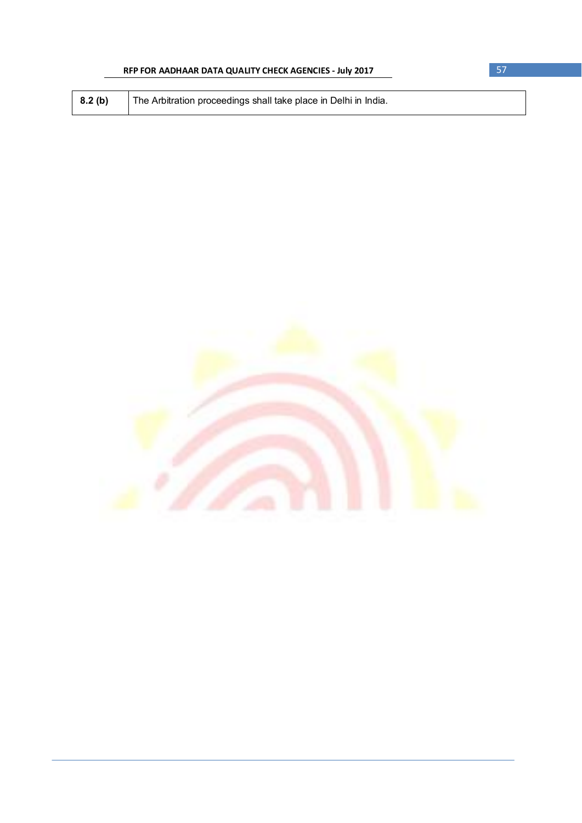| $\vert$ 8.2 (b)<br>The Arbitration proceedings shall take place in Delhi in India. |  |
|------------------------------------------------------------------------------------|--|
|------------------------------------------------------------------------------------|--|

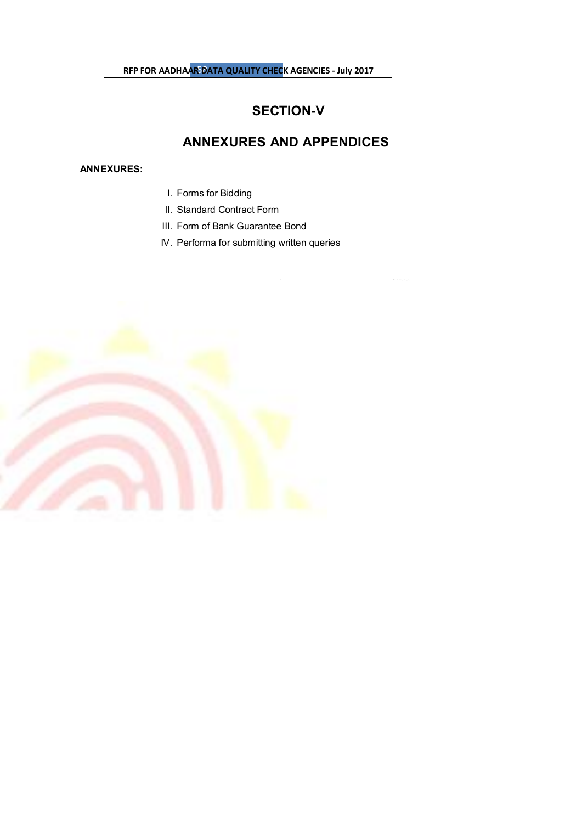# **SECTION-V**

# **ANNEXURES AND APPENDICES**

IV. Proforma final final final final final final final final final final final final final final final final final final final final final final final final final final final final final final final final final final final

### **ANNEXURES:**

- I. Forms for Bidding
- II. Standard Contract Form
- III. Form of Bank Guarantee Bond
- IV. Performa for submitting written queries

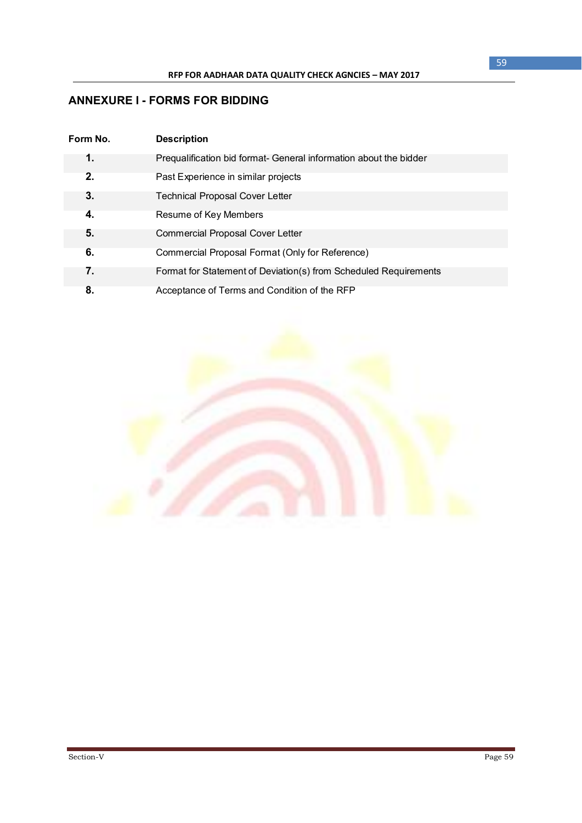# **ANNEXURE I - FORMS FOR BIDDING**

| Form No. | <b>Description</b>                                                |  |
|----------|-------------------------------------------------------------------|--|
| 1.       | Pregualification bid format- General information about the bidder |  |
| 2.       | Past Experience in similar projects                               |  |
| 3.       | <b>Technical Proposal Cover Letter</b>                            |  |
| 4.       | Resume of Key Members                                             |  |
| 5.       | <b>Commercial Proposal Cover Letter</b>                           |  |
| 6.       | Commercial Proposal Format (Only for Reference)                   |  |
| 7.       | Format for Statement of Deviation(s) from Scheduled Requirements  |  |
| 8.       | Acceptance of Terms and Condition of the RFP                      |  |



59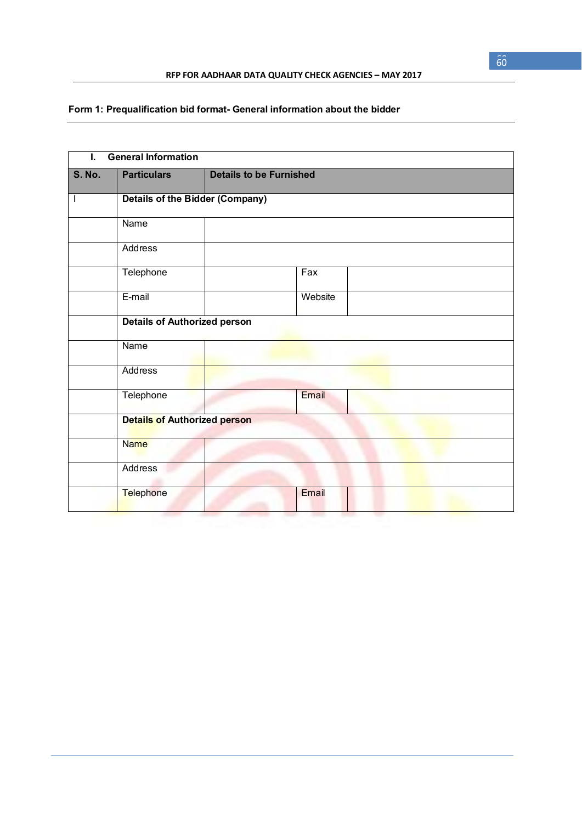## **Form 1: Prequalification bid format- General information about the bidder**

| I.            | <b>General Information</b>             |                                |  |  |  |  |
|---------------|----------------------------------------|--------------------------------|--|--|--|--|
| <b>S. No.</b> | <b>Particulars</b>                     | <b>Details to be Furnished</b> |  |  |  |  |
|               | <b>Details of the Bidder (Company)</b> |                                |  |  |  |  |
|               | Name                                   |                                |  |  |  |  |
|               | Address                                |                                |  |  |  |  |
|               | Telephone                              | Fax                            |  |  |  |  |
|               | E-mail                                 | Website                        |  |  |  |  |
|               | <b>Details of Authorized person</b>    |                                |  |  |  |  |
|               | Name                                   |                                |  |  |  |  |
|               | <b>Address</b>                         |                                |  |  |  |  |
|               | Telephone                              | Email                          |  |  |  |  |
|               | <b>Details of Authorized person</b>    |                                |  |  |  |  |
|               | <b>Name</b>                            |                                |  |  |  |  |
|               | <b>Address</b>                         |                                |  |  |  |  |
|               | Telephone                              | Email                          |  |  |  |  |
|               |                                        |                                |  |  |  |  |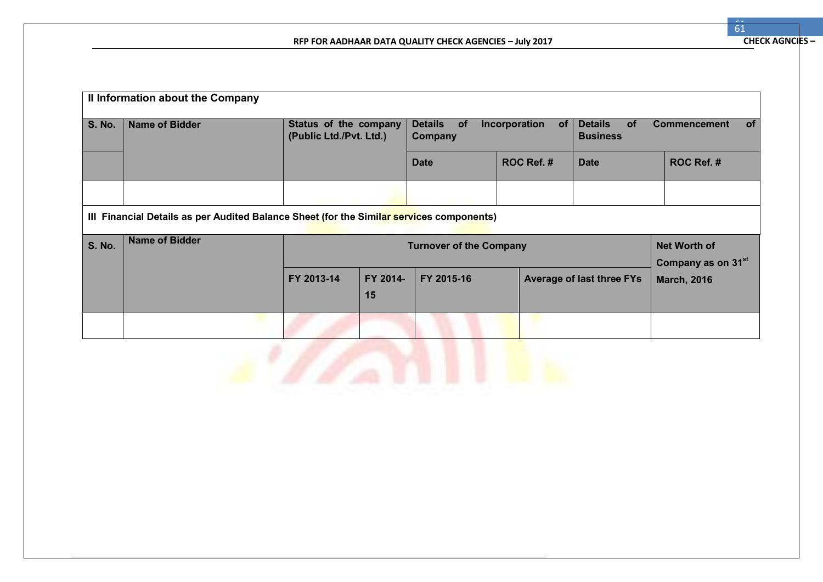**CHECK AGNCIES –**

|               | Il Information about the Company                                                         |                                                                                                      |  |                                        |                            |                                                |                                  |
|---------------|------------------------------------------------------------------------------------------|------------------------------------------------------------------------------------------------------|--|----------------------------------------|----------------------------|------------------------------------------------|----------------------------------|
| <b>S. No.</b> | <b>Name of Bidder</b>                                                                    | Status of the company<br>(Public Ltd./Pvt. Ltd.)                                                     |  | <b>Details</b><br><b>of</b><br>Company | Incorporation<br><b>of</b> | <b>Details</b><br><b>of</b><br><b>Business</b> | <b>Commencement</b><br><b>of</b> |
|               |                                                                                          |                                                                                                      |  | <b>Date</b>                            | ROC Ref. #                 | <b>Date</b>                                    | ROC Ref. #                       |
|               |                                                                                          |                                                                                                      |  |                                        |                            |                                                |                                  |
|               | III Financial Details as per Audited Balance Sheet (for the Similar services components) |                                                                                                      |  |                                        |                            |                                                |                                  |
| <b>S. No.</b> | <b>Name of Bidder</b>                                                                    | <b>Net Worth of</b><br><b>Turnover of the Company</b><br>Company as on 31 <sup>st</sup>              |  |                                        |                            |                                                |                                  |
|               |                                                                                          | FY 2013-14<br>FY 2014-<br>FY 2015-16<br><b>Average of last three FYs</b><br><b>March, 2016</b><br>15 |  |                                        |                            |                                                |                                  |
|               |                                                                                          |                                                                                                      |  |                                        |                            |                                                |                                  |

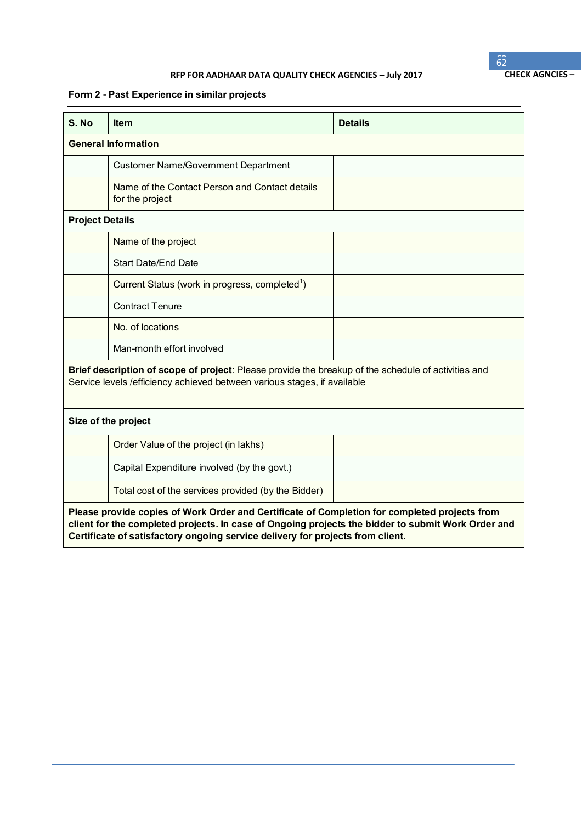### **Form 2 - Past Experience in similar projects**

| S. No                                                                                                                                                                                                                                                                                 | <b>Item</b>                                                       | <b>Details</b> |  |  |  |  |  |
|---------------------------------------------------------------------------------------------------------------------------------------------------------------------------------------------------------------------------------------------------------------------------------------|-------------------------------------------------------------------|----------------|--|--|--|--|--|
|                                                                                                                                                                                                                                                                                       | <b>General Information</b>                                        |                |  |  |  |  |  |
|                                                                                                                                                                                                                                                                                       | <b>Customer Name/Government Department</b>                        |                |  |  |  |  |  |
|                                                                                                                                                                                                                                                                                       | Name of the Contact Person and Contact details<br>for the project |                |  |  |  |  |  |
| <b>Project Details</b>                                                                                                                                                                                                                                                                |                                                                   |                |  |  |  |  |  |
|                                                                                                                                                                                                                                                                                       | Name of the project                                               |                |  |  |  |  |  |
|                                                                                                                                                                                                                                                                                       | <b>Start Date/End Date</b>                                        |                |  |  |  |  |  |
|                                                                                                                                                                                                                                                                                       | Current Status (work in progress, completed <sup>1</sup> )        |                |  |  |  |  |  |
|                                                                                                                                                                                                                                                                                       | <b>Contract Tenure</b>                                            |                |  |  |  |  |  |
|                                                                                                                                                                                                                                                                                       | No. of locations                                                  |                |  |  |  |  |  |
|                                                                                                                                                                                                                                                                                       | Man-month effort involved                                         |                |  |  |  |  |  |
| Brief description of scope of project: Please provide the breakup of the schedule of activities and<br>Service levels / efficiency achieved between various stages, if available                                                                                                      |                                                                   |                |  |  |  |  |  |
|                                                                                                                                                                                                                                                                                       | Size of the project                                               |                |  |  |  |  |  |
|                                                                                                                                                                                                                                                                                       | Order Value of the project (in lakhs)                             |                |  |  |  |  |  |
|                                                                                                                                                                                                                                                                                       | Capital Expenditure involved (by the govt.)                       |                |  |  |  |  |  |
|                                                                                                                                                                                                                                                                                       | Total cost of the services provided (by the Bidder)               |                |  |  |  |  |  |
| Please provide copies of Work Order and Certificate of Completion for completed projects from<br>client for the completed projects. In case of Ongoing projects the bidder to submit Work Order and<br>Certificate of satisfactory ongoing service delivery for projects from client. |                                                                   |                |  |  |  |  |  |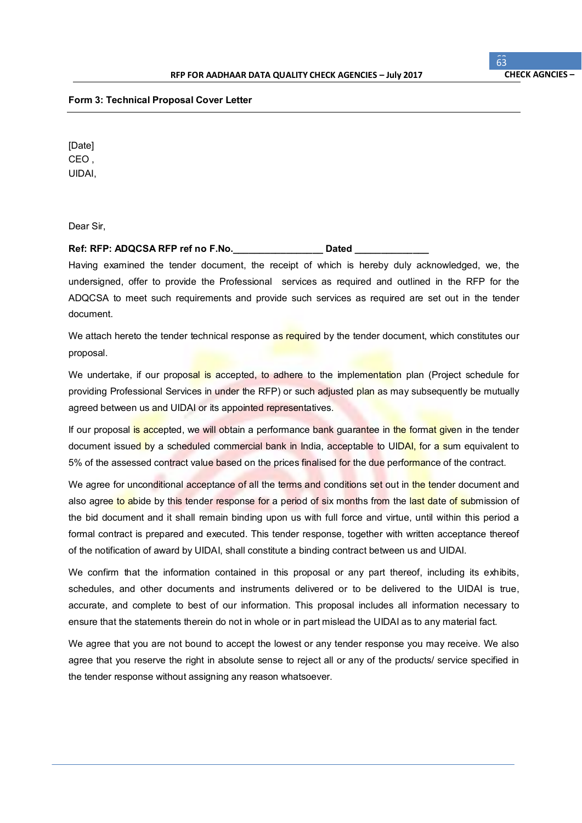#### **Form 3: Technical Proposal Cover Letter**

[Date] CEO , UIDAI,

Dear Sir,

### **Ref: RFP: ADQCSA RFP ref no F.No.\_\_\_\_\_\_\_\_\_\_\_\_\_\_\_\_\_ Dated \_\_\_\_\_\_\_\_\_\_\_\_\_\_**

Having examined the tender document, the receipt of which is hereby duly acknowledged, we, the undersigned, offer to provide the Professional services as required and outlined in the RFP for the ADQCSA to meet such requirements and provide such services as required are set out in the tender document.

We attach hereto the tender technical response as required by the tender document, which constitutes our proposal.

We undertake, if our proposal is accepted, to adhere to the implementation plan (Project schedule for providing Professional Services in under the RFP) or such adjusted plan as may subsequently be mutually agreed between us and UIDAI or its appointed representatives.

If our proposal is accepted, we will obtain a performance bank guarantee in the format given in the tender document issued by a scheduled commercial bank in India, acceptable to UIDAI, for a sum equivalent to 5% of the assessed contract value based on the prices finalised for the due performance of the contract.

We agree for unconditional acceptance of all the terms and conditions set out in the tender document and also agree to abide by this tender response for a period of six months from the last date of submission of the bid document and it shall remain binding upon us with full force and virtue, until within this period a formal contract is prepared and executed. This tender response, together with written acceptance thereof of the notification of award by UIDAI, shall constitute a binding contract between us and UIDAI.

We confirm that the information contained in this proposal or any part thereof, including its exhibits, schedules, and other documents and instruments delivered or to be delivered to the UIDAI is true, accurate, and complete to best of our information. This proposal includes all information necessary to ensure that the statements therein do not in whole or in part mislead the UIDAI as to any material fact.

We agree that you are not bound to accept the lowest or any tender response you may receive. We also agree that you reserve the right in absolute sense to reject all or any of the products/ service specified in the tender response without assigning any reason whatsoever.

63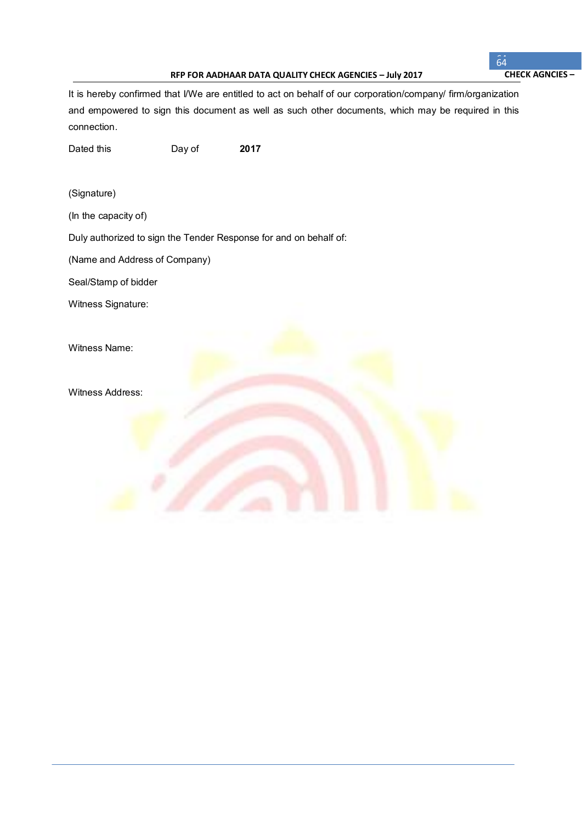### **RFP FOR AADHAAR DATA QUALITY CHECK AGENCIES – July 2017**

**CHECK AGNCIES –** It is hereby confirmed that I/We are entitled to act on behalf of our corporation/company/ firm/organization

and empowered to sign this document as well as such other documents, which may be required in this connection.

Dated this **Day of** 2017

(Signature)

(In the capacity of)

Duly authorized to sign the Tender Response for and on behalf of:

(Name and Address of Company)

Seal/Stamp of bidder

Witness Signature:

Witness Name:

Witness Address: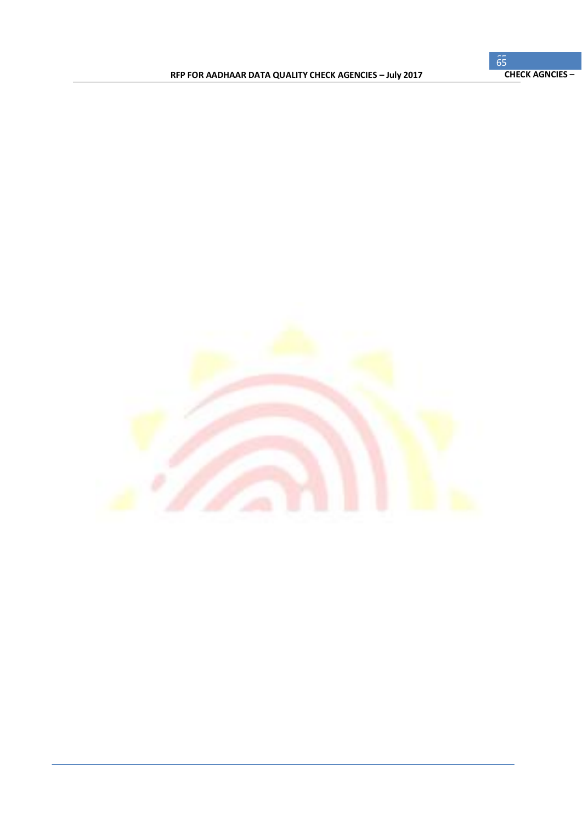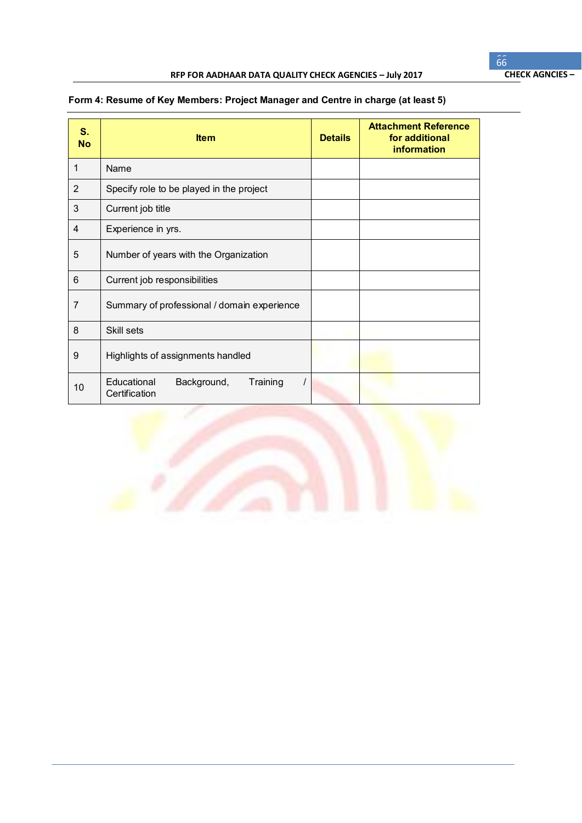| S.<br><b>No</b> | <b>Item</b>                                             | <b>Details</b> | <b>Attachment Reference</b><br>for additional<br>information |
|-----------------|---------------------------------------------------------|----------------|--------------------------------------------------------------|
| 1               | Name                                                    |                |                                                              |
| 2               | Specify role to be played in the project                |                |                                                              |
| 3               | Current job title                                       |                |                                                              |
| 4               | Experience in yrs.                                      |                |                                                              |
| 5               | Number of years with the Organization                   |                |                                                              |
| 6               | Current job responsibilities                            |                |                                                              |
| $\overline{7}$  | Summary of professional / domain experience             |                |                                                              |
| 8               | Skill sets                                              |                |                                                              |
| 9               | Highlights of assignments handled                       |                |                                                              |
| 10              | Educational<br>Background,<br>Training<br>Certification |                |                                                              |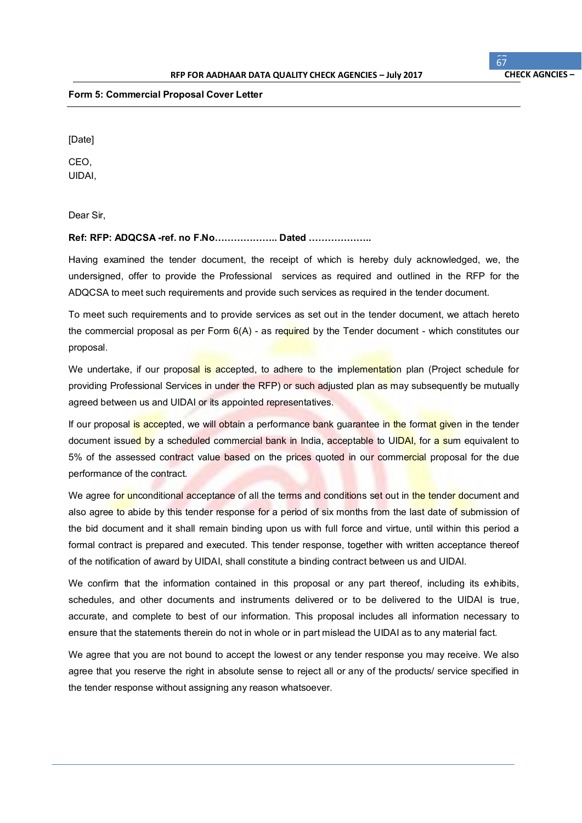#### **Form 5: Commercial Proposal Cover Letter**

[Date]

CEO, UIDAI,

Dear Sir,

#### **Ref: RFP: ADQCSA -ref. no F.No……………….. Dated ………………..**

Having examined the tender document, the receipt of which is hereby duly acknowledged, we, the undersigned, offer to provide the Professional services as required and outlined in the RFP for the ADQCSA to meet such requirements and provide such services as required in the tender document.

To meet such requirements and to provide services as set out in the tender document, we attach hereto the commercial proposal as per Form  $6(A)$  - as required by the Tender document - which constitutes our proposal.

We undertake, if our proposal is accepted, to adhere to the implementation plan (Project schedule for providing Professional Services in under the RFP) or such adjusted plan as may subsequently be mutually agreed between us and UIDAI or its appointed representatives.

If our proposal is accepted, we will obtain a performance bank guarantee in the format given in the tender document issued by a scheduled commercial bank in India, acceptable to UIDAI, for a sum equivalent to 5% of the assessed contract value based on the prices quoted in our commercial proposal for the due performance of the contract.

We agree for unconditional acceptance of all the terms and conditions set out in the tender document and also agree to abide by this tender response for a period of six months from the last date of submission of the bid document and it shall remain binding upon us with full force and virtue, until within this period a formal contract is prepared and executed. This tender response, together with written acceptance thereof of the notification of award by UIDAI, shall constitute a binding contract between us and UIDAI.

We confirm that the information contained in this proposal or any part thereof, including its exhibits, schedules, and other documents and instruments delivered or to be delivered to the UIDAI is true, accurate, and complete to best of our information. This proposal includes all information necessary to ensure that the statements therein do not in whole or in part mislead the UIDAI as to any material fact.

We agree that you are not bound to accept the lowest or any tender response you may receive. We also agree that you reserve the right in absolute sense to reject all or any of the products/ service specified in the tender response without assigning any reason whatsoever.

 $67$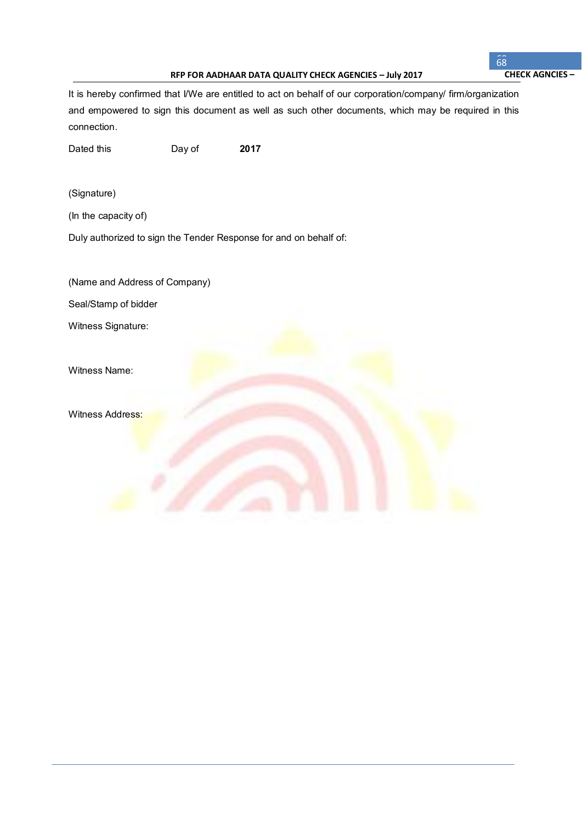### **RFP FOR AADHAAR DATA QUALITY CHECK AGENCIES – July 2017**

**CHECK AGNCIES –**

 $68$ 

It is hereby confirmed that I/We are entitled to act on behalf of our corporation/company/ firm/organization and empowered to sign this document as well as such other documents, which may be required in this connection.

Dated this **Day of** 2017

(Signature)

(In the capacity of)

Duly authorized to sign the Tender Response for and on behalf of:

(Name and Address of Company)

Seal/Stamp of bidder

Witness Signature:

Witness Name:

Witness Address: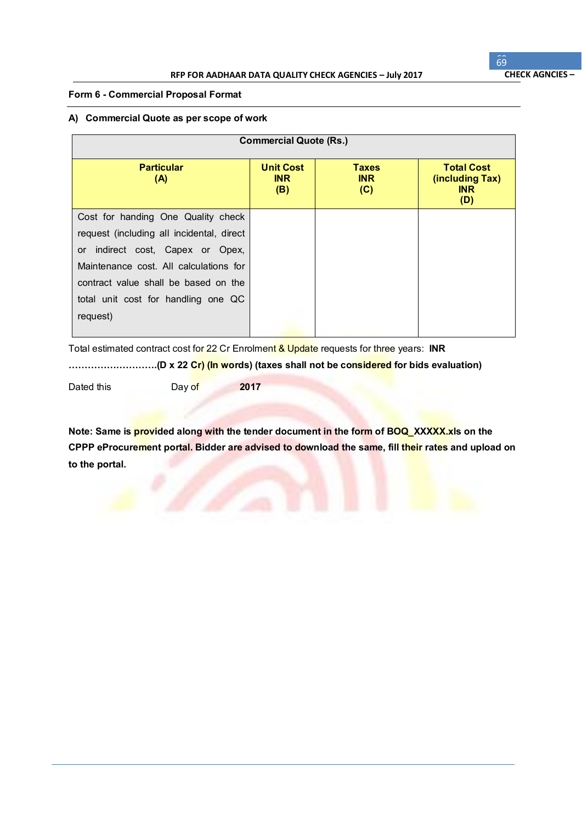#### **Form 6 - Commercial Proposal Format**

#### **A) Commercial Quote as per scope of work**

| <b>Commercial Quote (Rs.)</b>              |                                       |                                   |                                                           |  |
|--------------------------------------------|---------------------------------------|-----------------------------------|-----------------------------------------------------------|--|
| <b>Particular</b><br>(A)                   | <b>Unit Cost</b><br><b>INR</b><br>(B) | <b>Taxes</b><br><b>INR</b><br>(C) | <b>Total Cost</b><br>(including Tax)<br><b>INR</b><br>(D) |  |
| Cost for handing One Quality check         |                                       |                                   |                                                           |  |
| request (including all incidental, direct  |                                       |                                   |                                                           |  |
| indirect cost, Capex or Opex,<br><b>or</b> |                                       |                                   |                                                           |  |
| Maintenance cost. All calculations for     |                                       |                                   |                                                           |  |
| contract value shall be based on the       |                                       |                                   |                                                           |  |
| total unit cost for handling one QC        |                                       |                                   |                                                           |  |
| request)                                   |                                       |                                   |                                                           |  |

Total estimated contract cost for 22 Cr Enrolment & Update requests for three years: **INR ……………………….(D x 22 Cr) (In words) (taxes shall not be considered for bids evaluation)**

Dated this **Day of 2017** 

Note: Same is **provided along with the tender document in the form of BOQ\_XXXXX.xls** on the **CPPP eProcurement portal. Bidder are advised to download the same, fill their rates and upload on to the portal.**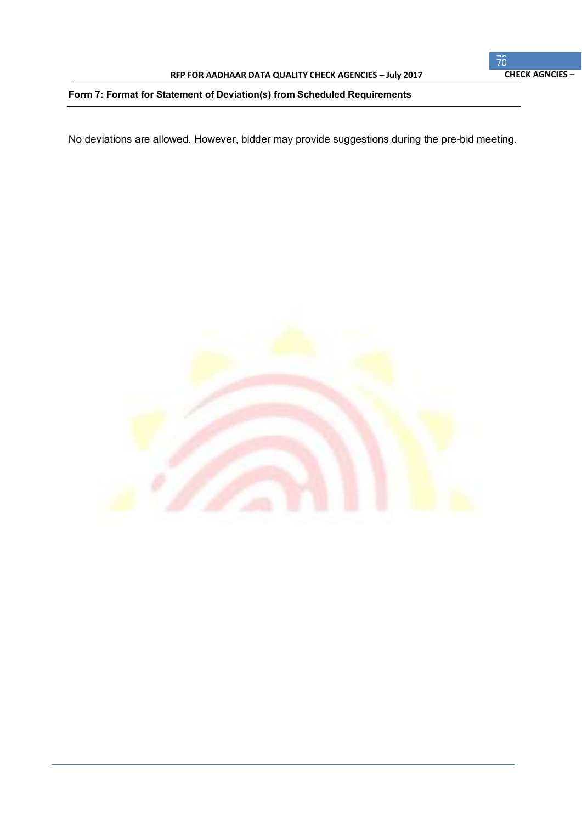### **Form 7: Format for Statement of Deviation(s) from Scheduled Requirements**

No deviations are allowed. However, bidder may provide suggestions during the pre-bid meeting.

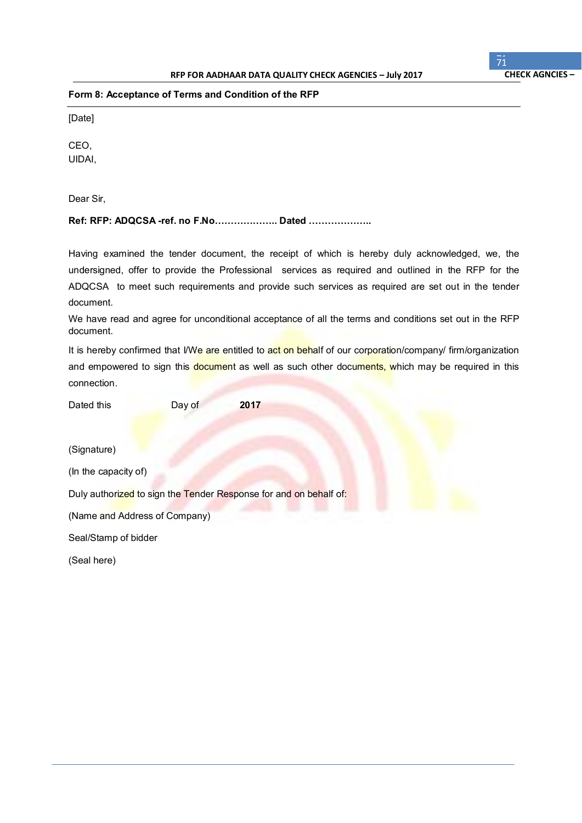**Form 8: Acceptance of Terms and Condition of the RFP**

[Date]

CEO, UIDAI,

Dear Sir,

**Ref: RFP: ADQCSA -ref. no F.No……………….. Dated ………………..**

Having examined the tender document, the receipt of which is hereby duly acknowledged, we, the undersigned, offer to provide the Professional services as required and outlined in the RFP for the ADQCSA to meet such requirements and provide such services as required are set out in the tender document.

We have read and agree for unconditional acceptance of all the terms and conditions set out in the RFP document.

It is hereby confirmed that I/We are entitled to act on behalf of our corporation/company/ firm/organization and empowered to sign this document as well as such other documents, which may be required in this connection.

Dated this **Day of 2017** 

(Signature)

(In the capacity of)

Duly authorized to sign the Tender Response for and on behalf of:

(Name and Address of Company)

Seal/Stamp of bidder

(Seal here)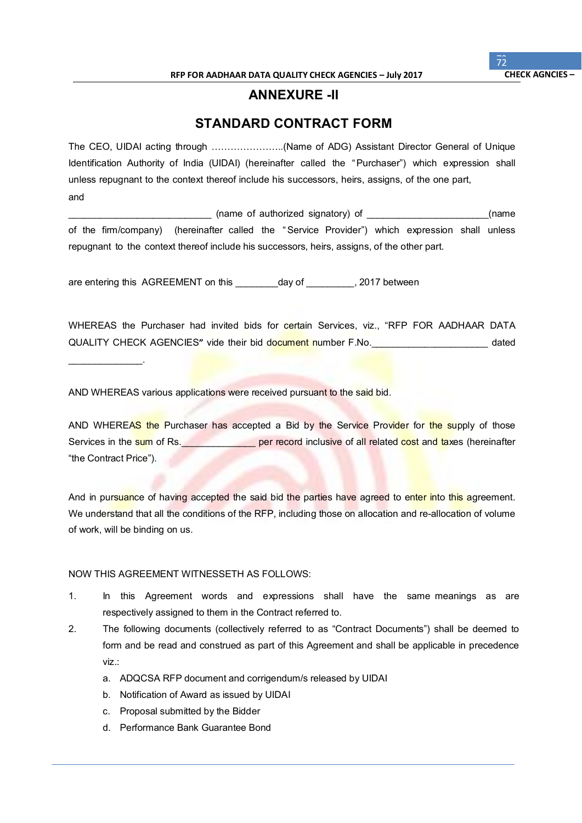$\overline{72}$ 

## **ANNEXURE -II**

# **STANDARD CONTRACT FORM**

The CEO, UIDAI acting through …………………..(Name of ADG) Assistant Director General of Unique Identification Authority of India (UIDAI) (hereinafter called the "Purchaser") which expression shall unless repugnant to the context thereof include his successors, heirs, assigns, of the one part, and

(name of authorized signatory) of  $\Box$  (name of the firm/company) (hereinafter called the "Service Provider") which expression shall unless repugnant to the context thereof include his successors, heirs, assigns, of the other part.

are entering this AGREEMENT on this \_\_\_\_\_\_\_\_\_day of \_\_\_\_\_\_\_\_\_, 2017 between

WHEREAS the Purchaser had invited bids for certain Services, viz., "RFP FOR AADHAAR DATA QUALITY CHECK AGENCIES**"** vide their bid document number F.No.\_\_\_\_\_\_\_\_\_\_\_\_\_\_\_\_\_\_\_\_\_\_ dated

\_\_\_\_\_\_\_\_\_\_\_\_\_\_.

AND WHEREAS various applications were received pursuant to the said bid.

AND WHEREAS the Purchaser has accepted a Bid by the Service Provider for the supply of those Services in the sum of Rs. \_\_\_\_\_\_\_\_\_\_\_\_\_\_\_\_\_\_\_\_ per record inclusive of all related cost and taxes (hereinafter "the Contract Price").

And in pursuance of having accepted the said bid the parties have agreed to enter into this agreement. We understand that all the conditions of the RFP, including those on allocation and re-allocation of volume of work, will be binding on us.

### NOW THIS AGREEMENT WITNESSETH AS FOLLOWS:

- 1. In this Agreement words and expressions shall have the same meanings as are respectively assigned to them in the Contract referred to.
- 2. The following documents (collectively referred to as "Contract Documents") shall be deemed to form and be read and construed as part of this Agreement and shall be applicable in precedence viz.:
	- a. ADQCSA RFP document and corrigendum/s released by UIDAI
	- b. Notification of Award as issued by UIDAI
	- c. Proposal submitted by the Bidder
	- d. Performance Bank Guarantee Bond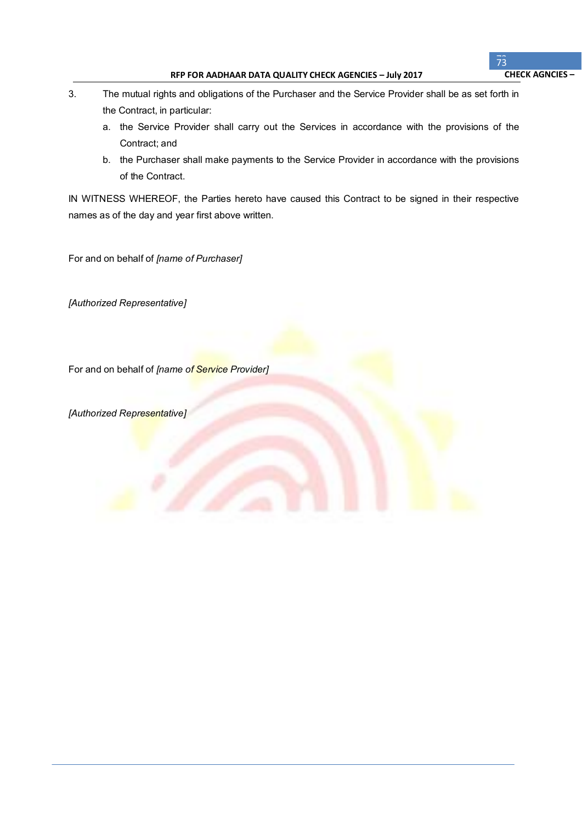#### **RFP FOR AADHAAR DATA QUALITY CHECK AGENCIES – July 2017**

- 3. The mutual rights and obligations of the Purchaser and the Service Provider shall be as set forth in the Contract, in particular:
	- a. the Service Provider shall carry out the Services in accordance with the provisions of the Contract; and
	- b. the Purchaser shall make payments to the Service Provider in accordance with the provisions of the Contract.

IN WITNESS WHEREOF, the Parties hereto have caused this Contract to be signed in their respective names as of the day and year first above written.

For and on behalf of *[name of Purchaser]*

*[Authorized Representative]*

For and on behalf of *[name of Service Provider]*

*[Authorized Representative]*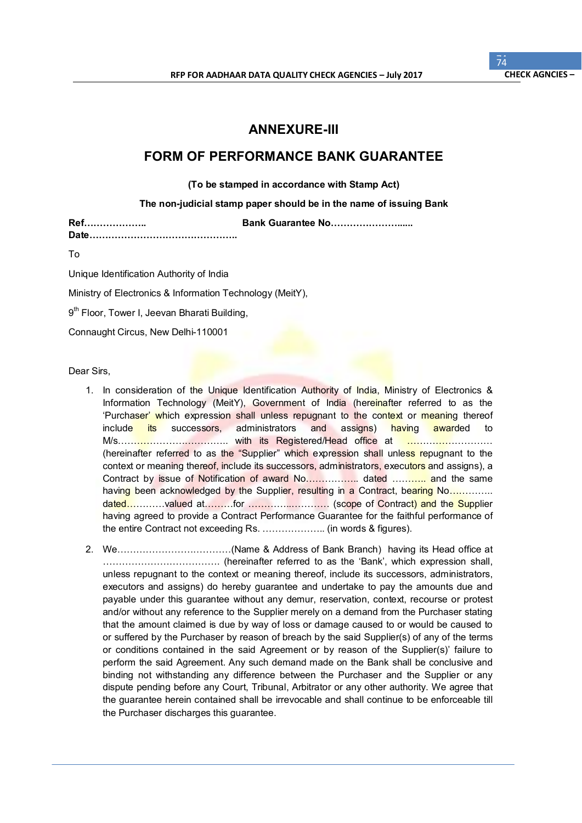# **ANNEXURE-III**

# **FORM OF PERFORMANCE BANK GUARANTEE**

**(To be stamped in accordance with Stamp Act)**

**The non-judicial stamp paper should be in the name of issuing Bank**

**Ref……………….. Bank Guarantee No…………………......** 

**Date………………………………………..**

To

Unique Identification Authority of India

Ministry of Electronics & Information Technology (MeitY),

9<sup>th</sup> Floor, Tower I, Jeevan Bharati Building,

Connaught Circus, New Delhi-110001

Dear Sirs,

- 1. In consideration of the Unique Identification Authority of India, Ministry of Electronics & Information Technology (MeitY), Government of India (hereinafter referred to as the 'Purchaser' which expression shall unless repugnant to the context or meaning thereof include its successors, administrators and assigns) having awarded to M/s…………………………….. with its Registered/Head office at ……………………… (hereinafter referred to as the "Supplier" which expression shall unless repugnant to the context or meaning thereof, include its successors, administrators, executors and assigns), a Contract by issue of Notification of award No…………….. dated ……….. and the same having been acknowledged by the Supplier, resulting in a Contract, bearing No.............. dated…………valued at………for ………………………… (scope of Contract) and the Supplier having agreed to provide a Contract Performance Guarantee for the faithful performance of the entire Contract not exceeding Rs. ……………….. (in words & figures).
- 2. We………………………………(Name & Address of Bank Branch) having its Head office at ………………………………. (hereinafter referred to as the 'Bank', which expression shall, unless repugnant to the context or meaning thereof, include its successors, administrators, executors and assigns) do hereby guarantee and undertake to pay the amounts due and payable under this guarantee without any demur, reservation, context, recourse or protest and/or without any reference to the Supplier merely on a demand from the Purchaser stating that the amount claimed is due by way of loss or damage caused to or would be caused to or suffered by the Purchaser by reason of breach by the said Supplier(s) of any of the terms or conditions contained in the said Agreement or by reason of the Supplier(s)' failure to perform the said Agreement. Any such demand made on the Bank shall be conclusive and binding not withstanding any difference between the Purchaser and the Supplier or any dispute pending before any Court, Tribunal, Arbitrator or any other authority. We agree that the guarantee herein contained shall be irrevocable and shall continue to be enforceable till the Purchaser discharges this guarantee.

 $74$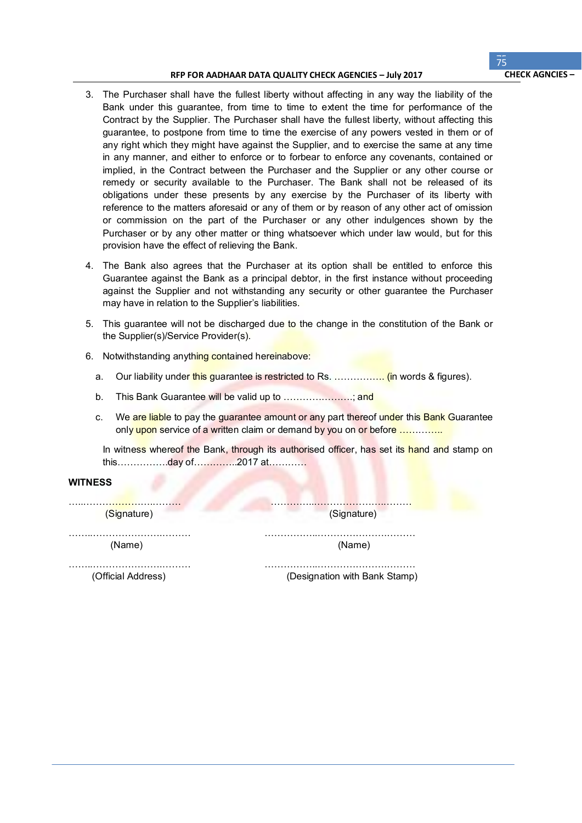- 3. The Purchaser shall have the fullest liberty without affecting in any way the liability of the Bank under this guarantee, from time to time to extent the time for performance of the Contract by the Supplier. The Purchaser shall have the fullest liberty, without affecting this guarantee, to postpone from time to time the exercise of any powers vested in them or of any right which they might have against the Supplier, and to exercise the same at any time in any manner, and either to enforce or to forbear to enforce any covenants, contained or implied, in the Contract between the Purchaser and the Supplier or any other course or remedy or security available to the Purchaser. The Bank shall not be released of its obligations under these presents by any exercise by the Purchaser of its liberty with reference to the matters aforesaid or any of them or by reason of any other act of omission or commission on the part of the Purchaser or any other indulgences shown by the Purchaser or by any other matter or thing whatsoever which under law would, but for this provision have the effect of relieving the Bank.
- 4. The Bank also agrees that the Purchaser at its option shall be entitled to enforce this Guarantee against the Bank as a principal debtor, in the first instance without proceeding against the Supplier and not withstanding any security or other guarantee the Purchaser may have in relation to the Supplier's liabilities.
- 5. This guarantee will not be discharged due to the change in the constitution of the Bank or the Supplier(s)/Service Provider(s).
- 6. Notwithstanding anything contained hereinabove:
	- a. Our liability under this guarantee is restricted to Rs. ................. (in words & figures).
	- b. This Bank Guarantee will be valid up to .......................; and

…..………………….……… …………..………………….………

c. We are liable to pay the guarantee amount or any part thereof under this Bank Guarantee only upon service of a written claim or demand by you on or before ..............

In witness whereof the Bank, through its authorised officer, has set its hand and stamp on this…………….day of…………..2017 at…………

#### **WITNESS**

(Signature) (Signature)

……..………………….……… ……………..………………….……… (Name) (Name)

……..………………….……… ……………..………………….………

(Official Address) (Designation with Bank Stamp)

7575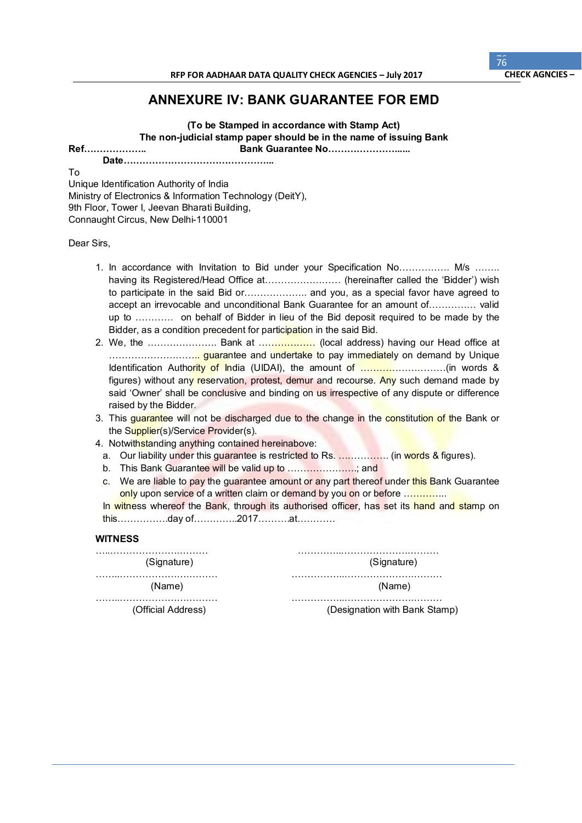# **ANNEXURE IV: BANK GUARANTEE FOR EMD**

**(To be Stamped in accordance with Stamp Act) The non-judicial stamp paper should be in the name of issuing Bank Ref……………….. Bank Guarantee No…………………......**

**Date………………………………………...**

To Unique Identification Authority of India Ministry of Electronics & Information Technology (DeitY), 9th Floor, Tower I, Jeevan Bharati Building, Connaught Circus, New Delhi-110001

Dear Sirs,

- 1. In accordance with Invitation to Bid under your Specification No……………. M/s …….. having its Registered/Head Office at…………………… (hereinafter called the 'Bidder') wish to participate in the said Bid or……………….. and you, as a special favor have agreed to accept an irrevocable and unconditional Bank Guarantee for an amount of…………… valid up to ………… on behalf of Bidder in lieu of the Bid deposit required to be made by the Bidder, as a condition precedent for participation in the said Bid.
- 2. We, the …………………. Bank at ……………… (local address) having our Head office at ……………………….. guarantee and undertake to pay immediately on demand by Unique Identification Authority of India (UIDAI), the amount of ………………………(in words & figures) without any reservation, protest, demur and recourse. Any such demand made by said 'Owner' shall be conclusive and binding on us irrespective of any dispute or difference raised by the Bidder.
- 3. This guarantee will not be discharged due to the change in the constitution of the Bank or the Supplier(s)/Service Provider(s).
- 4. Notwithstanding anything contained hereinabove:
	- a. Our liability under this guarantee is restricted to Rs. .................. (in words & figures).
	- b. This Bank Guarantee will be valid up to ........................; and
- c. We are liable to pay the guarantee amount or any part thereof under this Bank Guarantee only upon service of a written claim or demand by you on or before ……………

In witness whereof the Bank, through its authorised officer, has set its hand and stamp on this…………….day of…………..2017……….at…………

#### **WITNESS**

| (Signature)        | (Signature)                   |
|--------------------|-------------------------------|
|                    |                               |
| (Name)             | (Name)                        |
|                    |                               |
| (Official Address) | (Designation with Bank Stamp) |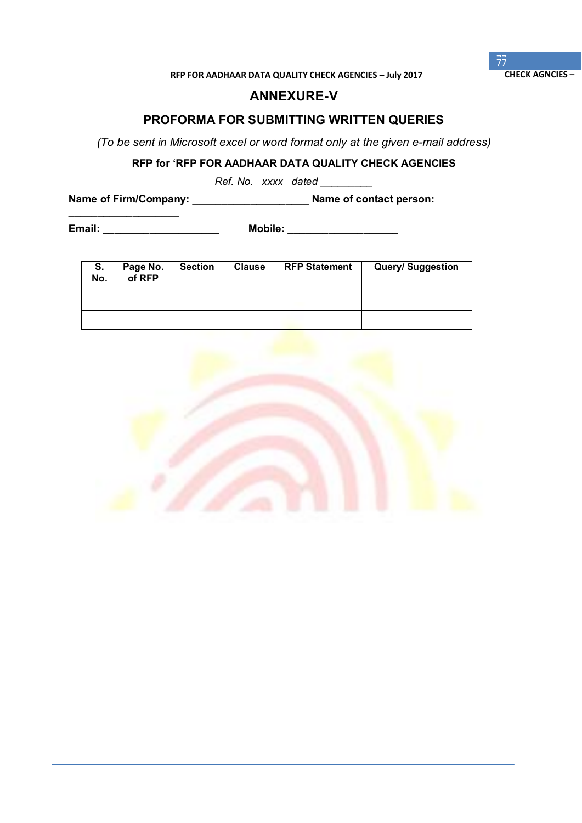# **ANNEXURE-V**

# **PROFORMA FOR SUBMITTING WRITTEN QUERIES**

*(To be sent in Microsoft excel or word format only at the given e-mail address)*

**RFP for 'RFP FOR AADHAAR DATA QUALITY CHECK AGENCIES**

*Ref. No. xxxx dated \_\_\_\_\_\_\_\_\_*

**Name of Firm/Company: \_\_\_\_\_\_\_\_\_\_\_\_\_\_\_\_\_\_\_\_ Name of contact person:** 

**\_\_\_\_\_\_\_\_\_\_\_\_\_\_\_\_\_\_\_**

**Email: \_\_\_\_\_\_\_\_\_\_\_\_\_\_\_\_\_\_\_\_ Mobile: \_\_\_\_\_\_\_\_\_\_\_\_\_\_\_\_\_\_\_**

| S.<br>No. | Page No.<br>of RFP | <b>Section</b> | <b>Clause</b> | <b>RFP Statement</b> | <b>Query/Suggestion</b> |
|-----------|--------------------|----------------|---------------|----------------------|-------------------------|
|           |                    |                |               |                      |                         |
|           |                    |                |               |                      |                         |

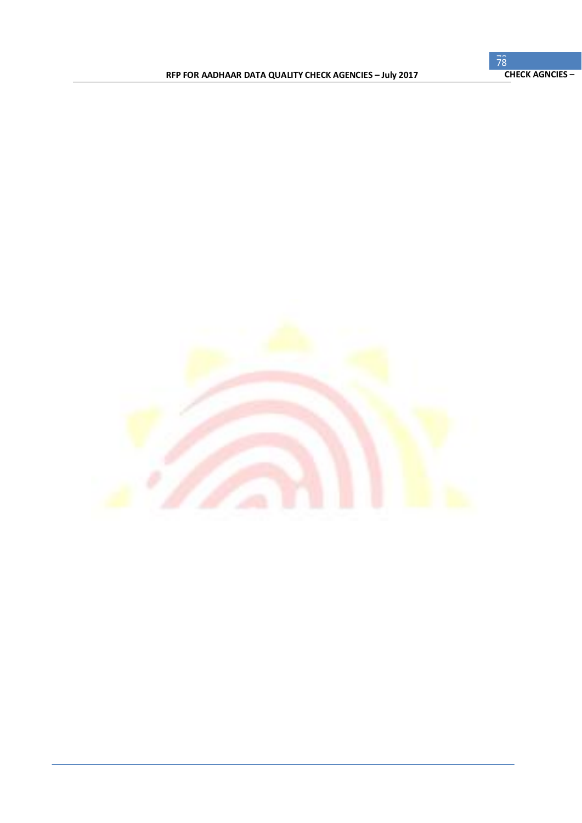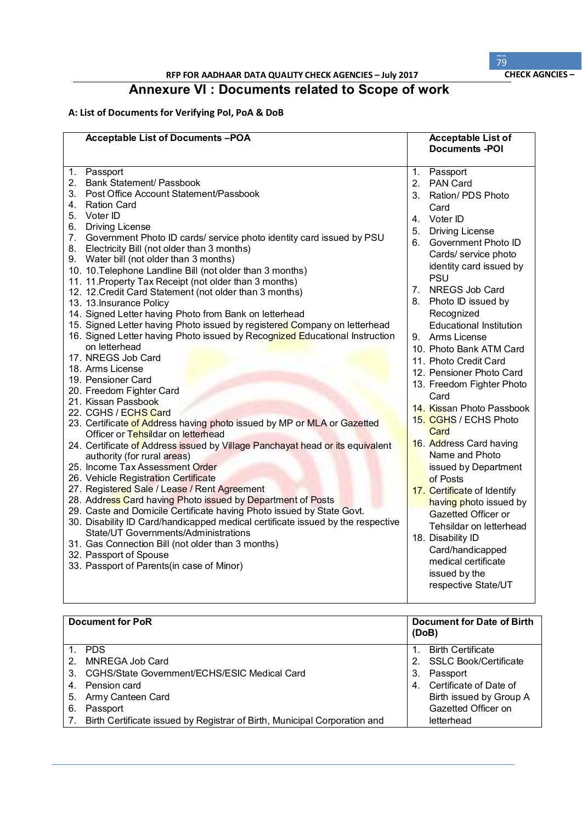$\overline{79}$ **CHECK AGNCIES –**

# **Annexure VI : Documents related to Scope of work**

# **A: List of Documents for Verifying PoI, PoA & DoB**

|    | <b>Acceptable List of Documents-POA</b>                                         |         | <b>Acceptable List of</b><br><b>Documents -POI</b> |
|----|---------------------------------------------------------------------------------|---------|----------------------------------------------------|
|    | 1. Passport                                                                     | 1.      | Passport                                           |
| 2. | Bank Statement/ Passbook                                                        | 2.      | PAN Card                                           |
|    | 3. Post Office Account Statement/Passbook                                       | 3.      | Ration/PDS Photo                                   |
| 4. | <b>Ration Card</b>                                                              |         | Card                                               |
|    | 5. Voter ID                                                                     | $4_{-}$ | Voter ID                                           |
|    | 6. Driving License                                                              | 5.      | <b>Driving License</b>                             |
|    | 7. Government Photo ID cards/ service photo identity card issued by PSU         | 6.      | Government Photo ID                                |
|    | 8. Electricity Bill (not older than 3 months)                                   |         | Cards/ service photo                               |
|    | 9. Water bill (not older than 3 months)                                         |         |                                                    |
|    | 10. 10. Telephone Landline Bill (not older than 3 months)                       |         | identity card issued by                            |
|    | 11. 11. Property Tax Receipt (not older than 3 months)                          |         | <b>PSU</b>                                         |
|    | 12. 12. Credit Card Statement (not older than 3 months)                         |         | 7. NREGS Job Card                                  |
|    | 13. 13. Insurance Policy                                                        |         | 8. Photo ID issued by                              |
|    | 14. Signed Letter having Photo from Bank on letterhead                          |         | Recognized                                         |
|    | 15. Signed Letter having Photo issued by registered Company on letterhead       |         | <b>Educational Institution</b>                     |
|    | 16. Signed Letter having Photo issued by Recognized Educational Instruction     | 9.      | Arms License                                       |
|    | on letterhead                                                                   |         | 10. Photo Bank ATM Card                            |
|    | 17. NREGS Job Card                                                              |         | 11. Photo Credit Card                              |
|    | 18. Arms License                                                                |         | 12. Pensioner Photo Card                           |
|    | 19. Pensioner Card                                                              |         | 13. Freedom Fighter Photo                          |
|    | 20. Freedom Fighter Card                                                        |         | Card                                               |
|    | 21. Kissan Passbook                                                             |         | 14. Kissan Photo Passbook                          |
|    | 22. CGHS / ECHS Card                                                            |         | 15. CGHS / ECHS Photo                              |
|    | 23. Certificate of Address having photo issued by MP or MLA or Gazetted         |         |                                                    |
|    | Officer or Tehsildar on letterhead                                              |         | Card                                               |
|    | 24. Certificate of Address issued by Village Panchayat head or its equivalent   |         | 16. Address Card having                            |
|    | authority (for rural areas)                                                     |         | Name and Photo                                     |
|    | 25. Income Tax Assessment Order                                                 |         | issued by Department                               |
|    | 26. Vehicle Registration Certificate                                            |         | of Posts                                           |
|    | 27. Registered Sale / Lease / Rent Agreement                                    |         | 17. Certificate of Identify                        |
|    | 28. Address Card having Photo issued by Department of Posts                     |         | having photo issued by                             |
|    | 29. Caste and Domicile Certificate having Photo issued by State Govt.           |         | <b>Gazetted Officer or</b>                         |
|    | 30. Disability ID Card/handicapped medical certificate issued by the respective |         | Tehsildar on letterhead                            |
|    | State/UT Governments/Administrations                                            |         | 18. Disability ID                                  |
|    | 31. Gas Connection Bill (not older than 3 months)                               |         | Card/handicapped                                   |
|    | 32. Passport of Spouse                                                          |         | medical certificate                                |
|    | 33. Passport of Parents(in case of Minor)                                       |         | issued by the                                      |
|    |                                                                                 |         | respective State/UT                                |
|    |                                                                                 |         |                                                    |

|                | <b>Document for PoR</b>                                                   |    | Document for Date of Birth<br>(DoB) |
|----------------|---------------------------------------------------------------------------|----|-------------------------------------|
|                | 1. PDS                                                                    |    | <b>Birth Certificate</b>            |
| 2 <sub>1</sub> | MNREGA Job Card                                                           |    | 2. SSLC Book/Certificate            |
| 3.             | CGHS/State Government/ECHS/ESIC Medical Card                              | 3. | Passport                            |
|                | 4. Pension card                                                           |    | 4. Certificate of Date of           |
| 5.             | Army Canteen Card                                                         |    | Birth issued by Group A             |
| 6.             | Passport                                                                  |    | Gazetted Officer on                 |
|                | Birth Certificate issued by Registrar of Birth, Municipal Corporation and |    | letterhead                          |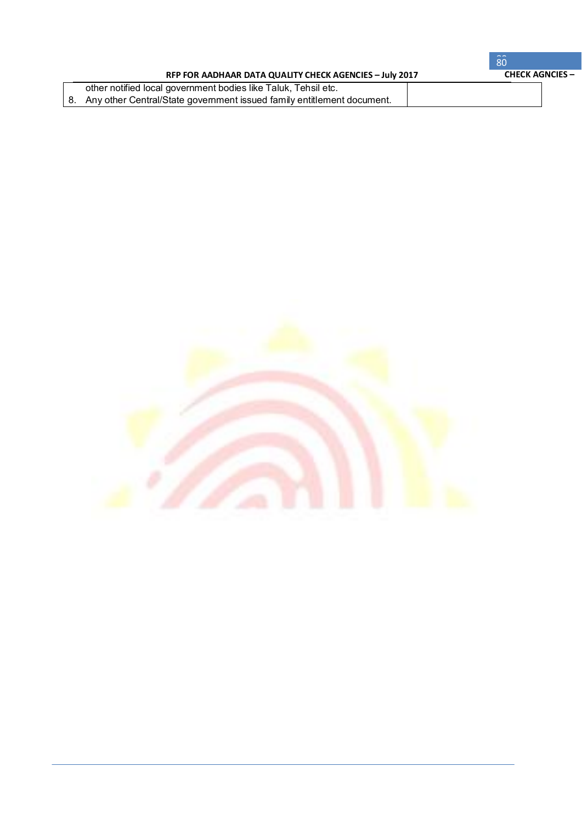| RFP FOR AADHAAR DATA QUALITY CHECK AGENCIES - July 2017                   | <b>CHECK AGNCIES -</b> |
|---------------------------------------------------------------------------|------------------------|
| other notified local government bodies like Taluk, Tehsil etc.            |                        |
| 8. Any other Central/State government issued family entitlement document. |                        |

 $\overline{80}$ 

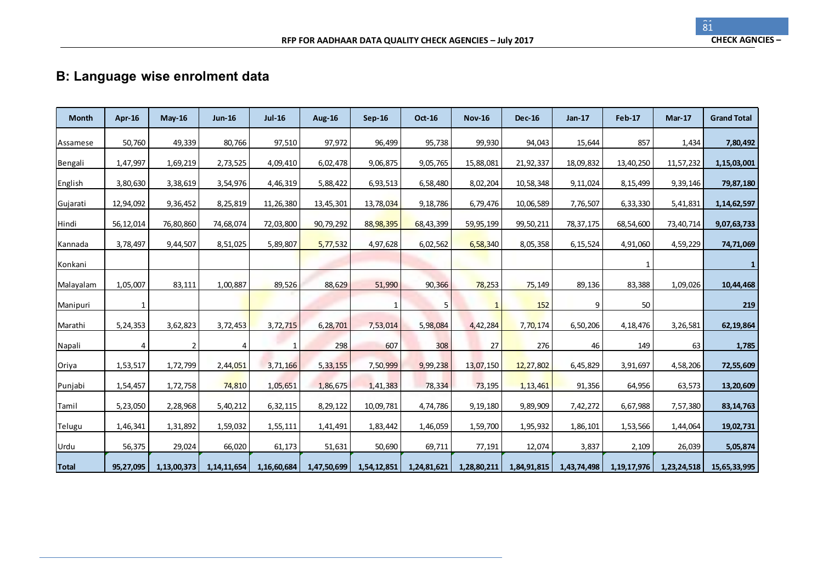# **B: Language wise enrolment data**

| <b>Month</b> | Apr-16    | $May-16$       | <b>Jun-16</b>  | <b>Jul-16</b> | <b>Aug-16</b> | <b>Sep-16</b> | <b>Oct-16</b> | <b>Nov-16</b> | <b>Dec-16</b> | <b>Jan-17</b> | <b>Feb-17</b>  | <b>Mar-17</b> | <b>Grand Total</b> |
|--------------|-----------|----------------|----------------|---------------|---------------|---------------|---------------|---------------|---------------|---------------|----------------|---------------|--------------------|
| Assamese     | 50,760    | 49,339         | 80,766         | 97,510        | 97,972        | 96,499        | 95,738        | 99,930        | 94,043        | 15,644        | 857            | 1,434         | 7,80,492           |
| Bengali      | 1,47,997  | 1,69,219       | 2,73,525       | 4,09,410      | 6,02,478      | 9,06,875      | 9,05,765      | 15,88,081     | 21,92,337     | 18,09,832     | 13,40,250      | 11,57,232     | 1,15,03,001        |
| English      | 3,80,630  | 3,38,619       | 3,54,976       | 4,46,319      | 5,88,422      | 6,93,513      | 6,58,480      | 8,02,204      | 10,58,348     | 9,11,024      | 8,15,499       | 9,39,146      | 79,87,180          |
| Gujarati     | 12,94,092 | 9,36,452       | 8,25,819       | 11,26,380     | 13,45,301     | 13,78,034     | 9,18,786      | 6,79,476      | 10,06,589     | 7,76,507      | 6,33,330       | 5,41,831      | 1,14,62,597        |
| Hindi        | 56,12,014 | 76,80,860      | 74,68,074      | 72,03,800     | 90,79,292     | 88,98,395     | 68,43,399     | 59,95,199     | 99,50,211     | 78, 37, 175   | 68,54,600      | 73,40,714     | 9,07,63,733        |
| Kannada      | 3,78,497  | 9,44,507       | 8,51,025       | 5,89,807      | 5,77,532      | 4,97,628      | 6,02,562      | 6,58,340      | 8,05,358      | 6, 15, 524    | 4,91,060       | 4,59,229      | 74,71,069          |
| Konkani      |           |                |                |               |               |               |               |               |               |               |                |               |                    |
| Malayalam    | 1,05,007  | 83,111         | 1,00,887       | 89,526        | 88,629        | 51,990        | 90,366        | 78,253        | 75,149        | 89,136        | 83,388         | 1,09,026      | 10,44,468          |
| Manipuri     | $1\vert$  |                |                |               |               | -1            | 5             |               | 152           | 9             | 50             |               | 219                |
| Marathi      | 5,24,353  | 3,62,823       | 3,72,453       | 3,72,715      | 6,28,701      | 7,53,014      | 5,98,084      | 4,42,284      | 7,70,174      | 6,50,206      | 4,18,476       | 3,26,581      | 62,19,864          |
| Napali       | 4         | $\overline{2}$ | 4              | $\mathbf{1}$  | 298           | 607           | 308           | 27            | 276           | 46            | 149            | 63            | 1,785              |
| Oriya        | 1,53,517  | 1,72,799       | 2,44,051       | 3,71,166      | 5,33,155      | 7,50,999      | 9,99,238      | 13,07,150     | 12,27,802     | 6,45,829      | 3,91,697       | 4,58,206      | 72,55,609          |
| Punjabi      | 1,54,457  | 1,72,758       | 74,810         | 1,05,651      | 1,86,675      | 1,41,383      | 78,334        | 73,195        | 1,13,461      | 91,356        | 64,956         | 63,573        | 13,20,609          |
| Tamil        | 5,23,050  | 2,28,968       | 5,40,212       | 6,32,115      | 8,29,122      | 10,09,781     | 4,74,786      | 9,19,180      | 9,89,909      | 7,42,272      | 6,67,988       | 7,57,380      | 83, 14, 763        |
| Telugu       | 1,46,341  | 1,31,892       | 1,59,032       | 1,55,111      | 1,41,491      | 1,83,442      | 1,46,059      | 1,59,700      | 1,95,932      | 1,86,101      | 1,53,566       | 1,44,064      | 19,02,731          |
| Urdu         | 56,375    | 29,024         | 66,020         | 61,173        | 51,631        | 50,690        | 69,711        | 77,191        | 12,074        | 3,837         | 2,109          | 26,039        | 5,05,874           |
| <b>Total</b> | 95,27,095 | 1,13,00,373    | 1, 14, 11, 654 | 1,16,60,684   | 1,47,50,699   | 1,54,12,851   | 1,24,81,621   | 1,28,80,211   | 1,84,91,815   | 1,43,74,498   | 1, 19, 17, 976 | 1,23,24,518   | 15,65,33,995       |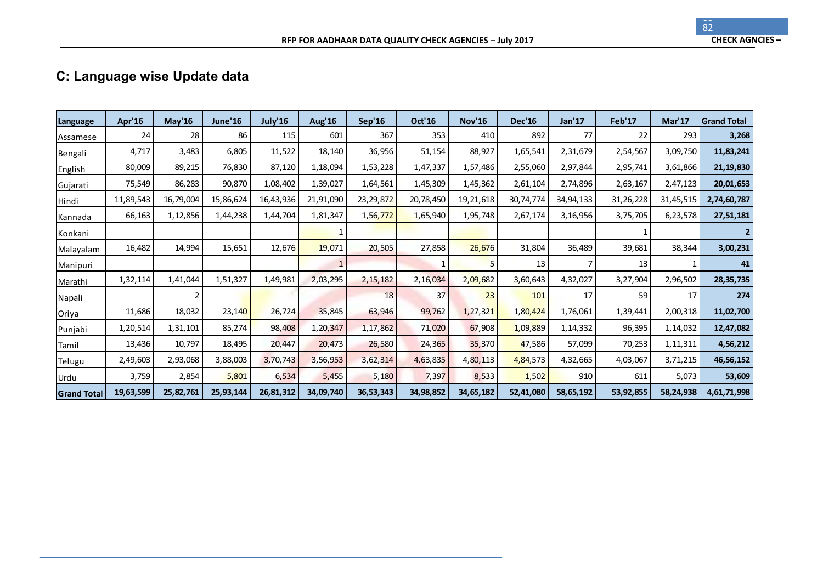# **C: Language wise Update data**

| Language           | Apr'16    | May'16     | June'16   | July'16   | Aug'16       | <b>Sep'16</b> | <b>Oct'16</b> | <b>Nov'16</b> | <b>Dec'16</b> | Jan'17     | Feb'17    | Mar'17    | <b>Grand Total</b> |
|--------------------|-----------|------------|-----------|-----------|--------------|---------------|---------------|---------------|---------------|------------|-----------|-----------|--------------------|
| Assamese           | 24        | 28         | 86        | 115       | 601          | 367           | 353           | 410           | 892           | 77         | 22        | 293       | 3,268              |
| Bengali            | 4,717     | 3,483      | 6,805     | 11,522    | 18,140       | 36,956        | 51,154        | 88,927        | 1,65,541      | 2,31,679   | 2,54,567  | 3,09,750  | 11,83,241          |
| English            | 80,009    | 89,215     | 76,830    | 87,120    | 1,18,094     | 1,53,228      | 1,47,337      | 1,57,486      | 2,55,060      | 2,97,844   | 2,95,741  | 3,61,866  | 21, 19, 830        |
| Gujarati           | 75,549    | 86,283     | 90,870    | 1,08,402  | 1,39,027     | 1,64,561      | 1,45,309      | 1,45,362      | 2,61,104      | 2,74,896   | 2,63,167  | 2,47,123  | 20,01,653          |
| Hindi              | 11,89,543 | 16,79,004  | 15,86,624 | 16,43,936 | 21,91,090    | 23, 29, 872   | 20,78,450     | 19,21,618     | 30,74,774     | 34,94,133  | 31,26,228 | 31,45,515 | 2,74,60,787        |
| Kannada            | 66,163    | 1, 12, 856 | 1,44,238  | 1,44,704  | 1,81,347     | 1,56,772      | 1,65,940      | 1,95,748      | 2,67,174      | 3,16,956   | 3,75,705  | 6,23,578  | 27,51,181          |
| Konkani            |           |            |           |           |              |               |               |               |               |            |           |           |                    |
| Malayalam          | 16,482    | 14,994     | 15,651    | 12,676    | 19,071       | 20,505        | 27,858        | 26,676        | 31,804        | 36,489     | 39,681    | 38,344    | 3,00,231           |
| Manipuri           |           |            |           |           | $\mathbf{1}$ |               |               | 5             | 13            |            | 13        | 1         | 41                 |
| Marathi            | 1,32,114  | 1,41,044   | 1,51,327  | 1,49,981  | 2,03,295     | 2, 15, 182    | 2,16,034      | 2,09,682      | 3,60,643      | 4,32,027   | 3,27,904  | 2,96,502  | 28, 35, 735        |
| Napali             |           | 2          |           |           |              | 18            | 37            | 23            | 101           | 17         | 59        | 17        | 274                |
| Oriya              | 11,686    | 18,032     | 23,140    | 26,724    | 35,845       | 63,946        | 99,762        | 1,27,321      | 1,80,424      | 1,76,061   | 1,39,441  | 2,00,318  | 11,02,700          |
| Punjabi            | 1,20,514  | 1,31,101   | 85,274    | 98,408    | 1,20,347     | 1, 17, 862    | 71,020        | 67,908        | 1,09,889      | 1, 14, 332 | 96,395    | 1,14,032  | 12,47,082          |
| Tamil              | 13,436    | 10,797     | 18,495    | 20,447    | 20,473       | 26,580        | 24,365        | 35,370        | 47,586        | 57,099     | 70,253    | 1,11,311  | 4,56,212           |
| Telugu             | 2,49,603  | 2,93,068   | 3,88,003  | 3,70,743  | 3,56,953     | 3,62,314      | 4,63,835      | 4,80,113      | 4,84,573      | 4,32,665   | 4,03,067  | 3,71,215  | 46,56,152          |
| Urdu               | 3,759     | 2,854      | 5,801     | 6,534     | 5,455        | 5,180         | 7,397         | 8,533         | 1,502         | 910        | 611       | 5,073     | 53,609             |
| <b>Grand Total</b> | 19,63,599 | 25,82,761  | 25,93,144 | 26,81,312 | 34,09,740    | 36,53,343     | 34,98,852     | 34,65,182     | 52,41,080     | 58,65,192  | 53,92,855 | 58,24,938 | 4,61,71,998        |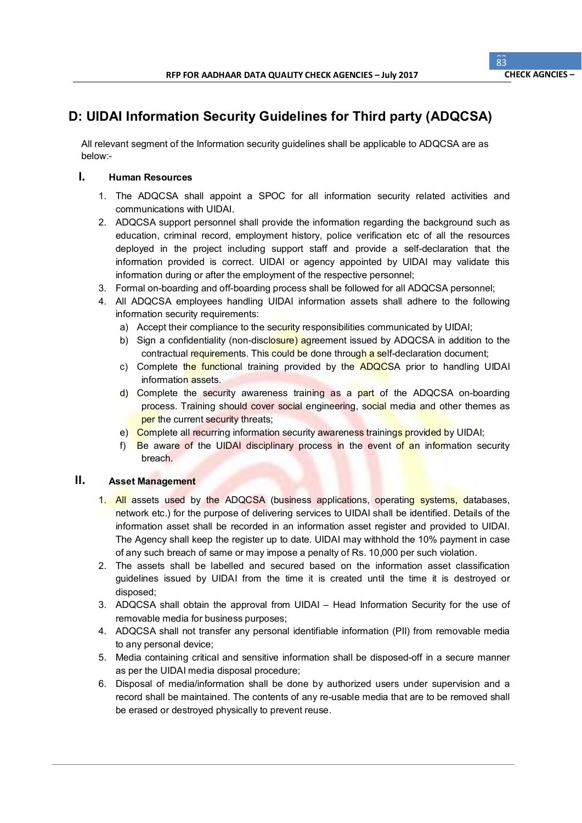# **D: UIDAI Information Security Guidelines for Third party (ADQCSA)**

All relevant segment of the Information security guidelines shall be applicable to ADQCSA are as below:-

## **I. Human Resources**

- 1. The ADQCSA shall appoint a SPOC for all information security related activities and communications with UIDAI.
- 2. ADQCSA support personnel shall provide the information regarding the background such as education, criminal record, employment history, police verification etc of all the resources deployed in the project including support staff and provide a self-declaration that the information provided is correct. UIDAI or agency appointed by UIDAI may validate this information during or after the employment of the respective personnel;
- 3. Formal on-boarding and off-boarding process shall be followed for all ADQCSA personnel;
- 4. All ADQCSA employees handling UIDAI information assets shall adhere to the following information security requirements:
	- a) Accept their compliance to the security responsibilities communicated by UIDAI;
	- b) Sign a confidentiality (non-disclosure) agreement issued by ADQCSA in addition to the contractual requirements. This could be done through a self-declaration document;
	- c) Complete the functional training provided by the ADQCSA prior to handling UIDAI information assets.
	- d) Complete the security awareness training as a part of the ADQCSA on-boarding process. Training should cover social engineering, social media and other themes as per the current security threats;
	- e) Complete all recurring information security awareness trainings provided by UIDAI;
	- f) Be aware of the UIDAI disciplinary process in the event of an information security breach.

### **II. Asset Management**

- 1. All assets used by the ADQCSA (business applications, operating systems, databases, network etc.) for the purpose of delivering services to UIDAI shall be identified. Details of the information asset shall be recorded in an information asset register and provided to UIDAI. The Agency shall keep the register up to date. UIDAI may withhold the 10% payment in case of any such breach of same or may impose a penalty of Rs. 10,000 per such violation.
- 2. The assets shall be labelled and secured based on the information asset classification guidelines issued by UIDAI from the time it is created until the time it is destroyed or disposed;
- 3. ADQCSA shall obtain the approval from UIDAI Head Information Security for the use of removable media for business purposes;
- 4. ADQCSA shall not transfer any personal identifiable information (PII) from removable media to any personal device;
- 5. Media containing critical and sensitive information shall be disposed-off in a secure manner as per the UIDAI media disposal procedure;
- 6. Disposal of media/information shall be done by authorized users under supervision and a record shall be maintained. The contents of any re-usable media that are to be removed shall be erased or destroyed physically to prevent reuse.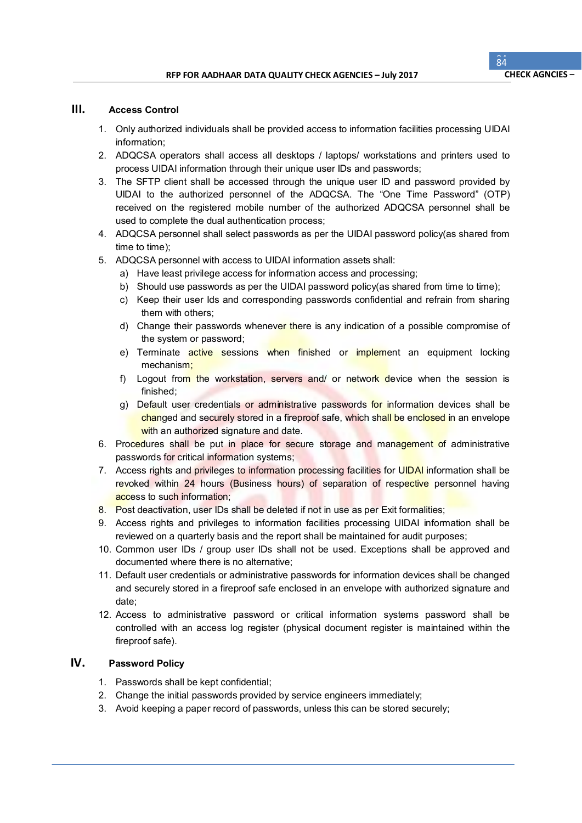#### **III. Access Control**

- 1. Only authorized individuals shall be provided access to information facilities processing UIDAI information;
- 2. ADQCSA operators shall access all desktops / laptops/ workstations and printers used to process UIDAI information through their unique user IDs and passwords;
- 3. The SFTP client shall be accessed through the unique user ID and password provided by UIDAI to the authorized personnel of the ADQCSA. The "One Time Password" (OTP) received on the registered mobile number of the authorized ADQCSA personnel shall be used to complete the dual authentication process;
- 4. ADQCSA personnel shall select passwords as per the UIDAI password policy(as shared from time to time);
- 5. ADQCSA personnel with access to UIDAI information assets shall:
	- a) Have least privilege access for information access and processing;
	- b) Should use passwords as per the UIDAI password policy(as shared from time to time);
	- c) Keep their user Ids and corresponding passwords confidential and refrain from sharing them with others;
	- d) Change their passwords whenever there is any indication of a possible compromise of the system or password;
	- e) Terminate active sessions when finished or implement an equipment locking mechanism;
	- f) Logout from the workstation, servers and/ or network device when the session is finished;
	- g) Default user credentials or administrative passwords for information devices shall be changed and securely stored in a fireproof safe, which shall be enclosed in an envelope with an authorized signature and date.
- 6. Procedures shall be put in place for secure storage and management of administrative passwords for critical information systems;
- 7. Access rights and privileges to information processing facilities for UIDAI information shall be revoked within 24 hours (Business hours) of separation of respective personnel having access to such information;
- 8. Post deactivation, user IDs shall be deleted if not in use as per Exit formalities;
- 9. Access rights and privileges to information facilities processing UIDAI information shall be reviewed on a quarterly basis and the report shall be maintained for audit purposes;
- 10. Common user IDs / group user IDs shall not be used. Exceptions shall be approved and documented where there is no alternative;
- 11. Default user credentials or administrative passwords for information devices shall be changed and securely stored in a fireproof safe enclosed in an envelope with authorized signature and date;
- 12. Access to administrative password or critical information systems password shall be controlled with an access log register (physical document register is maintained within the fireproof safe).

## **IV. Password Policy**

- 1. Passwords shall be kept confidential;
- 2. Change the initial passwords provided by service engineers immediately;
- 3. Avoid keeping a paper record of passwords, unless this can be stored securely;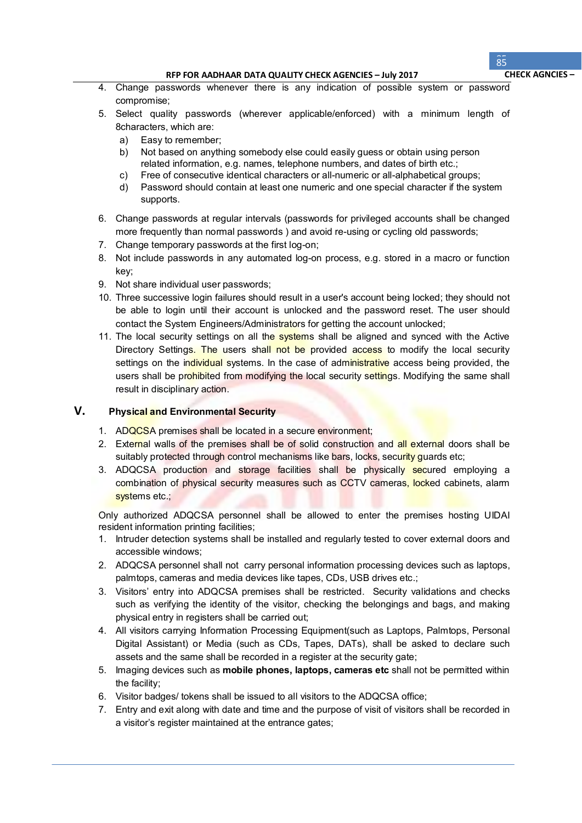- 4. Change passwords whenever there is any indication of possible system or password compromise;
- 5. Select quality passwords (wherever applicable/enforced) with a minimum length of 8characters, which are:
	- a) Easy to remember;
	- b) Not based on anything somebody else could easily guess or obtain using person related information, e.g. names, telephone numbers, and dates of birth etc.;
	- c) Free of consecutive identical characters or all-numeric or all-alphabetical groups;
	- d) Password should contain at least one numeric and one special character if the system supports.
- 6. Change passwords at regular intervals (passwords for privileged accounts shall be changed more frequently than normal passwords ) and avoid re-using or cycling old passwords;
- 7. Change temporary passwords at the first log-on;
- 8. Not include passwords in any automated log-on process, e.g. stored in a macro or function key;
- 9. Not share individual user passwords;
- 10. Three successive login failures should result in a user's account being locked; they should not be able to login until their account is unlocked and the password reset. The user should contact the System Engineers/Administrators for getting the account unlocked;
- 11. The local security settings on all the systems shall be aligned and synced with the Active Directory Settings. The users shall not be provided access to modify the local security settings on the individual systems. In the case of administrative access being provided, the users shall be prohibited from modifying the local security settings. Modifying the same shall result in disciplinary action.

# **V. Physical and Environmental Security**

- 1. ADQCSA premises shall be located in a secure environment;
- 2. External walls of the premises shall be of solid construction and all external doors shall be suitably protected through control mechanisms like bars, locks, security quards etc;
- 3. ADQCSA production and storage facilities shall be physically secured employing a combination of physical security measures such as CCTV cameras, locked cabinets, alarm systems etc.;

Only authorized ADQCSA personnel shall be allowed to enter the premises hosting UIDAI resident information printing facilities;

- 1. Intruder detection systems shall be installed and regularly tested to cover external doors and accessible windows;
- 2. ADQCSA personnel shall not carry personal information processing devices such as laptops, palmtops, cameras and media devices like tapes, CDs, USB drives etc.;
- 3. Visitors' entry into ADQCSA premises shall be restricted. Security validations and checks such as verifying the identity of the visitor, checking the belongings and bags, and making physical entry in registers shall be carried out;
- 4. All visitors carrying Information Processing Equipment(such as Laptops, Palmtops, Personal Digital Assistant) or Media (such as CDs, Tapes, DATs), shall be asked to declare such assets and the same shall be recorded in a register at the security gate;
- 5. Imaging devices such as **mobile phones, laptops, cameras etc** shall not be permitted within the facility;
- 6. Visitor badges/ tokens shall be issued to all visitors to the ADQCSA office;
- 7. Entry and exit along with date and time and the purpose of visit of visitors shall be recorded in a visitor's register maintained at the entrance gates;

 $85$ 

**CHECK AGNCIES –**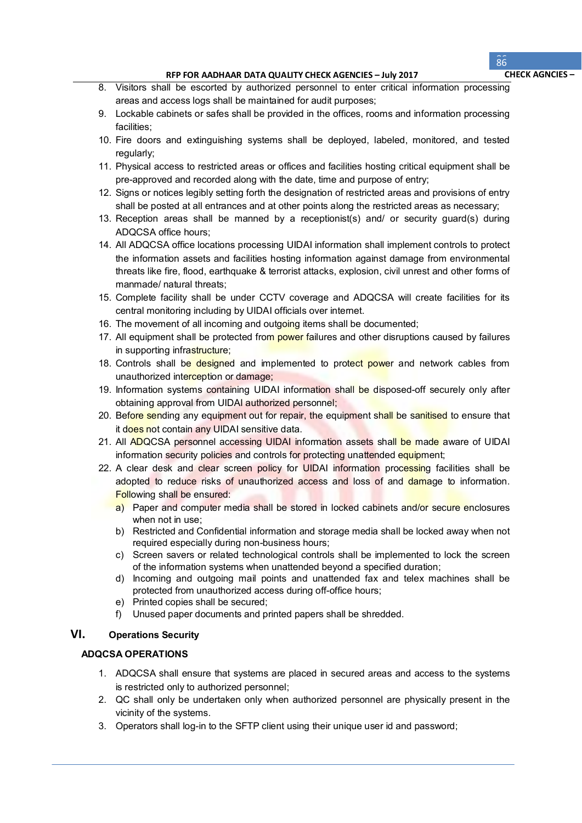- 8. Visitors shall be escorted by authorized personnel to enter critical information processing areas and access logs shall be maintained for audit purposes;
- 9. Lockable cabinets or safes shall be provided in the offices, rooms and information processing facilities:
- 10. Fire doors and extinguishing systems shall be deployed, labeled, monitored, and tested regularly;
- 11. Physical access to restricted areas or offices and facilities hosting critical equipment shall be pre-approved and recorded along with the date, time and purpose of entry;
- 12. Signs or notices legibly setting forth the designation of restricted areas and provisions of entry shall be posted at all entrances and at other points along the restricted areas as necessary;
- 13. Reception areas shall be manned by a receptionist(s) and/ or security guard(s) during ADQCSA office hours;
- 14. All ADQCSA office locations processing UIDAI information shall implement controls to protect the information assets and facilities hosting information against damage from environmental threats like fire, flood, earthquake & terrorist attacks, explosion, civil unrest and other forms of manmade/ natural threats;
- 15. Complete facility shall be under CCTV coverage and ADQCSA will create facilities for its central monitoring including by UIDAI officials over internet.
- 16. The movement of all incoming and outgoing items shall be documented;
- 17. All equipment shall be protected from power failures and other disruptions caused by failures in supporting infrastructure;
- 18. Controls shall be designed and implemented to protect power and network cables from unauthorized interception or damage;
- 19. Information systems containing UIDAI information shall be disposed-off securely only after obtaining approval from UIDAI authorized personnel;
- 20. Before sending any equipment out for repair, the equipment shall be sanitised to ensure that it does not contain any UIDAI sensitive data.
- 21. All ADQCSA personnel accessing UIDAI information assets shall be made aware of UIDAI information security policies and controls for protecting unattended equipment;
- 22. A clear desk and clear screen policy for UIDAI information processing facilities shall be adopted to reduce risks of unauthorized access and loss of and damage to information. Following shall be ensured:
	- a) Paper and computer media shall be stored in locked cabinets and/or secure enclosures when not in use;
	- b) Restricted and Confidential information and storage media shall be locked away when not required especially during non-business hours;
	- c) Screen savers or related technological controls shall be implemented to lock the screen of the information systems when unattended beyond a specified duration;
	- d) Incoming and outgoing mail points and unattended fax and telex machines shall be protected from unauthorized access during off-office hours;
	- e) Printed copies shall be secured;
	- f) Unused paper documents and printed papers shall be shredded.

### **VI. Operations Security**

#### **ADQCSA OPERATIONS**

- 1. ADQCSA shall ensure that systems are placed in secured areas and access to the systems is restricted only to authorized personnel;
- 2. QC shall only be undertaken only when authorized personnel are physically present in the vicinity of the systems.
- 3. Operators shall log-in to the SFTP client using their unique user id and password;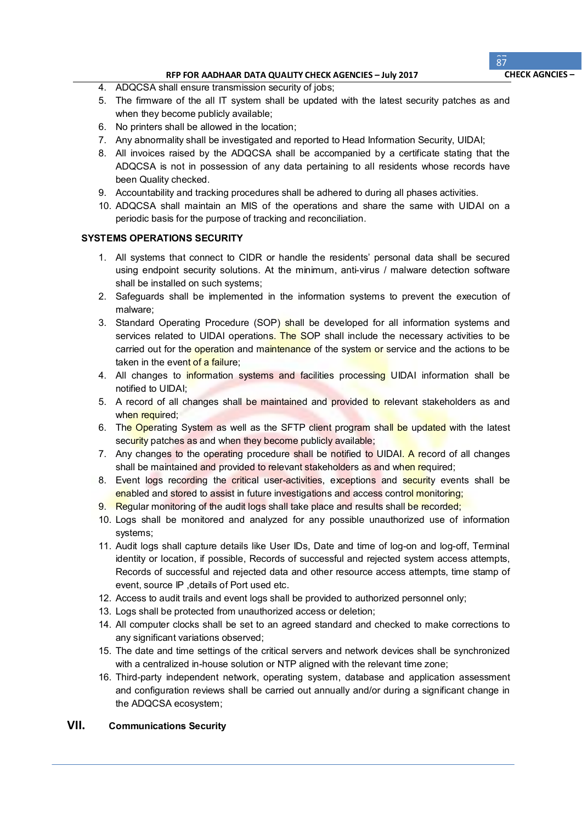#### **RFP FOR AADHAAR DATA QUALITY CHECK AGENCIES – July 2017**

- 4. ADQCSA shall ensure transmission security of jobs;
- 5. The firmware of the all IT system shall be updated with the latest security patches as and when they become publicly available;
- 6. No printers shall be allowed in the location;
- 7. Any abnormality shall be investigated and reported to Head Information Security, UIDAI;
- 8. All invoices raised by the ADQCSA shall be accompanied by a certificate stating that the ADQCSA is not in possession of any data pertaining to all residents whose records have been Quality checked.
- 9. Accountability and tracking procedures shall be adhered to during all phases activities.
- 10. ADQCSA shall maintain an MIS of the operations and share the same with UIDAI on a periodic basis for the purpose of tracking and reconciliation.

#### **SYSTEMS OPERATIONS SECURITY**

- 1. All systems that connect to CIDR or handle the residents' personal data shall be secured using endpoint security solutions. At the minimum, anti-virus / malware detection software shall be installed on such systems;
- 2. Safeguards shall be implemented in the information systems to prevent the execution of malware;
- 3. Standard Operating Procedure (SOP) shall be developed for all information systems and services related to UIDAI operations. The SOP shall include the necessary activities to be carried out for the operation and maintenance of the system or service and the actions to be taken in the event of a failure:
- 4. All changes to information systems and facilities processing UIDAI information shall be notified to UIDAI;
- 5. A record of all changes shall be maintained and provided to relevant stakeholders as and when required;
- 6. The Operating System as well as the SFTP client program shall be updated with the latest security patches as and when they become publicly available;
- 7. Any changes to the operating procedure shall be notified to UIDAI. A record of all changes shall be maintained and provided to relevant stakeholders as and when required;
- 8. Event logs recording the critical user-activities, exceptions and security events shall be enabled and stored to assist in future investigations and access control monitoring;
- 9. Regular monitoring of the audit logs shall take place and results shall be recorded;
- 10. Logs shall be monitored and analyzed for any possible unauthorized use of information systems;
- 11. Audit logs shall capture details like User IDs, Date and time of log-on and log-off, Terminal identity or location, if possible, Records of successful and rejected system access attempts, Records of successful and rejected data and other resource access attempts, time stamp of event, source IP ,details of Port used etc.
- 12. Access to audit trails and event logs shall be provided to authorized personnel only;
- 13. Logs shall be protected from unauthorized access or deletion;
- 14. All computer clocks shall be set to an agreed standard and checked to make corrections to any significant variations observed;
- 15. The date and time settings of the critical servers and network devices shall be synchronized with a centralized in-house solution or NTP aligned with the relevant time zone;
- 16. Third-party independent network, operating system, database and application assessment and configuration reviews shall be carried out annually and/or during a significant change in the ADQCSA ecosystem;

# **VII. Communications Security**

 $\overline{87}$ 

**CHECK AGNCIES –**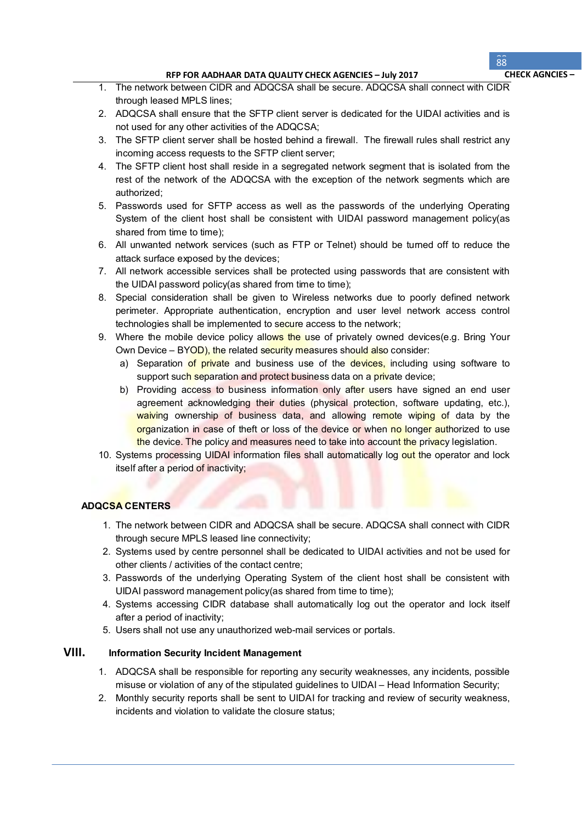**CHECK AGNCIES –**

#### **RFP FOR AADHAAR DATA QUALITY CHECK AGENCIES – July 2017**

- 1. The network between CIDR and ADQCSA shall be secure. ADQCSA shall connect with CIDR through leased MPLS lines;
- 2. ADQCSA shall ensure that the SFTP client server is dedicated for the UIDAI activities and is not used for any other activities of the ADQCSA;
- 3. The SFTP client server shall be hosted behind a firewall. The firewall rules shall restrict any incoming access requests to the SFTP client server;
- 4. The SFTP client host shall reside in a segregated network segment that is isolated from the rest of the network of the ADQCSA with the exception of the network segments which are authorized;
- 5. Passwords used for SFTP access as well as the passwords of the underlying Operating System of the client host shall be consistent with UIDAI password management policy(as shared from time to time):
- 6. All unwanted network services (such as FTP or Telnet) should be turned off to reduce the attack surface exposed by the devices;
- 7. All network accessible services shall be protected using passwords that are consistent with the UIDAI password policy(as shared from time to time);
- 8. Special consideration shall be given to Wireless networks due to poorly defined network perimeter. Appropriate authentication, encryption and user level network access control technologies shall be implemented to secure access to the network;
- 9. Where the mobile device policy allows the use of privately owned devices(e.g. Bring Your Own Device – BYOD), the related security measures should also consider:
	- a) Separation of private and business use of the devices, including using software to support such separation and protect business data on a private device;
	- b) Providing access to business information only after users have signed an end user agreement acknowledging their duties (physical protection, software updating, etc.), waiving ownership of business data, and allowing remote wiping of data by the organization in case of theft or loss of the device or when no longer authorized to use the device. The policy and measures need to take into account the privacy legislation.
- 10. Systems processing UIDAI information files shall automatically log out the operator and lock itself after a period of inactivity;

### **ADQCSA CENTERS**

- 1. The network between CIDR and ADQCSA shall be secure. ADQCSA shall connect with CIDR through secure MPLS leased line connectivity;
- 2. Systems used by centre personnel shall be dedicated to UIDAI activities and not be used for other clients / activities of the contact centre;
- 3. Passwords of the underlying Operating System of the client host shall be consistent with UIDAI password management policy(as shared from time to time);
- 4. Systems accessing CIDR database shall automatically log out the operator and lock itself after a period of inactivity;
- 5. Users shall not use any unauthorized web-mail services or portals.

## **VIII. Information Security Incident Management**

- 1. ADQCSA shall be responsible for reporting any security weaknesses, any incidents, possible misuse or violation of any of the stipulated guidelines to UIDAI – Head Information Security;
- 2. Monthly security reports shall be sent to UIDAI for tracking and review of security weakness, incidents and violation to validate the closure status;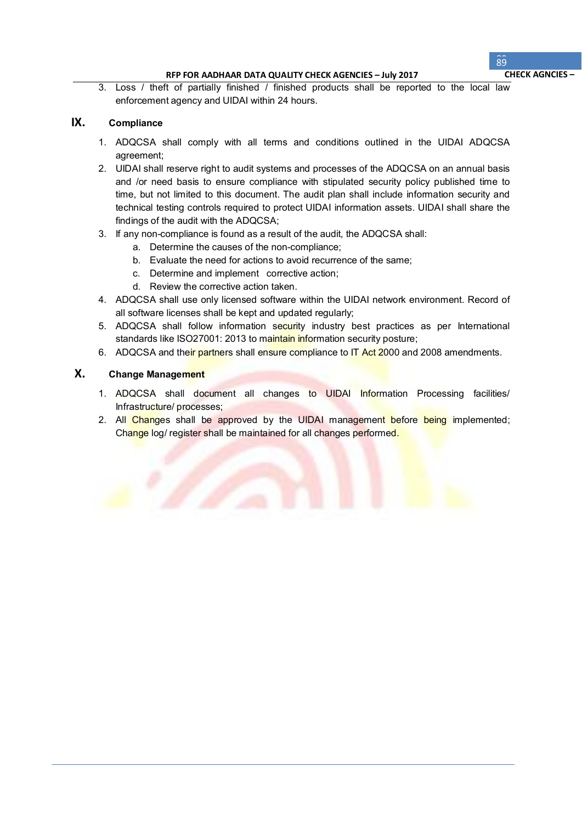#### **RFP FOR AADHAAR DATA QUALITY CHECK AGENCIES – July 2017**

3. Loss / theft of partially finished / finished products shall be reported to the local law enforcement agency and UIDAI within 24 hours.

# **IX. Compliance**

- 1. ADQCSA shall comply with all terms and conditions outlined in the UIDAI ADQCSA agreement;
- 2. UIDAI shall reserve right to audit systems and processes of the ADQCSA on an annual basis and /or need basis to ensure compliance with stipulated security policy published time to time, but not limited to this document. The audit plan shall include information security and technical testing controls required to protect UIDAI information assets. UIDAI shall share the findings of the audit with the ADQCSA;
- 3. If any non-compliance is found as a result of the audit, the ADQCSA shall:
	- a. Determine the causes of the non-compliance;
	- b. Evaluate the need for actions to avoid recurrence of the same;
	- c. Determine and implement corrective action;
	- d. Review the corrective action taken.
- 4. ADQCSA shall use only licensed software within the UIDAI network environment. Record of all software licenses shall be kept and updated regularly;
- 5. ADQCSA shall follow information security industry best practices as per International standards like ISO27001: 2013 to maintain information security posture;
- 6. ADQCSA and their partners shall ensure compliance to IT Act 2000 and 2008 amendments.

### **X. Change Management**

- 1. ADQCSA shall document all changes to UIDAI Information Processing facilities/ Infrastructure/ processes;
- 2. All Changes shall be approved by the UIDAI management before being implemented; Change log/ register shall be maintained for all changes performed.

**CHECK AGNCIES –**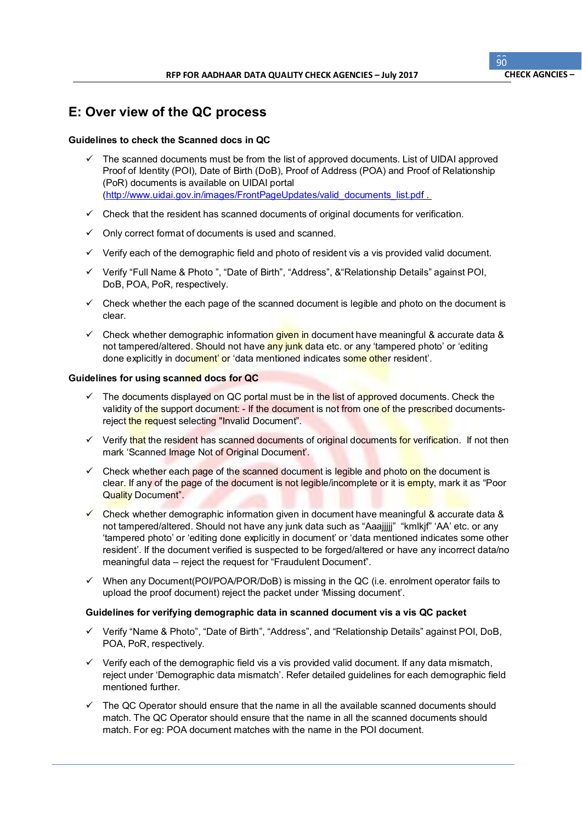# **E: Over view of the QC process**

#### **Guidelines to check the Scanned docs in QC**

- $\checkmark$  The scanned documents must be from the list of approved documents. List of UIDAI approved Proof of Identity (POI), Date of Birth (DoB), Proof of Address (POA) and Proof of Relationship (PoR) documents is available on UIDAI portal (http://www.uidai.gov.in/images/FrontPageUpdates/valid\_documents\_list.pdf .
- $\checkmark$  Check that the resident has scanned documents of original documents for verification.
- $\checkmark$  Only correct format of documents is used and scanned.
- $\checkmark$  Verify each of the demographic field and photo of resident vis a vis provided valid document.
- Verify "Full Name & Photo ", "Date of Birth", "Address", &"Relationship Details" against POI, DoB, POA, PoR, respectively.
- $\checkmark$  Check whether the each page of the scanned document is legible and photo on the document is clear.
- Check whether demographic information given in document have meaningful & accurate data & not tampered/altered. Should not have any junk data etc. or any 'tampered photo' or 'editing done explicitly in document' or 'data mentioned indicates some other resident'.

#### **Guidelines for using scanned docs for QC**

- $\checkmark$  The documents displayed on QC portal must be in the list of approved documents. Check the validity of the support document: - If the document is not from one of the prescribed documentsreject the request selecting "Invalid Document".
- $\checkmark$  Verify that the resident has scanned documents of original documents for verification. If not then mark 'Scanned Image Not of Original Document'.
- $\checkmark$  Check whether each page of the scanned document is legible and photo on the document is clear. If any of the page of the document is not legible/incomplete or it is empty, mark it as "Poor Quality Document".
- $\checkmark$  Check whether demographic information given in document have meaningful & accurate data & not tampered/altered. Should not have any junk data such as "Aaajjjjj" "kmlkjf" 'AA' etc. or any 'tampered photo' or 'editing done explicitly in document' or 'data mentioned indicates some other resident'. If the document verified is suspected to be forged/altered or have any incorrect data/no meaningful data – reject the request for "Fraudulent Document".
- $\checkmark$  When any Document(POI/POA/POR/DoB) is missing in the QC (i.e. enrolment operator fails to upload the proof document) reject the packet under 'Missing document'.

#### **Guidelines for verifying demographic data in scanned document vis a vis QC packet**

- $\checkmark$  Verify "Name & Photo", "Date of Birth", "Address", and "Relationship Details" against POI, DoB, POA, PoR, respectively.
- $\checkmark$  Verify each of the demographic field vis a vis provided valid document. If any data mismatch, reject under 'Demographic data mismatch'. Refer detailed guidelines for each demographic field mentioned further.
- $\checkmark$  The QC Operator should ensure that the name in all the available scanned documents should match. The QC Operator should ensure that the name in all the scanned documents should match. For eg: POA document matches with the name in the POI document.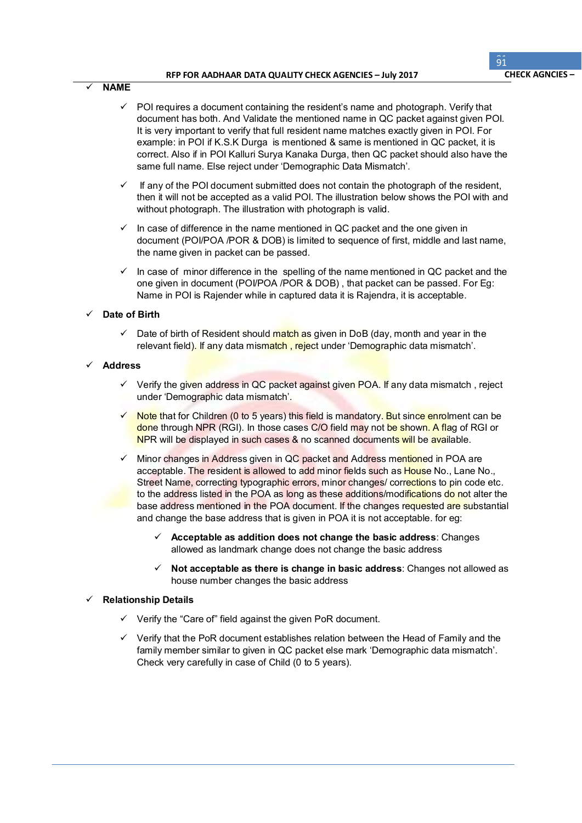#### **NAME**

- POI requires a document containing the resident's name and photograph. Verify that document has both. And Validate the mentioned name in QC packet against given POI. It is very important to verify that full resident name matches exactly given in POI. For example: in POI if K.S.K Durga is mentioned & same is mentioned in QC packet, it is correct. Also if in POI Kalluri Surya Kanaka Durga, then QC packet should also have the same full name. Else reject under 'Demographic Data Mismatch'.
- If any of the POI document submitted does not contain the photograph of the resident, then it will not be accepted as a valid POI. The illustration below shows the POI with and without photograph. The illustration with photograph is valid.
- $\checkmark$  In case of difference in the name mentioned in QC packet and the one given in document (POI/POA /POR & DOB) is limited to sequence of first, middle and last name, the name given in packet can be passed.
- $\checkmark$  In case of minor difference in the spelling of the name mentioned in QC packet and the one given in document (POI/POA /POR & DOB) , that packet can be passed. For Eg: Name in POI is Rajender while in captured data it is Rajendra, it is acceptable.

#### **Date of Birth**

 $\checkmark$  Date of birth of Resident should match as given in DoB (day, month and year in the relevant field). If any data mismatch, reject under 'Demographic data mismatch'.

#### **Address**

- $\checkmark$  Verify the given address in QC packet against given POA. If any data mismatch, reject under 'Demographic data mismatch'.
- $\checkmark$  Note that for Children (0 to 5 years) this field is mandatory. But since enrolment can be done through NPR (RGI). In those cases C/O field may not be shown. A flag of RGI or NPR will be displayed in such cases & no scanned documents will be available.
- Minor changes in Address given in QC packet and Address mentioned in POA are acceptable. The resident is allowed to add minor fields such as House No., Lane No., Street Name, correcting typographic errors, minor changes/ corrections to pin code etc. to the address listed in the POA as long as these additions/modifications do not alter the base address mentioned in the POA document. If the changes requested are substantial and change the base address that is given in POA it is not acceptable. for eg:
	- **Acceptable as addition does not change the basic address**: Changes allowed as landmark change does not change the basic address
	- **Not acceptable as there is change in basic address**: Changes not allowed as house number changes the basic address

#### **Relationship Details**

- $\checkmark$  Verify the "Care of" field against the given PoR document.
- $\checkmark$  Verify that the PoR document establishes relation between the Head of Family and the family member similar to given in QC packet else mark 'Demographic data mismatch'. Check very carefully in case of Child (0 to 5 years).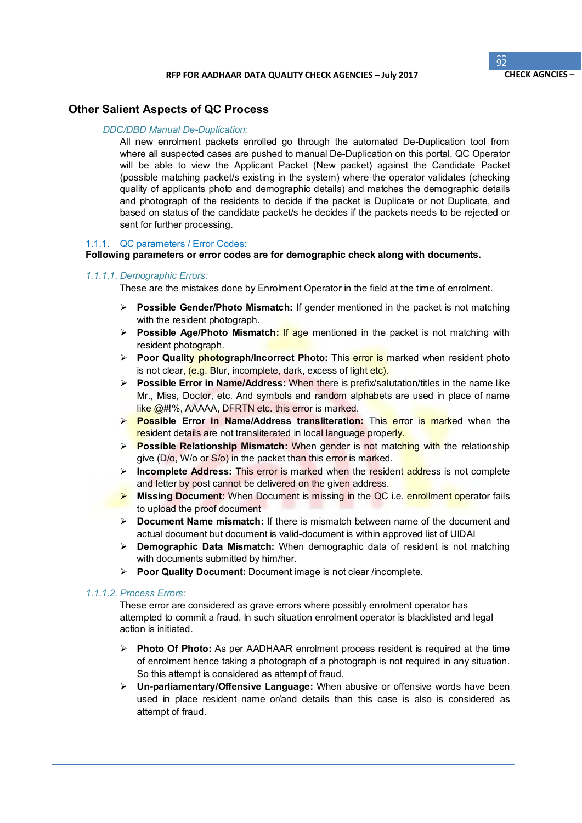#### **Other Salient Aspects of QC Process**

#### *DDC/DBD Manual De-Duplication:*

All new enrolment packets enrolled go through the automated De-Duplication tool from where all suspected cases are pushed to manual De-Duplication on this portal. QC Operator will be able to view the Applicant Packet (New packet) against the Candidate Packet (possible matching packet/s existing in the system) where the operator validates (checking quality of applicants photo and demographic details) and matches the demographic details and photograph of the residents to decide if the packet is Duplicate or not Duplicate, and based on status of the candidate packet/s he decides if the packets needs to be rejected or sent for further processing.

#### 1.1.1. QC parameters / Error Codes:

**Following parameters or error codes are for demographic check along with documents.**

#### *1.1.1.1. Demographic Errors:*

These are the mistakes done by Enrolment Operator in the field at the time of enrolment.

- **Possible Gender/Photo Mismatch:** If gender mentioned in the packet is not matching with the resident photograph.
- **Possible Age/Photo Mismatch: If age** mentioned in the packet is not matching with resident photograph.
- **Poor Quality photograph/Incorrect Photo:** This **error is** marked when resident photo is not clear, (e.g. Blur, incomplete, dark, excess of light etc).
- **Possible Error in Name/Address:** When there is prefix/salutation/titles in the name like Mr., Miss, Doctor, etc. And symbols and random alphabets are used in place of name like @#!%, AAAAA, DFRTN etc. this error is marked.
- **Possible Error in Name/Address transliteration:** This error is marked when the resident details are not transliterated in local language properly.
- **Possible Relationship Mismatch:** When gender is not matching with the relationship give (D/o, W/o or S/o) in the packet than this error is marked.
- **Incomplete Address:** This error is marked when the resident address is not complete and letter by post cannot be delivered on the given address.
- **Missing Document:** When Document is missing in the QC i.e. enrollment operator fails to upload the proof document
- **Document Name mismatch:** If there is mismatch between name of the document and actual document but document is valid-document is within approved list of UIDAI
- **Demographic Data Mismatch:** When demographic data of resident is not matching with documents submitted by him/her.
- **Poor Quality Document:** Document image is not clear /incomplete.

#### *1.1.1.2. Process Errors:*

These error are considered as grave errors where possibly enrolment operator has attempted to commit a fraud. In such situation enrolment operator is blacklisted and legal action is initiated.

- **Photo Of Photo:** As per AADHAAR enrolment process resident is required at the time of enrolment hence taking a photograph of a photograph is not required in any situation. So this attempt is considered as attempt of fraud.
- **Un-parliamentary/Offensive Language:** When abusive or offensive words have been used in place resident name or/and details than this case is also is considered as attempt of fraud.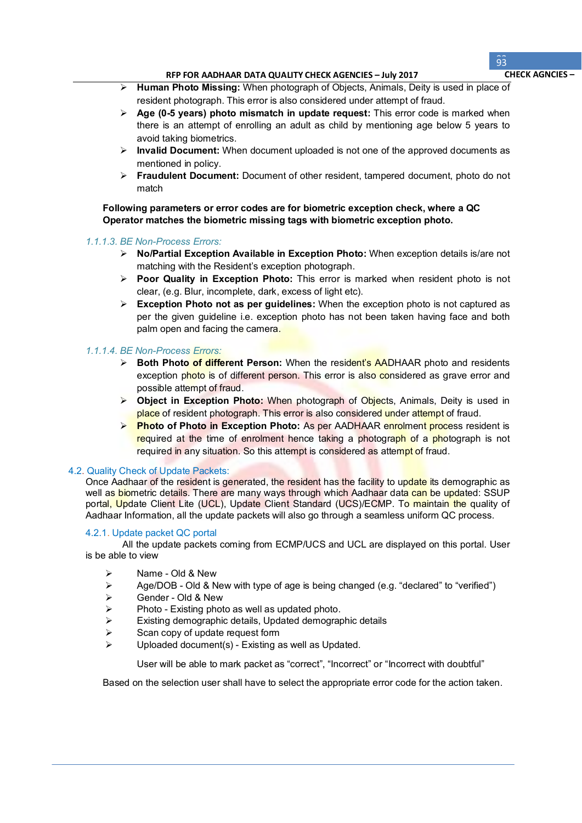#### **RFP FOR AADHAAR DATA QUALITY CHECK AGENCIES – July 2017**

- **Human Photo Missing:** When photograph of Objects, Animals, Deity is used in place of resident photograph. This error is also considered under attempt of fraud.
- **Age (0-5 years) photo mismatch in update request:** This error code is marked when there is an attempt of enrolling an adult as child by mentioning age below 5 years to avoid taking biometrics.
- **Invalid Document:** When document uploaded is not one of the approved documents as mentioned in policy.
- **Fraudulent Document:** Document of other resident, tampered document, photo do not match

#### **Following parameters or error codes are for biometric exception check, where a QC Operator matches the biometric missing tags with biometric exception photo.**

#### *1.1.1.3. BE Non-Process Errors:*

- **No/Partial Exception Available in Exception Photo:** When exception details is/are not matching with the Resident's exception photograph.
- **Poor Quality in Exception Photo:** This error is marked when resident photo is not clear, (e.g. Blur, incomplete, dark, excess of light etc).
- **Exception Photo not as per guidelines:** When the exception photo is not captured as per the given guideline i.e. exception photo has not been taken having face and both palm open and facing the camera.

#### *1.1.1.4. BE Non-Process Errors:*

- **Example 1 > Both Photo of different Person:** When the resident's AADHAAR photo and residents exception photo is of different person. This error is also considered as grave error and possible attempt of fraud.
- **Object in Exception Photo:** When photograph of Objects, Animals, Deity is used in place of resident photograph. This error is also considered under attempt of fraud.
- **Photo of Photo in Exception Photo:** As per AADHAAR enrolment process resident is required at the time of enrolment hence taking a photograph of a photograph is not required in any situation. So this attempt is considered as attempt of fraud.

#### 4.2. Quality Check of Update Packets:

Once Aadhaar of the resident is generated, the resident has the facility to update its demographic as well as **biometric details.** There are many ways through which Aadhaar data can be updated: SSUP portal, Update Client Lite (UCL), Update Client Standard (UCS)/ECMP. To maintain the quality of Aadhaar Information, all the update packets will also go through a seamless uniform QC process.

#### 4.2.1. Update packet QC portal

All the update packets coming from ECMP/UCS and UCL are displayed on this portal. User is be able to view

- $\triangleright$  Name Old & New
- $\triangleright$  Age/DOB Old & New with type of age is being changed (e.g. "declared" to "verified")
- $\triangleright$  Gender Old & New
- $\triangleright$  Photo Existing photo as well as updated photo.
- $\triangleright$  Existing demographic details, Updated demographic details
- $\triangleright$  Scan copy of update request form
- $\triangleright$  Uploaded document(s) Existing as well as Updated.

User will be able to mark packet as "correct", "Incorrect" or "Incorrect with doubtful"

Based on the selection user shall have to select the appropriate error code for the action taken.

 $\overline{93}$ 

**CHECK AGNCIES –**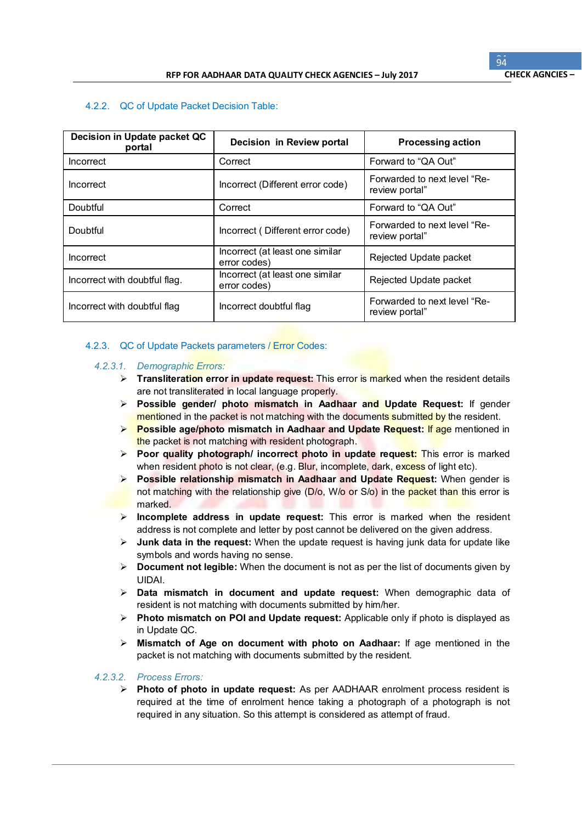### 4.2.2. QC of Update Packet Decision Table:

| Decision in Update packet QC<br>portal | Decision in Review portal                       | <b>Processing action</b>                       |  |  |
|----------------------------------------|-------------------------------------------------|------------------------------------------------|--|--|
| <b>Incorrect</b>                       | Correct                                         | Forward to "QA Out"                            |  |  |
| Incorrect                              | Incorrect (Different error code)                | Forwarded to next level "Re-<br>review portal" |  |  |
| Doubtful                               | Correct                                         | Forward to "QA Out"                            |  |  |
| Doubtful                               | Incorrect (Different error code)                | Forwarded to next level "Re-<br>review portal" |  |  |
| <b>Incorrect</b>                       | Incorrect (at least one similar<br>error codes) | Rejected Update packet                         |  |  |
| Incorrect with doubtful flag.          | Incorrect (at least one similar<br>error codes) | Rejected Update packet                         |  |  |
| Incorrect with doubtful flag           | Incorrect doubtful flag                         | Forwarded to next level "Re-<br>review portal" |  |  |

#### 4.2.3. QC of Update Packets parameters / Error Codes:

#### *4.2.3.1. Demographic Errors:*

- **Transliteration error in update request:** This error is marked when the resident details are not transliterated in local language properly.
- **Possible gender/ photo mismatch in Aadhaar and Update Request:** If gender mentioned in the packet is not matching with the documents submitted by the resident.
- **Possible age/photo mismatch in Aadhaar and Update Request: If age mentioned in** the packet is not matching with resident photograph.
- **Poor quality photograph/ incorrect photo in update request:** This error is marked when resident photo is not clear, (e.g. Blur, incomplete, dark, excess of light etc).
- **Possible relationship mismatch in Aadhaar and Update Request:** When gender is not matching with the relationship give (D/o, W/o or S/o) in the packet than this error is marked.
- **Incomplete address in update request:** This error is marked when the resident address is not complete and letter by post cannot be delivered on the given address.
- **Junk data in the request:** When the update request is having junk data for update like symbols and words having no sense.
- **Document not legible:** When the document is not as per the list of documents given by UIDAI.
- **Data mismatch in document and update request:** When demographic data of resident is not matching with documents submitted by him/her.
- **Photo mismatch on POI and Update request:** Applicable only if photo is displayed as in Update QC.
- **Mismatch of Age on document with photo on Aadhaar:** If age mentioned in the packet is not matching with documents submitted by the resident.

#### *4.2.3.2. Process Errors:*

 **Photo of photo in update request:** As per AADHAAR enrolment process resident is required at the time of enrolment hence taking a photograph of a photograph is not required in any situation. So this attempt is considered as attempt of fraud.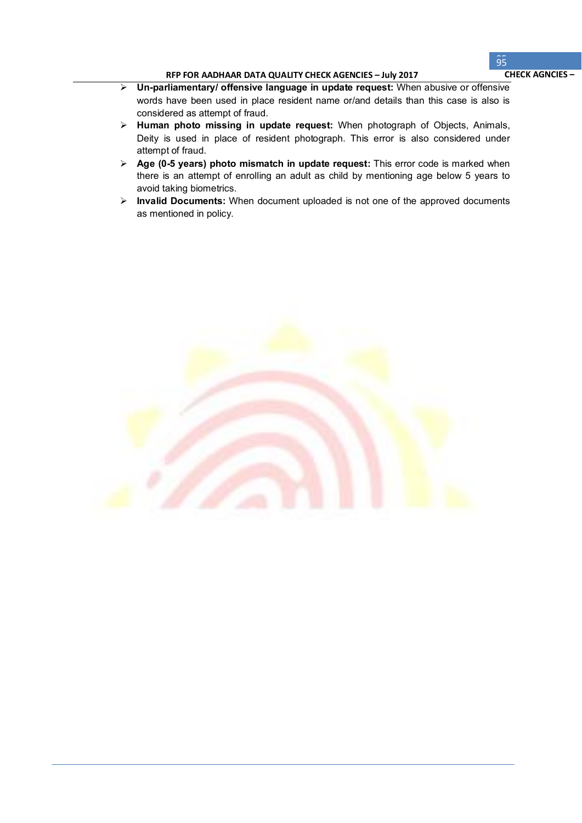## **RFP FOR AADHAAR DATA QUALITY CHECK AGENCIES – July 2017**

- **Un-parliamentary/ offensive language in update request:** When abusive or offensive words have been used in place resident name or/and details than this case is also is considered as attempt of fraud.
- **Human photo missing in update request:** When photograph of Objects, Animals, Deity is used in place of resident photograph. This error is also considered under attempt of fraud.
- **Age (0-5 years) photo mismatch in update request:** This error code is marked when there is an attempt of enrolling an adult as child by mentioning age below 5 years to avoid taking biometrics.
- **Invalid Documents:** When document uploaded is not one of the approved documents as mentioned in policy.

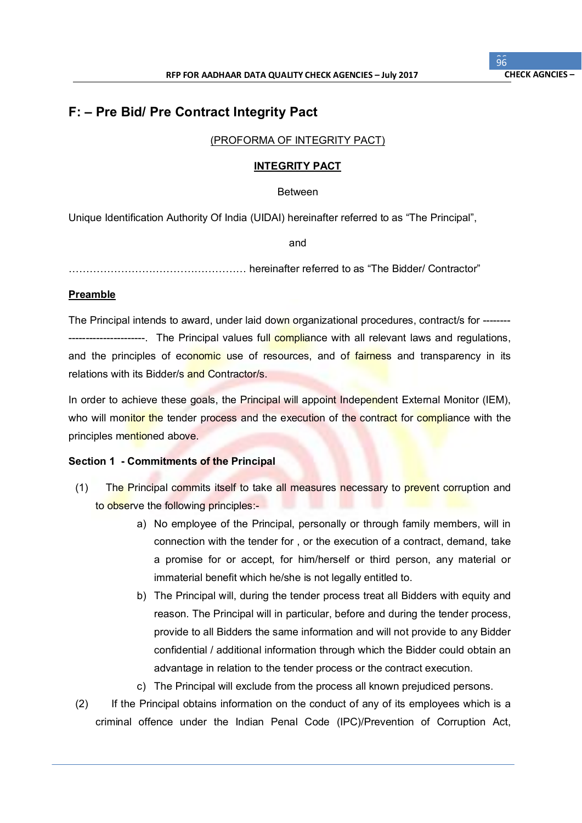# **F: – Pre Bid/ Pre Contract Integrity Pact**

## (PROFORMA OF INTEGRITY PACT)

## **INTEGRITY PACT**

Between

Unique Identification Authority Of India (UIDAI) hereinafter referred to as "The Principal",

and

…………………………………………… hereinafter referred to as "The Bidder/ Contractor"

## **Preamble**

The Principal intends to award, under laid down organizational procedures, contract/s for -------- -------------. The Principal values full compliance with all relevant laws and regulations, and the principles of economic use of resources, and of fairness and transparency in its relations with its Bidder/s and Contractor/s.

In order to achieve these goals, the Principal will appoint Independent External Monitor (IEM), who will monitor the tender process and the execution of the contract for compliance with the principles mentioned above.

#### **Section 1 - Commitments of the Principal**

- (1) The Principal commits itself to take all measures necessary to prevent corruption and to observe the following principles:
	- a) No employee of the Principal, personally or through family members, will in connection with the tender for , or the execution of a contract, demand, take a promise for or accept, for him/herself or third person, any material or immaterial benefit which he/she is not legally entitled to.
	- b) The Principal will, during the tender process treat all Bidders with equity and reason. The Principal will in particular, before and during the tender process, provide to all Bidders the same information and will not provide to any Bidder confidential / additional information through which the Bidder could obtain an advantage in relation to the tender process or the contract execution.
	- c) The Principal will exclude from the process all known prejudiced persons.
- (2) If the Principal obtains information on the conduct of any of its employees which is a criminal offence under the Indian Penal Code (IPC)/Prevention of Corruption Act,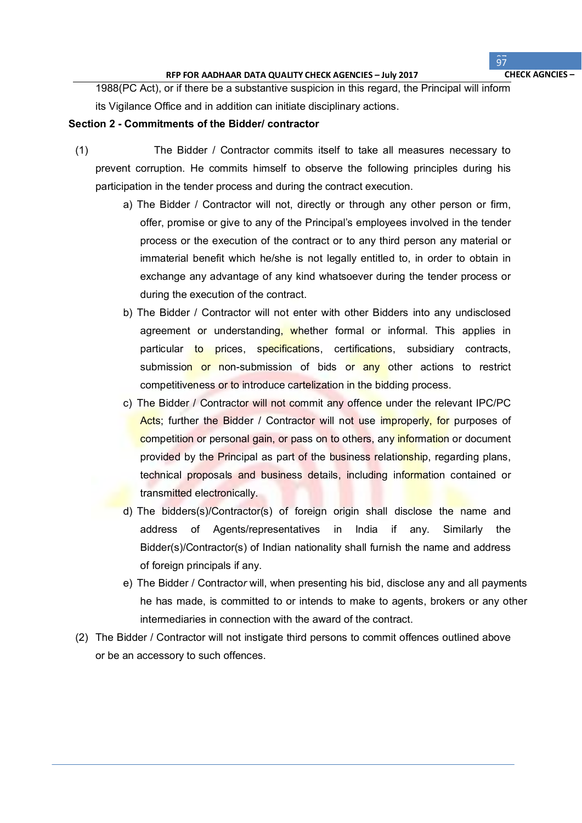#### **RFP FOR AADHAAR DATA QUALITY CHECK AGENCIES – July 2017**

1988(PC Act), or if there be a substantive suspicion in this regard, the Principal will inform its Vigilance Office and in addition can initiate disciplinary actions.

#### **Section 2 - Commitments of the Bidder/ contractor**

- (1) The Bidder / Contractor commits itself to take all measures necessary to prevent corruption. He commits himself to observe the following principles during his participation in the tender process and during the contract execution.
	- a) The Bidder / Contractor will not, directly or through any other person or firm, offer, promise or give to any of the Principal's employees involved in the tender process or the execution of the contract or to any third person any material or immaterial benefit which he/she is not legally entitled to, in order to obtain in exchange any advantage of any kind whatsoever during the tender process or during the execution of the contract.
	- b) The Bidder / Contractor will not enter with other Bidders into any undisclosed agreement or understanding, whether formal or informal. This applies in particular to prices, specifications, certifications, subsidiary contracts, submission or non-submission of bids or any other actions to restrict competitiveness or to introduce cartelization in the bidding process.
	- c) The Bidder / Contractor will not commit any offence under the relevant IPC/PC Acts; further the Bidder / Contractor will not use improperly, for purposes of competition or personal gain, or pass on to others, any information or document provided by the Principal as part of the business relationship, regarding plans, technical proposals and business details, including information contained or transmitted electronically.
	- d) The bidders(s)/Contractor(s) of foreign origin shall disclose the name and address of Agents/representatives in India if any. Similarly the Bidder(s)/Contractor(s) of Indian nationality shall furnish the name and address of foreign principals if any.
	- e) The Bidder / Contracto*r* will, when presenting his bid, disclose any and all payments he has made, is committed to or intends to make to agents, brokers or any other intermediaries in connection with the award of the contract.
- (2) The Bidder / Contractor will not instigate third persons to commit offences outlined above or be an accessory to such offences.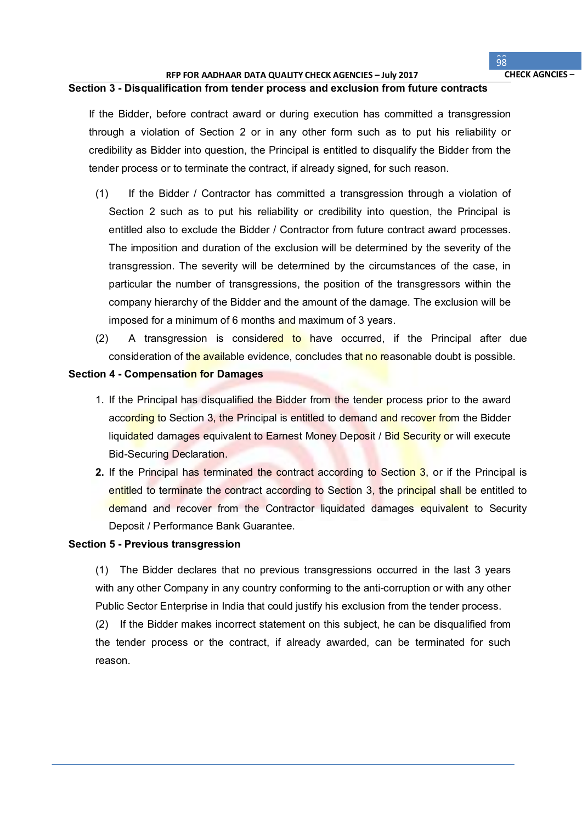#### **Section 3 - Disqualification from tender process and exclusion from future contracts**

If the Bidder, before contract award or during execution has committed a transgression through a violation of Section 2 or in any other form such as to put his reliability or credibility as Bidder into question, the Principal is entitled to disqualify the Bidder from the tender process or to terminate the contract, if already signed, for such reason.

- (1) If the Bidder / Contractor has committed a transgression through a violation of Section 2 such as to put his reliability or credibility into question, the Principal is entitled also to exclude the Bidder / Contractor from future contract award processes. The imposition and duration of the exclusion will be determined by the severity of the transgression. The severity will be dete*r*mined by the circumstances of the case, in particular the number of transgressions, the position of the transgressors within the company hierarchy of the Bidder and the amount of the damage. The exclusion will be imposed for a minimum of 6 months and maximum of 3 years.
- (2) A transgression is considered to have occurred, if the Principal after due consideration of the available evidence, concludes that no reasonable doubt is possible.

### **Section 4 - Compensation for Damages**

- 1. If the Principal has disqualified the Bidder from the tender process prior to the award according to Section 3, the Principal is entitled to demand and recover from the Bidder liquidated damages equivalent to Earnest Money Deposit / Bid Security or will execute Bid-Securing Declaration.
- **2.** If the Principal has terminated the contract according to Section 3, or if the Principal is entitled to terminate the contract according to Section 3, the principal shall be entitled to demand and recover from the Contractor liquidated damages equivalent to Security Deposit / Performance Bank Guarantee.

#### **Section 5 - Previous transgression**

(1) The Bidder declares that no previous transgressions occurred in the last 3 years with any other Company in any country conforming to the anti-corruption or with any other Public Sector Enterprise in India that could justify his exclusion from the tender process.

(2) If the Bidder makes incorrect statement on this subject, he can be disqualified from the tender process or the contract, if already awarded, can be terminated for such reason.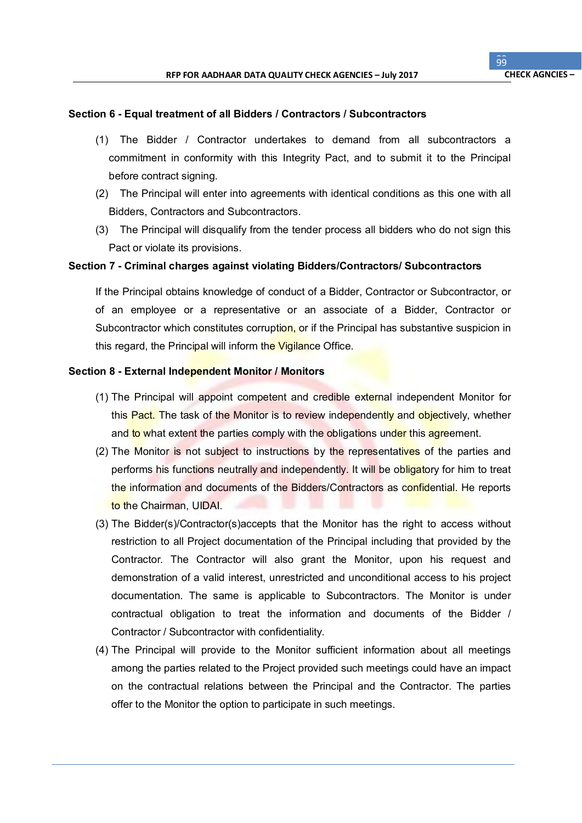#### **Section 6 - Equal treatment of all Bidders / Contractors / Subcontractors**

- (1) The Bidder / Contractor undertakes to demand from all subcontractors a commitment in conformity with this Integrity Pact, and to submit it to the Principal before contract signing.
- (2) The Principal will enter into agreements with identical conditions as this one with all Bidders, Contractors and Subcontractors.
- (3) The Principal will disqualify from the tender process all bidders who do not sign this Pact or violate its provisions.

#### **Section 7 - Criminal charges against violating Bidders/Contractors/ Subcontractors**

If the Principal obtains knowledge of conduct of a Bidder, Contractor or Subcontractor, or of an employee or a representative or an associate of a Bidder, Contractor or Subcontractor which constitutes corruption, or if the Principal has substantive suspicion in this regard, the Principal will inform the Vigilance Office.

#### **Section 8 - External Independent Monitor / Monitors**

- (1) The Principal will appoint competent and credible external independent Monitor for this Pact. The task of the Monitor is to review independently and objectively, whether and to what extent the parties comply with the obligations under this agreement.
- (2) The Monitor is not subject to instructions by the representatives of the parties and performs his functions neutrally and independently. It will be obligatory for him to treat the information and documents of the Bidders/Contractors as confidential. He reports to the Chairman, UIDAI.
- (3) The Bidder(s)/Contractor(s)accepts that the Monitor has the right to access without restriction to all Project documentation of the Principal including that provided by the Contractor*.* The Contractor will also grant the Monitor, upon his request and demonstration of a valid interest, unrestricted and unconditional access to his project documentation. The same is applicable to Subcontractors. The Monitor is under contractual obligation to treat the information and documents of the Bidder / Contractor / Subcontractor with confidentiality.
- (4) The Principal will provide to the Monitor sufficient information about all meetings among the parties related to the Project provided such meetings could have an impact on the contractual relations between the Principal and the Contractor. The parties offer to the Monitor the option to participate in such meetings.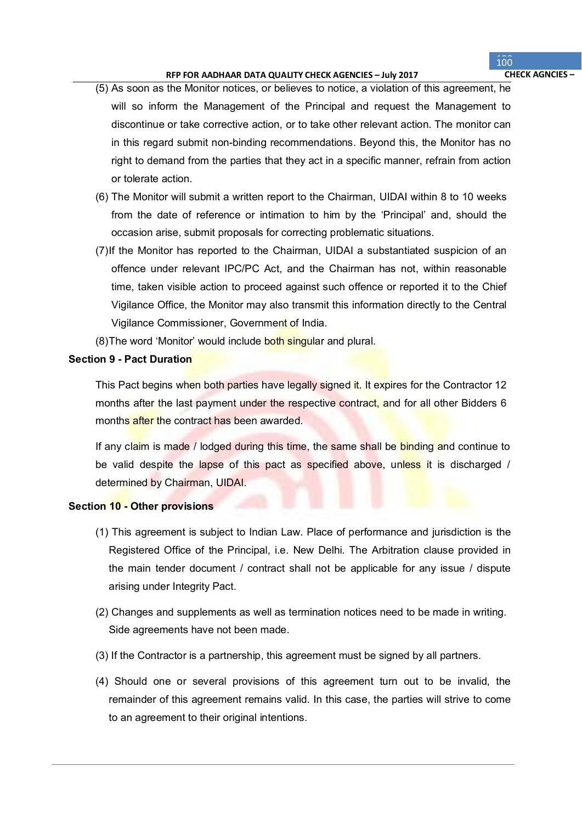# $100$

#### **RFP FOR AADHAAR DATA QUALITY CHECK AGENCIES – July 2017**

- (5) As soon as the Monitor notices, or believes to notice, a violation of this agreement, he will so inform the Management of the Principal and request the Management to discontinue or take corrective action, or to take other relevant action. The monitor can in this regard submit non-binding recommendations. Beyond this, the Monitor has no right to demand from the parties that they act in a specific manner, refrain from action or tolerate action.
- (6) The Monitor will submit a written report to the Chairman, UIDAI within 8 to 10 weeks from the date of reference or intimation to him by the 'Principal' and, should the occasion arise, submit proposals for correcting problematic situations.
- (7)If the Monitor has reported to the Chairman, UIDAI a substantiated suspicion of an offence under relevant IPC/PC Act, and the Chairman has not, within reasonable time, taken visible action to proceed against such offence or reported it to the Chief Vigilance Office, the Monitor may also transmit this information directly to the Central Vigilance Commissioner, Government of India.
- (8) The word 'Monitor' would include both singular and plural.

## **Section 9 - Pact Duration**

This Pact begins when both parties have legally signed it. It expires for the Contractor 12 months after the last payment under the respective contract, and for all other Bidders 6 months after the contract has been awarded.

If any claim is made / lodged during this time, the same shall be binding and continue to be valid despite the lapse of this pact as specified above, unless it is discharged / determined by Chairman, UIDAI.

#### **Section 10 - Other provisions**

- (1) This agreement is subject to Indian Law. Place of performance and jurisdiction is the Registered Office of the Principal, i.e. New Delhi. The Arbitration clause provided in the main tender document / contract shall not be applicable for any issue / dispute arising under Integrity Pact.
- (2) Changes and supplements as well as termination notices need to be made in writing. Side agreements have not been made.
- (3) If the Contractor is a partnership, this agreement must be signed by all partners.
- (4) Should one or several provisions of this agreement turn out to be invalid, the remainder of this agreement remains valid. In this case, the parties will strive to come to an agreement to their original intentions.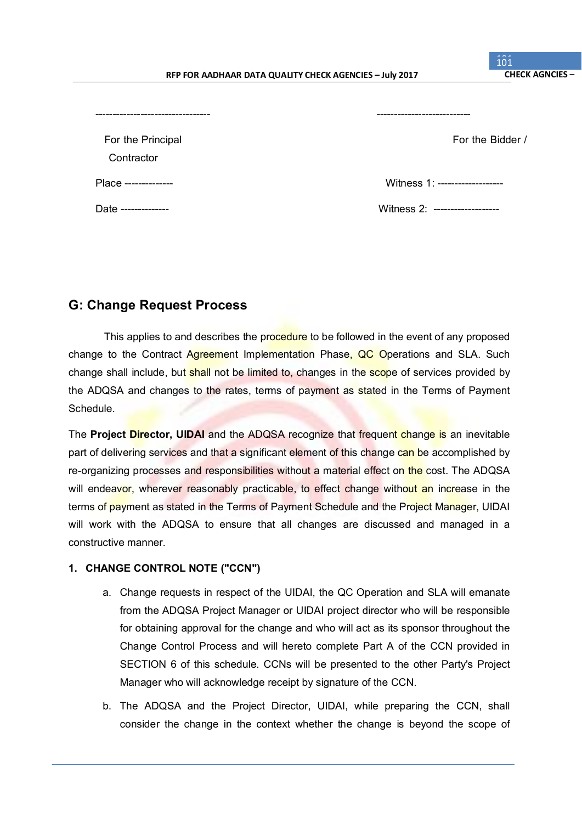**CHECK AGNCIES –**

 $101$ 

#### **RFP FOR AADHAAR DATA QUALITY CHECK AGENCIES – July 2017**

| For the Principal    | For                  |
|----------------------|----------------------|
| Contractor           |                      |
| Place -------------- | Witness 1: --------- |

For the Bidder /

Witness 1: -------------------

Date -------------- Witness 2: -------------------

# **G: Change Request Process**

This applies to and describes the procedure to be followed in the event of any proposed change to the Contract Agreement Implementation Phase, QC Operations and SLA. Such change shall include, but shall not be limited to, changes in the scope of services provided by the ADQSA and changes to the rates, terms of payment as stated in the Terms of Payment Schedule.

The **Project Director, UIDAI** and the ADQSA recognize that frequent change is an inevitable part of delivering services and that a significant element of this change can be accomplished by re-organizing processes and responsibilities without a material effect on the cost. The ADQSA will endeavor, wherever reasonably practicable, to effect change without an increase in the terms of payment as stated in the Terms of Payment Schedule and the Project Manager, UIDAI will work with the ADQSA to ensure that all changes are discussed and managed in a constructive manner.

# **1. CHANGE CONTROL NOTE ("CCN")**

- a. Change requests in respect of the UIDAI, the QC Operation and SLA will emanate from the ADQSA Project Manager or UIDAI project director who will be responsible for obtaining approval for the change and who will act as its sponsor throughout the Change Control Process and will hereto complete Part A of the CCN provided in SECTION 6 of this schedule. CCNs will be presented to the other Party's Project Manager who will acknowledge receipt by signature of the CCN.
- b. The ADQSA and the Project Director, UIDAI, while preparing the CCN, shall consider the change in the context whether the change is beyond the scope of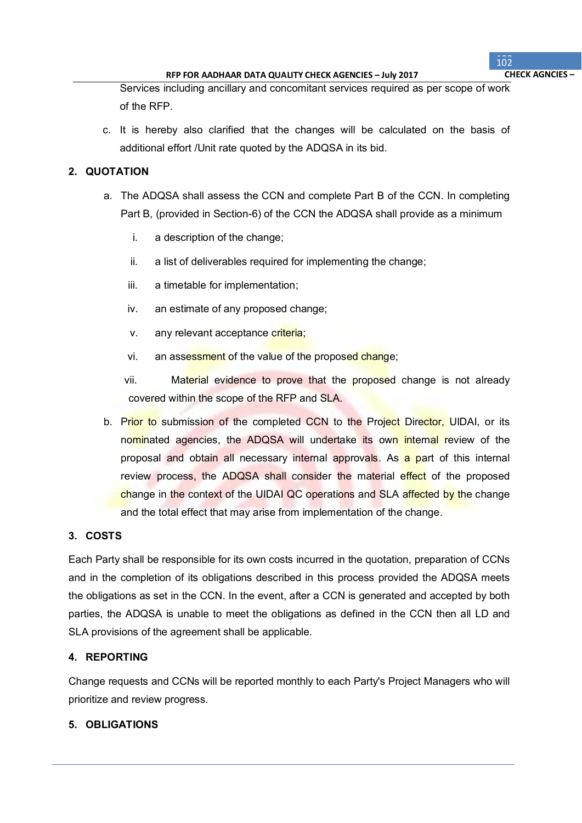**CHECK AGNCIES –**

Services including ancillary and concomitant services required as per scope of work of the RFP.

c. It is hereby also clarified that the changes will be calculated on the basis of additional effort /Unit rate quoted by the ADQSA in its bid.

# **2. QUOTATION**

- a. The ADQSA shall assess the CCN and complete Part B of the CCN. In completing Part B, (provided in Section-6) of the CCN the ADQSA shall provide as a minimum
	- i. a description of the change;
	- ii. a list of deliverables required for implementing the change;
	- iii. a timetable for implementation;
	- iv. an estimate of any proposed change;
	- v. any relevant acceptance criteria;
	- vi. an assessment of the value of the proposed change;

vii. Material evidence to prove that the proposed change is not already covered within the scope of the RFP and SLA.

b. Prior to submission of the completed CCN to the Project Director, UIDAI, or its nominated agencies, the ADQSA will undertake its own internal review of the proposal and obtain all necessary internal approvals. As a part of this internal review process, the ADQSA shall consider the material effect of the proposed change in the context of the UIDAI QC operations and SLA affected by the change and the total effect that may arise from implementation of the change.

# **3. COSTS**

Each Party shall be responsible for its own costs incurred in the quotation, preparation of CCNs and in the completion of its obligations described in this process provided the ADQSA meets the obligations as set in the CCN. In the event, after a CCN is generated and accepted by both parties, the ADQSA is unable to meet the obligations as defined in the CCN then all LD and SLA provisions of the agreement shall be applicable.

# **4. REPORTING**

Change requests and CCNs will be reported monthly to each Party's Project Managers who will prioritize and review progress.

# **5. OBLIGATIONS**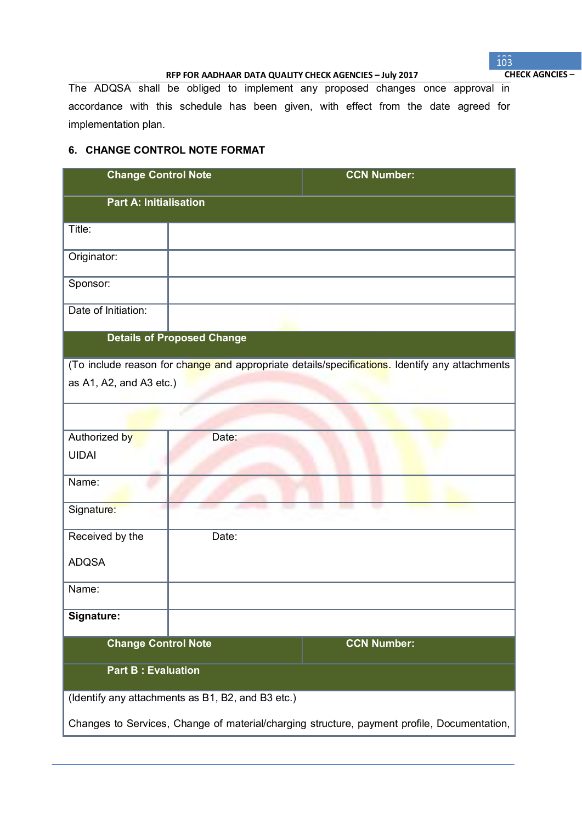The ADQSA shall be obliged to implement any proposed changes once approval in accordance with this schedule has been given, with effect from the date agreed for implementation plan.

# **6. CHANGE CONTROL NOTE FORMAT**

| <b>Change Control Note</b>                                                                  |                                                   | <b>CCN Number:</b>                                                                             |  |  |  |  |  |
|---------------------------------------------------------------------------------------------|---------------------------------------------------|------------------------------------------------------------------------------------------------|--|--|--|--|--|
| <b>Part A: Initialisation</b>                                                               |                                                   |                                                                                                |  |  |  |  |  |
| Title:                                                                                      |                                                   |                                                                                                |  |  |  |  |  |
| Originator:                                                                                 |                                                   |                                                                                                |  |  |  |  |  |
| Sponsor:                                                                                    |                                                   |                                                                                                |  |  |  |  |  |
| Date of Initiation:                                                                         |                                                   |                                                                                                |  |  |  |  |  |
|                                                                                             | <b>Details of Proposed Change</b>                 |                                                                                                |  |  |  |  |  |
|                                                                                             |                                                   | (To include reason for change and appropriate details/specifications. Identify any attachments |  |  |  |  |  |
| as A1, A2, and A3 etc.)                                                                     |                                                   |                                                                                                |  |  |  |  |  |
|                                                                                             |                                                   |                                                                                                |  |  |  |  |  |
| Authorized by                                                                               | Date:                                             |                                                                                                |  |  |  |  |  |
| <b>UIDAI</b>                                                                                |                                                   |                                                                                                |  |  |  |  |  |
| Name:                                                                                       |                                                   |                                                                                                |  |  |  |  |  |
| Signature:                                                                                  |                                                   |                                                                                                |  |  |  |  |  |
| Received by the                                                                             | Date:                                             |                                                                                                |  |  |  |  |  |
| <b>ADQSA</b>                                                                                |                                                   |                                                                                                |  |  |  |  |  |
| Name:                                                                                       |                                                   |                                                                                                |  |  |  |  |  |
| Signature:                                                                                  |                                                   |                                                                                                |  |  |  |  |  |
|                                                                                             | <b>Change Control Note</b><br><b>CCN Number:</b>  |                                                                                                |  |  |  |  |  |
| <b>Part B: Evaluation</b>                                                                   |                                                   |                                                                                                |  |  |  |  |  |
|                                                                                             | (Identify any attachments as B1, B2, and B3 etc.) |                                                                                                |  |  |  |  |  |
| Changes to Services, Change of material/charging structure, payment profile, Documentation, |                                                   |                                                                                                |  |  |  |  |  |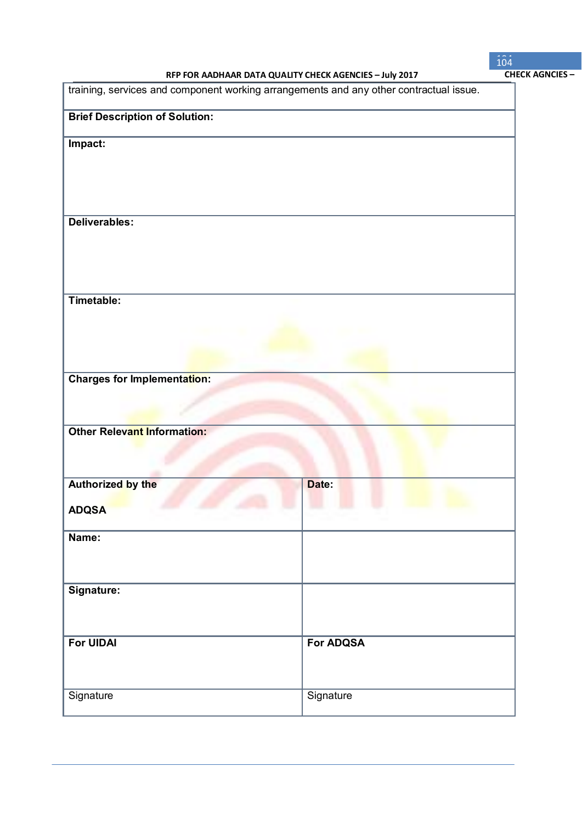|                                                                                        |           | 104                    |
|----------------------------------------------------------------------------------------|-----------|------------------------|
| RFP FOR AADHAAR DATA QUALITY CHECK AGENCIES - July 2017                                |           | <b>CHECK AGNCIES -</b> |
| training, services and component working arrangements and any other contractual issue. |           |                        |
|                                                                                        |           |                        |
| <b>Brief Description of Solution:</b>                                                  |           |                        |
| Impact:                                                                                |           |                        |
|                                                                                        |           |                        |
|                                                                                        |           |                        |
|                                                                                        |           |                        |
|                                                                                        |           |                        |
|                                                                                        |           |                        |
| Deliverables:                                                                          |           |                        |
|                                                                                        |           |                        |
|                                                                                        |           |                        |
|                                                                                        |           |                        |
|                                                                                        |           |                        |
| Timetable:                                                                             |           |                        |
|                                                                                        |           |                        |
|                                                                                        |           |                        |
|                                                                                        |           |                        |
|                                                                                        |           |                        |
| <b>Charges for Implementation:</b>                                                     |           |                        |
|                                                                                        |           |                        |
|                                                                                        |           |                        |
|                                                                                        |           |                        |
| <b>Other Relevant Information:</b>                                                     |           |                        |
|                                                                                        |           |                        |
|                                                                                        |           |                        |
| Authorized by the                                                                      | Date:     |                        |
|                                                                                        |           |                        |
| <b>ADQSA</b>                                                                           |           |                        |
|                                                                                        |           |                        |
| Name:                                                                                  |           |                        |
|                                                                                        |           |                        |
|                                                                                        |           |                        |
|                                                                                        |           |                        |
| Signature:                                                                             |           |                        |
|                                                                                        |           |                        |
|                                                                                        |           |                        |
| <b>For UIDAI</b>                                                                       | For ADQSA |                        |
|                                                                                        |           |                        |
|                                                                                        |           |                        |
|                                                                                        |           |                        |
| Signature                                                                              | Signature |                        |
|                                                                                        |           |                        |